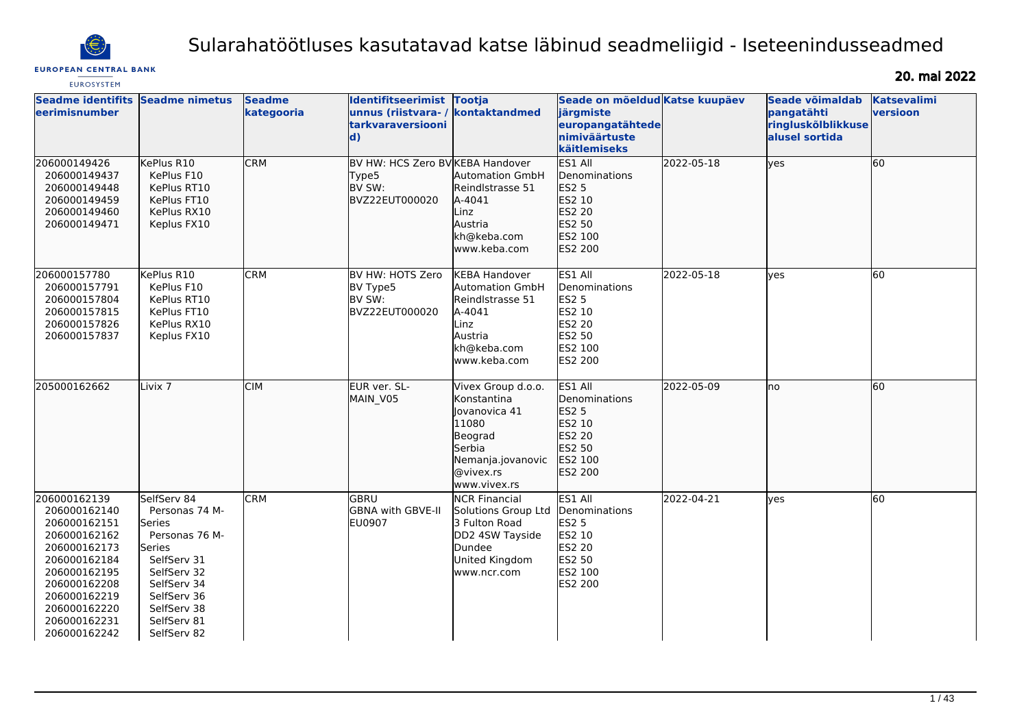

# Sularahatöötluses kasutatavad katse läbinud seadmeliigid - Iseteenindusseadmed

## **EUROPEAN CENTRAL BANK**

20. mai 2022

| <b>EUROSYSTEM</b>                                                                                                                                                                            |                                                                                                                                                                              |                             |                                                                                      |                                                                                                                                     |                                                                                                            |            |                                                                       |                                |
|----------------------------------------------------------------------------------------------------------------------------------------------------------------------------------------------|------------------------------------------------------------------------------------------------------------------------------------------------------------------------------|-----------------------------|--------------------------------------------------------------------------------------|-------------------------------------------------------------------------------------------------------------------------------------|------------------------------------------------------------------------------------------------------------|------------|-----------------------------------------------------------------------|--------------------------------|
| <b>Seadme identifits</b><br>leerimisnumber                                                                                                                                                   | <b>Seadme nimetus</b>                                                                                                                                                        | <b>Seadme</b><br>kategooria | Identifitseerimist Tootja<br>unnus (riistvara-/<br>tarkvaraversiooni<br>$\mathbf{d}$ | kontaktandmed                                                                                                                       | Seade on mõeldud Katse kuupäev<br>järgmiste<br>europangatähtede<br>nimiväärtuste<br><b>käitlemiseks</b>    |            | Seade võimaldab<br>pangatähti<br>ringluskõlblikkuse<br>alusel sortida | <b>Katsevalimi</b><br>versioon |
| 206000149426<br>206000149437<br>206000149448<br>206000149459<br>206000149460<br>206000149471                                                                                                 | KePlus R10<br>KePlus F10<br>KePlus RT10<br>KePlus FT10<br>KePlus RX10<br>Keplus FX10                                                                                         | <b>CRM</b>                  | BV HW: HCS Zero BV KEBA Handover<br>Type5<br>BV SW:<br>BVZ22EUT000020                | Automation GmbH<br>Reindlstrasse 51<br>A-4041<br>Linz<br>Austria<br>kh@keba.com<br>www.keba.com                                     | ES1 All<br>Denominations<br><b>ES2 5</b><br>ES2 10<br><b>ES2 20</b><br>ES2 50<br>ES2 100<br>ES2 200        | 2022-05-18 | <b>yes</b>                                                            | 60                             |
| 206000157780<br>206000157791<br>206000157804<br>206000157815<br>206000157826<br>206000157837                                                                                                 | KePlus R10<br>KePlus F10<br>KePlus RT10<br>KePlus FT10<br>KePlus RX10<br>Keplus FX10                                                                                         | <b>CRM</b>                  | BV HW: HOTS Zero<br>BV Type5<br>BV SW:<br>BVZ22EUT000020                             | <b>KEBA Handover</b><br>Automation GmbH<br>Reindlstrasse 51<br>A-4041<br>Linz<br>Austria<br>kh@keba.com<br>www.keba.com             | ES1 All<br>Denominations<br><b>ES2 5</b><br>ES2 10<br><b>ES2 20</b><br>ES2 50<br>ES2 100<br><b>ES2 200</b> | 2022-05-18 | lves                                                                  | 60                             |
| 205000162662                                                                                                                                                                                 | Livix <sub>7</sub>                                                                                                                                                           | <b>CIM</b>                  | EUR ver. SL-<br>MAIN V05                                                             | Vivex Group d.o.o.<br>Konstantina<br>llovanovica 41<br>11080<br>Beograd<br>Serbia<br>Nemanja.jovanovic<br>@vivex.rs<br>www.vivex.rs | ES1 All<br>Denominations<br><b>ES2 5</b><br>ES2 10<br>ES2 20<br>ES2 50<br><b>IES2 100</b><br>ES2 200       | 2022-05-09 | Ino                                                                   | 60                             |
| 206000162139<br>206000162140<br>206000162151<br>206000162162<br>206000162173<br>206000162184<br>206000162195<br>206000162208<br>206000162219<br>206000162220<br>206000162231<br>206000162242 | SelfServ 84<br>Personas 74 M-<br>Series<br>Personas 76 M-<br>Series<br>SelfServ 31<br>SelfServ 32<br>SelfServ 34<br>SelfServ 36<br>SelfServ 38<br>SelfServ 81<br>SelfServ 82 | <b>CRM</b>                  | GBRU<br>GBNA with GBVE-II<br><b>EU0907</b>                                           | <b>NCR Financial</b><br>Solutions Group Ltd<br>3 Fulton Road<br>DD2 4SW Tayside<br>Dundee<br>United Kingdom<br>lwww.ncr.com         | ES1 All<br>Denominations<br><b>ES2 5</b><br>ES2 10<br><b>ES2 20</b><br>ES2 50<br>ES2 100<br>ES2 200        | 2022-04-21 | <b>yes</b>                                                            | 60                             |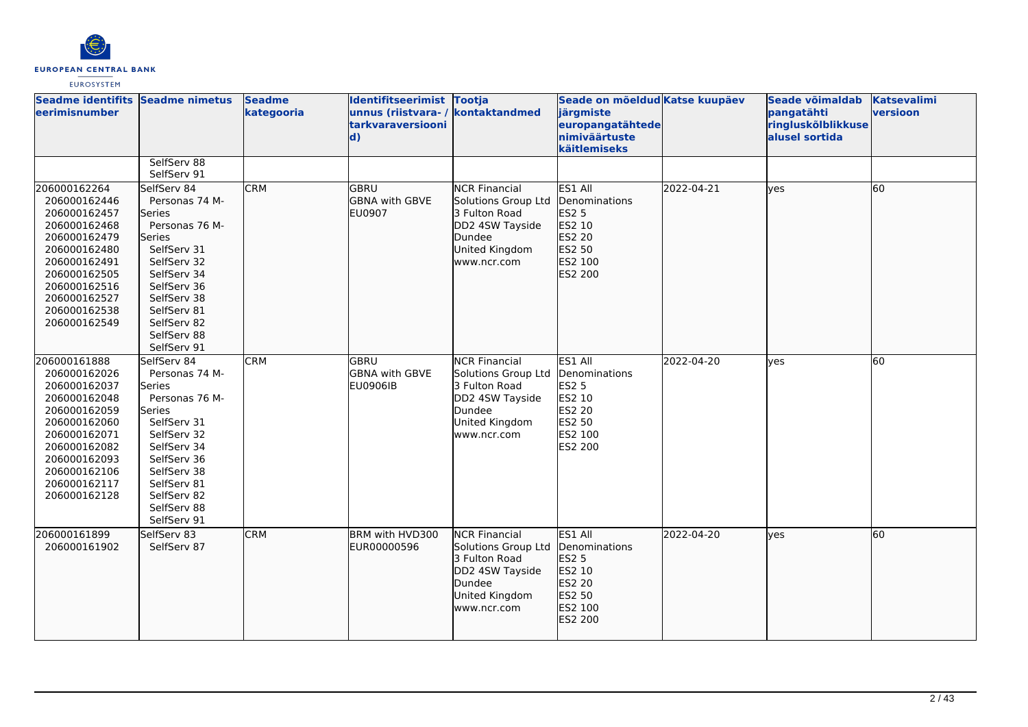

| Seadme identifits Seadme nimetus<br>eerimisnumber                                                                                                                                            |                                                                                                                                                                                                                    | <b>Seadme</b><br>kategooria | Identifitseerimist Tootja<br>unnus (riistvara- / kontaktandmed<br>tarkvaraversiooni<br>$\mathbf{d}$ |                                                                                                                            | Seade on mõeldud Katse kuupäev<br>järgmiste<br>europangatähtede<br>nimiväärtuste<br>käitlemiseks           |            | Seade võimaldab<br>pangatähti<br>ringluskõlblikkuse<br>alusel sortida | <b>Katsevalimi</b><br>versioon |
|----------------------------------------------------------------------------------------------------------------------------------------------------------------------------------------------|--------------------------------------------------------------------------------------------------------------------------------------------------------------------------------------------------------------------|-----------------------------|-----------------------------------------------------------------------------------------------------|----------------------------------------------------------------------------------------------------------------------------|------------------------------------------------------------------------------------------------------------|------------|-----------------------------------------------------------------------|--------------------------------|
|                                                                                                                                                                                              | SelfServ 88<br>SelfServ 91                                                                                                                                                                                         |                             |                                                                                                     |                                                                                                                            |                                                                                                            |            |                                                                       |                                |
| 206000162264<br>206000162446<br>206000162457<br>206000162468<br>206000162479<br>206000162480<br>206000162491<br>206000162505<br>206000162516<br>206000162527<br>206000162538<br>206000162549 | SelfServ 84<br>Personas 74 M-<br><b>Series</b><br>Personas 76 M-<br>lSeries<br>SelfServ 31<br>SelfServ 32<br>SelfServ 34<br>SelfServ 36<br>SelfServ 38<br>SelfServ 81<br>SelfServ 82<br>SelfServ 88<br>SelfServ 91 | <b>CRM</b>                  | <b>GBRU</b><br><b>GBNA with GBVE</b><br><b>EU0907</b>                                               | <b>NCR Financial</b><br>Solutions Group Ltd<br>3 Fulton Road<br>DD2 4SW Tayside<br>Dundee<br>United Kingdom<br>www.ncr.com | ES1 All<br>Denominations<br><b>ES2 5</b><br>ES2 10<br>ES2 20<br>ES2 50<br>ES2 100<br>ES2 200               | 2022-04-21 | lyes                                                                  | 60                             |
| 206000161888<br>206000162026<br>206000162037<br>206000162048<br>206000162059<br>206000162060<br>206000162071<br>206000162082<br>206000162093<br>206000162106<br>206000162117<br>206000162128 | SelfServ 84<br>Personas 74 M-<br>Series<br>Personas 76 M-<br>lSeries<br>SelfServ 31<br>SelfServ 32<br>SelfServ 34<br>SelfServ 36<br>SelfServ 38<br>SelfServ 81<br>SelfServ 82<br>SelfServ 88<br>SelfServ 91        | <b>CRM</b>                  | GBRU<br><b>GBNA with GBVE</b><br><b>EU0906IB</b>                                                    | <b>NCR Financial</b><br>Solutions Group Ltd<br>3 Fulton Road<br>DD2 4SW Tayside<br>Dundee<br>United Kingdom<br>www.ncr.com | ES1 All<br>Denominations<br><b>ES2 5</b><br>ES2 10<br><b>ES2 20</b><br>ES2 50<br>ES2 100<br><b>ES2 200</b> | 2022-04-20 | lyes                                                                  | 60                             |
| 206000161899<br>206000161902                                                                                                                                                                 | SelfServ 83<br>SelfServ 87                                                                                                                                                                                         | <b>CRM</b>                  | BRM with HVD300<br>EUR00000596                                                                      | <b>NCR Financial</b><br>Solutions Group Ltd<br>3 Fulton Road<br>DD2 4SW Tayside<br>Dundee<br>United Kingdom<br>www.ncr.com | <b>ES1 AIL</b><br>Denominations<br><b>ES2 5</b><br>ES2 10<br>ES2 20<br>ES2 50<br>ES2 100<br>ES2 200        | 2022-04-20 | lves                                                                  | 60                             |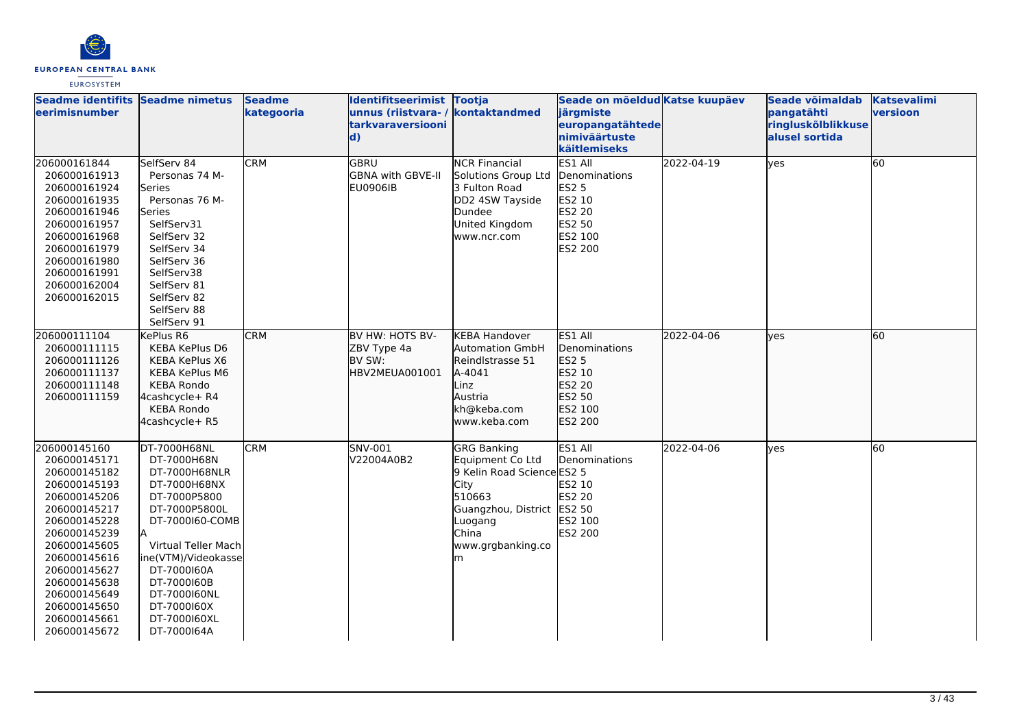

| Seadme identifits Seadme nimetus<br>leerimisnumber                                                                                                                                                                                                           |                                                                                                                                                                                                                                                            | <b>Seadme</b><br>kategooria | Identifitseerimist Tootja<br>unnus (riistvara- / kontaktandmed<br><b>tarkvaraversiooni</b><br>$\mathbf{d}$ |                                                                                                                                                             | Seade on mõeldud Katse kuupäev<br>järgmiste<br>europangatähtede<br>nimiväärtuste<br>käitlemiseks           |            | Seade võimaldab<br>pangatähti<br>ringluskõlblikkuse<br>alusel sortida | <b>Katsevalimi</b><br>versioon |
|--------------------------------------------------------------------------------------------------------------------------------------------------------------------------------------------------------------------------------------------------------------|------------------------------------------------------------------------------------------------------------------------------------------------------------------------------------------------------------------------------------------------------------|-----------------------------|------------------------------------------------------------------------------------------------------------|-------------------------------------------------------------------------------------------------------------------------------------------------------------|------------------------------------------------------------------------------------------------------------|------------|-----------------------------------------------------------------------|--------------------------------|
| 206000161844<br>206000161913<br>206000161924<br>206000161935<br>206000161946<br>206000161957<br>206000161968<br>206000161979<br>206000161980<br>206000161991<br>206000162004<br>206000162015                                                                 | SelfServ 84<br>Personas 74 M-<br>Series<br>Personas 76 M-<br>Series<br>SelfServ31<br>SelfServ 32<br>SelfServ 34<br>SelfServ 36<br>SelfServ38<br>SelfServ 81<br>SelfServ 82<br>SelfServ 88<br>SelfServ 91                                                   | <b>CRM</b>                  | <b>GBRU</b><br><b>GBNA with GBVE-II</b><br><b>EU0906IB</b>                                                 | <b>NCR Financial</b><br>Solutions Group Ltd<br>3 Fulton Road<br>DD2 4SW Tayside<br>Dundee<br>United Kingdom<br>www.ncr.com                                  | ES1 All<br>Denominations<br><b>ES2 5</b><br><b>ES2 10</b><br><b>ES2 20</b><br>ES2 50<br>ES2 100<br>ES2 200 | 2022-04-19 | lyes                                                                  | 60                             |
| 206000111104<br>206000111115<br>206000111126<br>206000111137<br>206000111148<br>206000111159                                                                                                                                                                 | KePlus R6<br><b>KEBA KePlus D6</b><br>KEBA KePlus X6<br>KEBA KePlus M6<br><b>KEBA Rondo</b><br>4cashcycle+ R4<br><b>KEBA Rondo</b><br>4cashcycle+ R5                                                                                                       | <b>CRM</b>                  | BV HW: HOTS BV-<br>ZBV Type 4a<br>BV SW:<br>HBV2MEUA001001                                                 | <b>KEBA Handover</b><br><b>Automation GmbH</b><br>Reindlstrasse 51<br>A-4041<br>Linz<br>Austria<br>kh@keba.com<br>www.keba.com                              | ES1 All<br>Denominations<br>ES2 5<br>ES2 10<br><b>ES2 20</b><br>ES2 50<br>ES2 100<br><b>ES2 200</b>        | 2022-04-06 | lyes                                                                  | 60                             |
| 206000145160<br>206000145171<br>206000145182<br>206000145193<br>206000145206<br>206000145217<br>206000145228<br>206000145239<br>206000145605<br>206000145616<br>206000145627<br>206000145638<br>206000145649<br>206000145650<br>206000145661<br>206000145672 | DT-7000H68NL<br>DT-7000H68N<br>DT-7000H68NLR<br>DT-7000H68NX<br>DT-7000P5800<br>DT-7000P5800L<br>DT-7000160-COMB<br>Virtual Teller Mach<br>ine(VTM)/Videokasse<br>DT-7000160A<br>DT-7000160B<br>DT-7000160NL<br>DT-7000160X<br>DT-7000160XL<br>DT-7000164A | <b>CRM</b>                  | SNV-001<br>V22004A0B2                                                                                      | GRG Banking<br>Equipment Co Ltd<br>9 Kelin Road Science ES2 5<br>City<br>510663<br>Guangzhou, District ES2 50<br>Luogang<br>China<br>www.grgbanking.co<br>m | ES1 All<br>Denominations<br>ES2 10<br>ES2 20<br>ES2 100<br>ES2 200                                         | 2022-04-06 | lyes                                                                  | 60                             |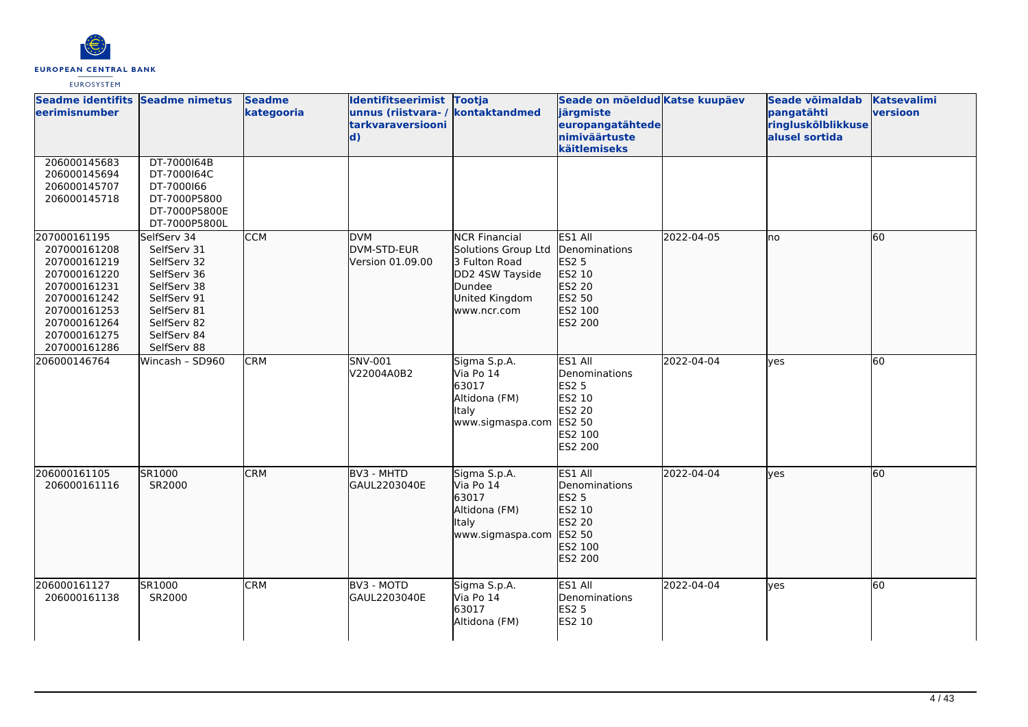

| Seadme identifits Seadme nimetus<br>eerimisnumber                                                                                                            |                                                                                                                                                    | <b>Seadme</b><br>kategooria | Identifitseerimist Tootja<br>unnus (riistvara-/<br>tarkvaraversiooni<br>$\mathbf{d}$ | kontaktandmed                                                                                                              | Seade on mõeldud Katse kuupäev<br>järgmiste<br>europangatähtede<br>nimiväärtuste<br>käitlemiseks |            | Seade võimaldab<br>pangatähti<br>ringluskõlblikkuse<br>alusel sortida | <b>Katsevalimi</b><br>versioon |
|--------------------------------------------------------------------------------------------------------------------------------------------------------------|----------------------------------------------------------------------------------------------------------------------------------------------------|-----------------------------|--------------------------------------------------------------------------------------|----------------------------------------------------------------------------------------------------------------------------|--------------------------------------------------------------------------------------------------|------------|-----------------------------------------------------------------------|--------------------------------|
| 206000145683<br>206000145694<br>206000145707<br>206000145718                                                                                                 | DT-7000164B<br>DT-7000164C<br>DT-7000166<br>DT-7000P5800<br>DT-7000P5800E<br>DT-7000P5800L                                                         |                             |                                                                                      |                                                                                                                            |                                                                                                  |            |                                                                       |                                |
| 207000161195<br>207000161208<br>207000161219<br>207000161220<br>207000161231<br>207000161242<br>207000161253<br>207000161264<br>207000161275<br>207000161286 | SelfServ 34<br>SelfServ 31<br>SelfServ 32<br>SelfServ 36<br>SelfServ 38<br>SelfServ 91<br>SelfServ 81<br>SelfServ 82<br>SelfServ 84<br>SelfServ 88 | <b>CCM</b>                  | <b>DVM</b><br>DVM-STD-EUR<br>Version 01.09.00                                        | <b>NCR Financial</b><br>Solutions Group Ltd<br>3 Fulton Road<br>DD2 4SW Tayside<br>Dundee<br>United Kingdom<br>www.ncr.com | ES1 All<br>Denominations<br><b>ES2 5</b><br>ES2 10<br>ES2 20<br>ES2 50<br>ES2 100<br>ES2 200     | 2022-04-05 | Ino                                                                   | 60                             |
| 206000146764                                                                                                                                                 | Wincash - SD960                                                                                                                                    | <b>CRM</b>                  | <b>SNV-001</b><br>V22004A0B2                                                         | Sigma S.p.A.<br>Via Po 14<br>63017<br>Altidona (FM)<br>Italy<br>www.sigmaspa.com                                           | ES1 All<br>Denominations<br><b>ES2 5</b><br>ES2 10<br>ES2 20<br>ES2 50<br>ES2 100<br>ES2 200     | 2022-04-04 | lyes                                                                  | 60                             |
| 206000161105<br>206000161116                                                                                                                                 | SR1000<br>SR2000                                                                                                                                   | <b>CRM</b>                  | BV3 - MHTD<br>GAUL2203040E                                                           | Sigma S.p.A.<br>Via Po 14<br>63017<br>Altidona (FM)<br>Italy<br>www.sigmaspa.com                                           | ES1 All<br>Denominations<br><b>ES2 5</b><br>ES2 10<br>ES2 20<br>ES2 50<br>ES2 100<br>ES2 200     | 2022-04-04 | lves                                                                  | 60                             |
| 206000161127<br>206000161138                                                                                                                                 | SR1000<br>SR2000                                                                                                                                   | <b>CRM</b>                  | BV3 - MOTD<br>GAUL2203040E                                                           | Sigma S.p.A.<br>Via Po 14<br>63017<br>Altidona (FM)                                                                        | ES1 All<br>Denominations<br><b>ES2 5</b><br>ES2 10                                               | 2022-04-04 | lves                                                                  | 60                             |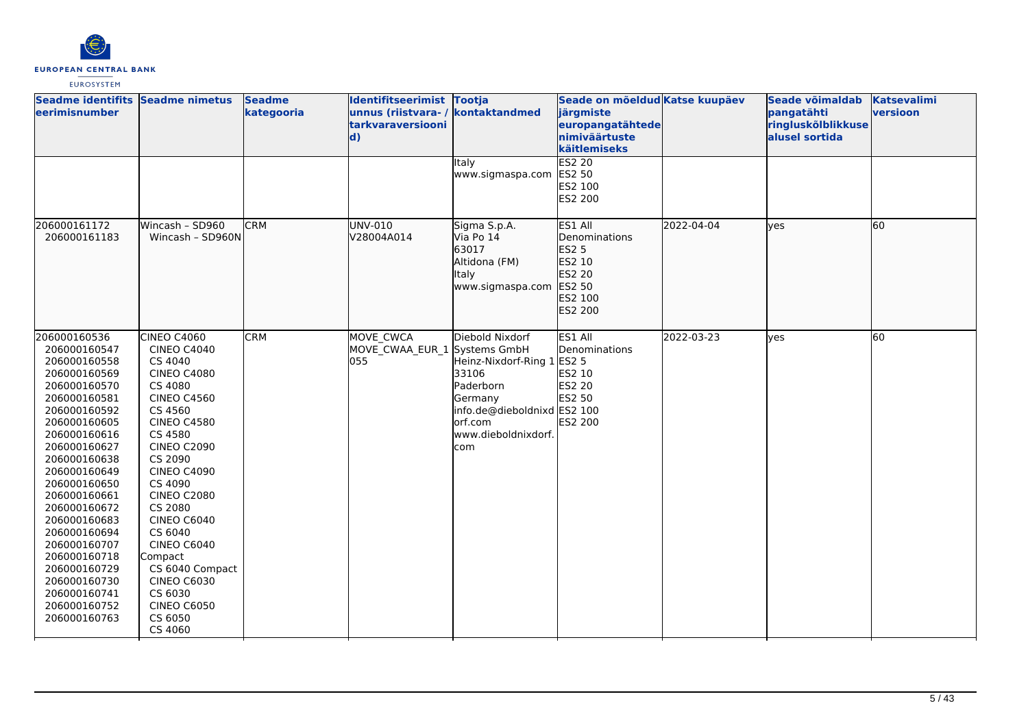

| Seadme identifits Seadme nimetus<br>eerimisnumber                                                                                                                                                                                                                                                                                                                                            |                                                                                                                                                                                                                                                                                                                                                                                                                      | <b>Seadme</b><br>kategooria | Identifitseerimist Tootja<br>unnus (riistvara- / kontaktandmed<br>tarkvaraversiooni<br>$\mathbf{d}$ |                                                                                                                                                  | Seade on mõeldud Katse kuupäev<br>järgmiste<br>europangatähtede<br>nimiväärtuste<br>käitlemiseks |            | Seade võimaldab<br>pangatähti<br>ringluskõlblikkuse<br>alusel sortida | <b>Katsevalimi</b><br>versioon |
|----------------------------------------------------------------------------------------------------------------------------------------------------------------------------------------------------------------------------------------------------------------------------------------------------------------------------------------------------------------------------------------------|----------------------------------------------------------------------------------------------------------------------------------------------------------------------------------------------------------------------------------------------------------------------------------------------------------------------------------------------------------------------------------------------------------------------|-----------------------------|-----------------------------------------------------------------------------------------------------|--------------------------------------------------------------------------------------------------------------------------------------------------|--------------------------------------------------------------------------------------------------|------------|-----------------------------------------------------------------------|--------------------------------|
|                                                                                                                                                                                                                                                                                                                                                                                              |                                                                                                                                                                                                                                                                                                                                                                                                                      |                             |                                                                                                     | Italy<br>www.sigmaspa.com                                                                                                                        | ES2 20<br>ES2 50<br>ES2 100<br><b>ES2 200</b>                                                    |            |                                                                       |                                |
| 206000161172<br>206000161183                                                                                                                                                                                                                                                                                                                                                                 | Wincash - SD960<br>Wincash - SD960N                                                                                                                                                                                                                                                                                                                                                                                  | <b>CRM</b>                  | UNV-010<br>V28004A014                                                                               | Sigma S.p.A.<br>Via Po 14<br>63017<br>Altidona (FM)<br>Italy<br>www.sigmaspa.com                                                                 | ES1 All<br>Denominations<br><b>ES2 5</b><br>ES2 10<br>ES2 20<br>ES2 50<br>ES2 100<br>ES2 200     | 2022-04-04 | <b>lyes</b>                                                           | 60                             |
| 206000160536<br>206000160547<br>206000160558<br>206000160569<br>206000160570<br>206000160581<br>206000160592<br>206000160605<br>206000160616<br>206000160627<br>206000160638<br>206000160649<br>206000160650<br>206000160661<br>206000160672<br>206000160683<br>206000160694<br>206000160707<br>206000160718<br>206000160729<br>206000160730<br>206000160741<br>206000160752<br>206000160763 | CINEO C4060<br><b>CINEO C4040</b><br>CS 4040<br><b>CINEO C4080</b><br>CS 4080<br><b>CINEO C4560</b><br>CS 4560<br><b>CINEO C4580</b><br>CS 4580<br><b>CINEO C2090</b><br>CS 2090<br><b>CINEO C4090</b><br>CS 4090<br><b>CINEO C2080</b><br>CS 2080<br><b>CINEO C6040</b><br>CS 6040<br><b>CINEO C6040</b><br>Compact<br>CS 6040 Compact<br><b>CINEO C6030</b><br>CS 6030<br><b>CINEO C6050</b><br>CS 6050<br>CS 4060 | <b>CRM</b>                  | MOVE CWCA<br>MOVE_CWAA_EUR_1 Systems GmbH<br>055                                                    | Diebold Nixdorf<br>Heinz-Nixdorf-Ring 1<br>33106<br>Paderborn<br>Germany<br>info.de@dieboldnixd ES2 100<br>orf.com<br>www.dieboldnixdorf.<br>com | ES1 All<br>Denominations<br><b>ES2 5</b><br>ES2 10<br><b>ES2 20</b><br>ES2 50<br>ES2 200         | 2022-03-23 | yes                                                                   | 60                             |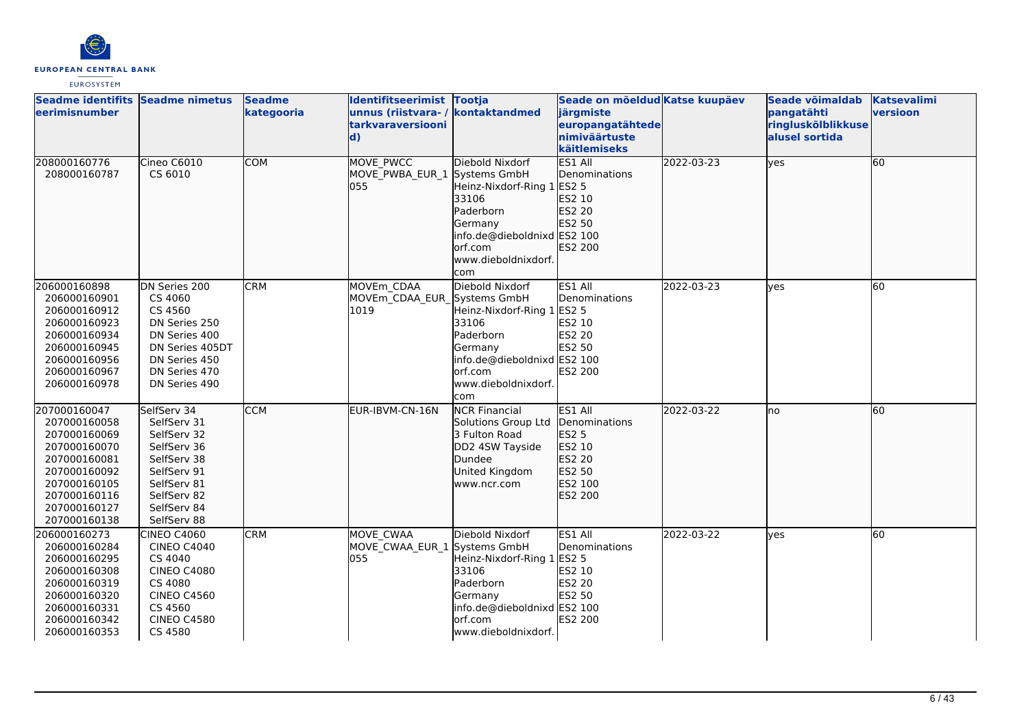

| Seadme identifits Seadme nimetus<br><b>leerimisnumber</b> |                            | <b>Seadme</b><br>kategooria | Identifitseerimist Tootja<br>unnus (riistvara- / kontaktandmed |                             | Seade on mõeldud Katse kuupäev<br>järgmiste |            | Seade võimaldab<br>pangatähti | <b>Katsevalimi</b><br>versioon |
|-----------------------------------------------------------|----------------------------|-----------------------------|----------------------------------------------------------------|-----------------------------|---------------------------------------------|------------|-------------------------------|--------------------------------|
|                                                           |                            |                             | <b>tarkvaraversiooni</b>                                       |                             | europangatähtede                            |            | ringluskõlblikkuse            |                                |
|                                                           |                            |                             | $\mathbf{d}$                                                   |                             | nimiväärtuste                               |            | alusel sortida                |                                |
|                                                           |                            |                             |                                                                |                             | käitlemiseks                                |            |                               |                                |
| 208000160776                                              | Cineo C6010                | <b>COM</b>                  | <b>MOVE PWCC</b>                                               | Diebold Nixdorf             | ES1 All                                     | 2022-03-23 | lves                          | 60                             |
| 208000160787                                              | CS 6010                    |                             | MOVE PWBA EUR 1                                                | Systems GmbH                | Denominations                               |            |                               |                                |
|                                                           |                            |                             | 055                                                            | Heinz-Nixdorf-Ring 1        | ES2 5                                       |            |                               |                                |
|                                                           |                            |                             |                                                                | 33106                       | ES2 10                                      |            |                               |                                |
|                                                           |                            |                             |                                                                | Paderborn                   | ES2 20                                      |            |                               |                                |
|                                                           |                            |                             |                                                                | Germany                     | ES2 50                                      |            |                               |                                |
|                                                           |                            |                             |                                                                | info.de@dieboldnixd ES2 100 |                                             |            |                               |                                |
|                                                           |                            |                             |                                                                | lorf.com                    | ES2 200                                     |            |                               |                                |
|                                                           |                            |                             |                                                                | www.dieboldnixdorf.         |                                             |            |                               |                                |
| 206000160898                                              | DN Series 200              | <b>CRM</b>                  | MOVEm CDAA                                                     | com<br>Diebold Nixdorf      | ES1 All                                     | 2022-03-23 | <b>ves</b>                    | 60                             |
| 206000160901                                              | CS 4060                    |                             | MOVEm_CDAA_EUR_                                                | Systems GmbH                | Denominations                               |            |                               |                                |
| 206000160912                                              | CS 4560                    |                             | 1019                                                           | Heinz-Nixdorf-Ring 1        | <b>ES2 5</b>                                |            |                               |                                |
| 206000160923                                              | DN Series 250              |                             |                                                                | 33106                       | ES2 10                                      |            |                               |                                |
| 206000160934                                              | DN Series 400              |                             |                                                                | Paderborn                   | <b>ES2 20</b>                               |            |                               |                                |
| 206000160945                                              | DN Series 405DT            |                             |                                                                | Germany                     | ES2 50                                      |            |                               |                                |
| 206000160956                                              | DN Series 450              |                             |                                                                | info.de@dieboldnixd ES2 100 |                                             |            |                               |                                |
| 206000160967                                              | DN Series 470              |                             |                                                                | lorf.com                    | <b>ES2 200</b>                              |            |                               |                                |
| 206000160978                                              | DN Series 490              |                             |                                                                | www.dieboldnixdorf.         |                                             |            |                               |                                |
|                                                           |                            |                             |                                                                | lcom                        |                                             |            |                               |                                |
| 207000160047                                              | SelfServ 34                | <b>CCM</b>                  | EUR-IBVM-CN-16N                                                | <b>NCR Financial</b>        | ES1 All                                     | 2022-03-22 | no                            | 60                             |
| 207000160058                                              | SelfServ 31                |                             |                                                                | Solutions Group Ltd         | Denominations                               |            |                               |                                |
| 207000160069                                              | SelfServ 32                |                             |                                                                | 3 Fulton Road               | <b>ES2 5</b>                                |            |                               |                                |
| 207000160070                                              | SelfServ 36                |                             |                                                                | DD2 4SW Tayside             | ES2 10                                      |            |                               |                                |
| 207000160081                                              | SelfServ 38                |                             |                                                                | Dundee                      | ES2 20                                      |            |                               |                                |
| 207000160092                                              | SelfServ 91                |                             |                                                                | United Kingdom              | ES2 50                                      |            |                               |                                |
| 207000160105<br>207000160116                              | SelfServ 81<br>SelfServ 82 |                             |                                                                | www.ncr.com                 | ES2 100<br>ES2 200                          |            |                               |                                |
| 207000160127                                              | SelfServ 84                |                             |                                                                |                             |                                             |            |                               |                                |
| 207000160138                                              | SelfServ 88                |                             |                                                                |                             |                                             |            |                               |                                |
| 206000160273                                              | <b>CINEO C4060</b>         | <b>CRM</b>                  | MOVE CWAA                                                      | Diebold Nixdorf             | ES1 All                                     | 2022-03-22 | yes                           | 60                             |
| 206000160284                                              | <b>CINEO C4040</b>         |                             | MOVE_CWAA_EUR_1 Systems GmbH                                   |                             | Denominations                               |            |                               |                                |
| 206000160295                                              | CS 4040                    |                             | 055                                                            | Heinz-Nixdorf-Ring 1        | <b>ES2 5</b>                                |            |                               |                                |
| 206000160308                                              | <b>CINEO C4080</b>         |                             |                                                                | 33106                       | ES2 10                                      |            |                               |                                |
| 206000160319                                              | CS 4080                    |                             |                                                                | Paderborn                   | <b>ES2 20</b>                               |            |                               |                                |
| 206000160320                                              | <b>CINEO C4560</b>         |                             |                                                                | Germany                     | ES2 50                                      |            |                               |                                |
| 206000160331                                              | CS 4560                    |                             |                                                                | info.de@dieboldnixd ES2 100 |                                             |            |                               |                                |
| 206000160342                                              | <b>CINEO C4580</b>         |                             |                                                                | orf.com                     | ES2 200                                     |            |                               |                                |
| 206000160353                                              | CS 4580                    |                             |                                                                | www.dieboldnixdorf.         |                                             |            |                               |                                |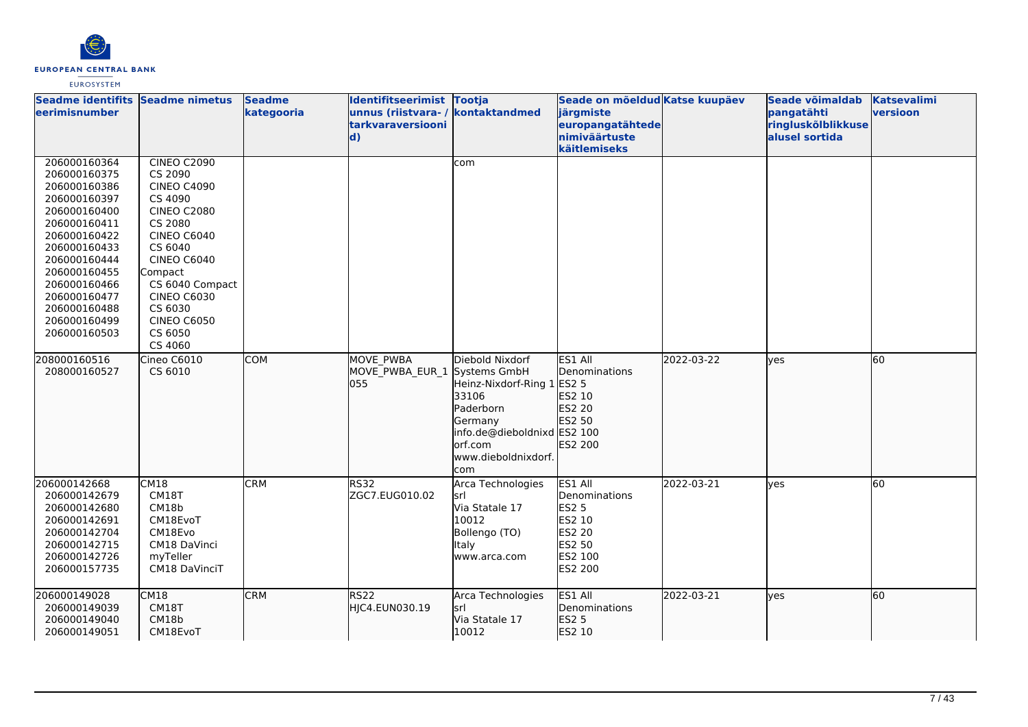

| Seadme identifits Seadme nimetus<br><b>eerimisnumber</b>                                                                                                                                                                                     |                                                                                                                                                                                                                                                                   | <b>Seadme</b><br>kategooria | Identifitseerimist Tootja<br>unnus (riistvara- / kontaktandmed<br>tarkvaraversiooni<br>$\mathbf{d}$ |                                                                                                                                                   | Seade on mõeldud Katse kuupäev<br>järgmiste<br>europangatähtede<br>nimiväärtuste<br>käitlemiseks           |            | Seade võimaldab<br>pangatähti<br>ringluskõlblikkuse<br>alusel sortida | <b>Katsevalimi</b><br>versioon |
|----------------------------------------------------------------------------------------------------------------------------------------------------------------------------------------------------------------------------------------------|-------------------------------------------------------------------------------------------------------------------------------------------------------------------------------------------------------------------------------------------------------------------|-----------------------------|-----------------------------------------------------------------------------------------------------|---------------------------------------------------------------------------------------------------------------------------------------------------|------------------------------------------------------------------------------------------------------------|------------|-----------------------------------------------------------------------|--------------------------------|
| 206000160364<br>206000160375<br>206000160386<br>206000160397<br>206000160400<br>206000160411<br>206000160422<br>206000160433<br>206000160444<br>206000160455<br>206000160466<br>206000160477<br>206000160488<br>206000160499<br>206000160503 | <b>CINEO C2090</b><br>CS 2090<br><b>CINEO C4090</b><br>CS 4090<br><b>CINEO C2080</b><br>CS 2080<br><b>CINEO C6040</b><br>CS 6040<br><b>CINEO C6040</b><br>Compact<br>CS 6040 Compact<br><b>CINEO C6030</b><br>CS 6030<br><b>CINEO C6050</b><br>CS 6050<br>CS 4060 |                             |                                                                                                     | com                                                                                                                                               |                                                                                                            |            |                                                                       |                                |
| 208000160516<br>208000160527                                                                                                                                                                                                                 | Cineo C6010<br>CS 6010                                                                                                                                                                                                                                            | <b>COM</b>                  | MOVE PWBA<br>MOVE PWBA EUR 1 Systems GmbH<br>055                                                    | Diebold Nixdorf<br>Heinz-Nixdorf-Ring 1<br>33106<br>Paderborn<br>Germany<br>info.de@dieboldnixd ES2 100<br>lorf.com<br>www.dieboldnixdorf.<br>com | <b>ES1 AII</b><br>Denominations<br>ES2 5<br>ES2 10<br>ES2 20<br>ES2 50<br>ES2 200                          | 2022-03-22 | <b>yes</b>                                                            | 60                             |
| 206000142668<br>206000142679<br>206000142680<br>206000142691<br>206000142704<br>206000142715<br>206000142726<br>206000157735                                                                                                                 | CM18<br>CM18T<br>CM18b<br>CM18EvoT<br>CM18Evo<br>CM18 DaVinci<br>myTeller<br>CM18 DaVinciT                                                                                                                                                                        | <b>CRM</b>                  | RS32<br>ZGC7.EUG010.02                                                                              | Arca Technologies<br>lsrl<br>Via Statale 17<br>10012<br>Bollengo (TO)<br>Italy<br>www.arca.com                                                    | ES1 All<br>Denominations<br><b>ES2 5</b><br>ES2 10<br>ES2 20<br>ES2 50<br><b>ES2 100</b><br><b>ES2 200</b> | 2022-03-21 | <b>ves</b>                                                            | 60                             |
| 206000149028<br>206000149039<br>206000149040<br>206000149051                                                                                                                                                                                 | CM18<br>CM18T<br>CM18b<br>CM18EvoT                                                                                                                                                                                                                                | <b>CRM</b>                  | RS <sub>22</sub><br>HJC4.EUN030.19                                                                  | Arca Technologies<br>lsrl<br>Via Statale 17<br>10012                                                                                              | ES1 All<br><b>Denominations</b><br>ES2 5<br>ES2 10                                                         | 2022-03-21 | lyes                                                                  | 60                             |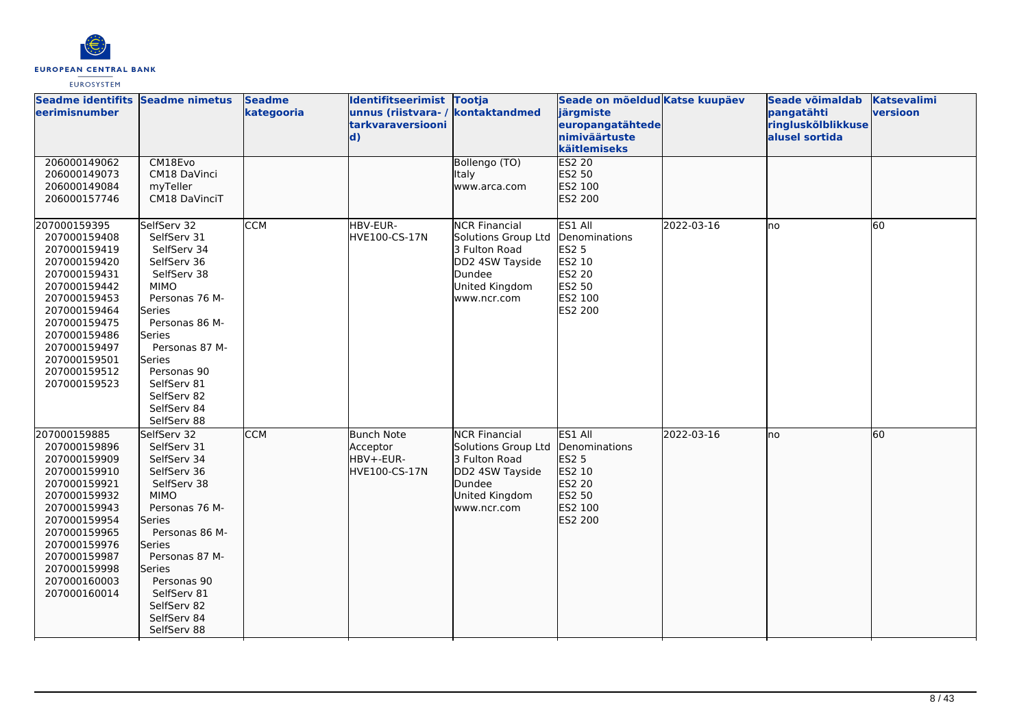

| Seadme identifits Seadme nimetus<br><b>leerimisnumber</b>                                                                                                                                                                    |                                                                                                                                                                                                                                                                      | <b>Seadme</b><br>kategooria | Identifitseerimist Tootja<br>unnus (riistvara- / kontaktandmed<br>tarkvaraversiooni<br>$\mathbf{d}$ |                                                                                                                            | Seade on mõeldud Katse kuupäev<br>järgmiste<br>europangatähtede<br>nimiväärtuste<br>käitlemiseks |            | Seade võimaldab<br>pangatähti<br>ringluskõlblikkuse<br>alusel sortida | <b>Katsevalimi</b><br>versioon |
|------------------------------------------------------------------------------------------------------------------------------------------------------------------------------------------------------------------------------|----------------------------------------------------------------------------------------------------------------------------------------------------------------------------------------------------------------------------------------------------------------------|-----------------------------|-----------------------------------------------------------------------------------------------------|----------------------------------------------------------------------------------------------------------------------------|--------------------------------------------------------------------------------------------------|------------|-----------------------------------------------------------------------|--------------------------------|
| 206000149062<br>206000149073<br>206000149084<br>206000157746                                                                                                                                                                 | CM18Evo<br>CM18 DaVinci<br>myTeller<br>CM18 DaVinciT                                                                                                                                                                                                                 |                             |                                                                                                     | Bollengo (TO)<br><b>Italy</b><br>www.arca.com                                                                              | ES2 20<br>ES2 50<br>ES2 100<br>ES2 200                                                           |            |                                                                       |                                |
| 207000159395<br>207000159408<br>207000159419<br>207000159420<br>207000159431<br>207000159442<br>207000159453<br>207000159464<br>207000159475<br>207000159486<br>207000159497<br>207000159501<br>207000159512<br>207000159523 | SelfServ 32<br>SelfServ 31<br>SelfServ 34<br>SelfServ 36<br>SelfServ 38<br><b>MIMO</b><br>Personas 76 M-<br>Series<br>Personas 86 M-<br>Series<br>Personas 87 M-<br>Series<br>Personas 90<br>SelfServ 81<br>SelfServ 82<br>SelfServ 84<br>SelfServ 88                | <b>CCM</b>                  | HBV-EUR-<br>HVE100-CS-17N                                                                           | <b>NCR Financial</b><br>Solutions Group Ltd<br>3 Fulton Road<br>DD2 4SW Tayside<br>Dundee<br>United Kingdom<br>www.ncr.com | ES1 All<br>Denominations<br>ES2 5<br>ES2 10<br>ES2 20<br>ES2 50<br>ES2 100<br>ES2 200            | 2022-03-16 | lno                                                                   | 60                             |
| 207000159885<br>207000159896<br>207000159909<br>207000159910<br>207000159921<br>207000159932<br>207000159943<br>207000159954<br>207000159965<br>207000159976<br>207000159987<br>207000159998<br>207000160003<br>207000160014 | SelfServ 32<br>SelfServ 31<br>SelfServ 34<br>SelfServ 36<br>SelfServ 38<br><b>MIMO</b><br>Personas 76 M-<br>lSeries<br>Personas 86 M-<br><b>Series</b><br>Personas 87 M-<br><b>Series</b><br>Personas 90<br>SelfServ 81<br>SelfServ 82<br>SelfServ 84<br>SelfServ 88 | <b>CCM</b>                  | <b>Bunch Note</b><br>Acceptor<br>HBV+-EUR-<br>HVE100-CS-17N                                         | <b>NCR Financial</b><br>Solutions Group Ltd<br>3 Fulton Road<br>DD2 4SW Tayside<br>Dundee<br>United Kingdom<br>www.ncr.com | ES1 All<br>Denominations<br>ES2 5<br>ES2 10<br>ES2 20<br>ES2 50<br>ES2 100<br>ES2 200            | 2022-03-16 | lno                                                                   | 60                             |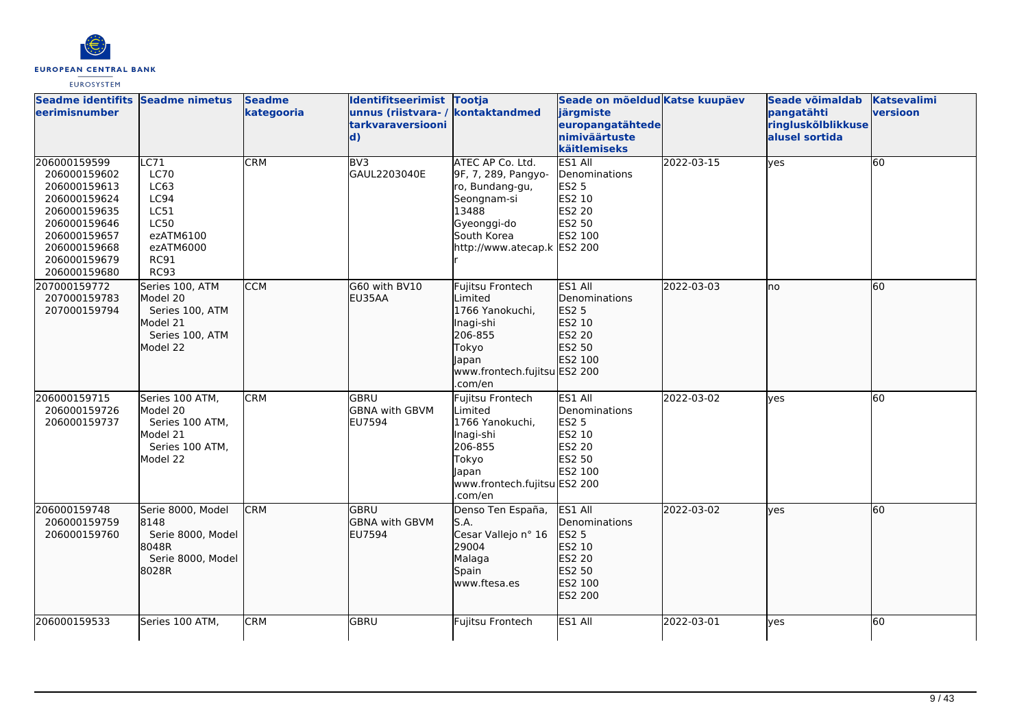

| Seadme identifits Seadme nimetus<br>leerimisnumber                                                                                                           |                                                                                                                                              | <b>Seadme</b><br>kategooria | Identifitseerimist Tootja<br>unnus (riistvara-/<br>tarkvaraversiooni<br>$\mathbf{d}$ | kontaktandmed                                                                                                                                   | Seade on mõeldud Katse kuupäev<br>järgmiste<br>europangatähtede<br>nimiväärtuste<br>käitlemiseks |            | Seade võimaldab<br>pangatähti<br>ringluskõlblikkuse<br>alusel sortida | <b>Katsevalimi</b><br>versioon |
|--------------------------------------------------------------------------------------------------------------------------------------------------------------|----------------------------------------------------------------------------------------------------------------------------------------------|-----------------------------|--------------------------------------------------------------------------------------|-------------------------------------------------------------------------------------------------------------------------------------------------|--------------------------------------------------------------------------------------------------|------------|-----------------------------------------------------------------------|--------------------------------|
| 206000159599<br>206000159602<br>206000159613<br>206000159624<br>206000159635<br>206000159646<br>206000159657<br>206000159668<br>206000159679<br>206000159680 | $\overline{\text{C71}}$<br><b>LC70</b><br>LC63<br><b>LC94</b><br>LC51<br><b>LC50</b><br>ezATM6100<br>ezATM6000<br><b>RC91</b><br><b>RC93</b> | CRM                         | BV3<br>GAUL2203040E                                                                  | ATEC AP Co. Ltd.<br>9F, 7, 289, Pangyo-<br>ro, Bundang-gu,<br>Seongnam-si<br>13488<br>Gyeonggi-do<br>South Korea<br>http://www.atecap.k ES2 200 | ES1 All<br>Denominations<br><b>ES2 5</b><br><b>ES2 10</b><br>ES2 20<br>ES2 50<br>ES2 100         | 2022-03-15 | yes                                                                   | 60                             |
| 207000159772<br>207000159783<br>207000159794                                                                                                                 | Series 100, ATM<br>Model 20<br>Series 100, ATM<br>Model 21<br>Series 100, ATM<br>Model 22                                                    | <b>CCM</b>                  | G60 with BV10<br>EU35AA                                                              | Fujitsu Frontech<br>Limited<br>1766 Yanokuchi,<br>Inagi-shi<br>206-855<br>Tokyo<br>Japan<br>www.frontech.fujitsu ES2 200<br>.com/en             | ES1 All<br><b>I</b> Denominations<br>ES2 5<br>ES2 10<br>ES2 20<br>ES2 50<br>ES2 100              | 2022-03-03 | no                                                                    | 60                             |
| 206000159715<br>206000159726<br>206000159737                                                                                                                 | Series 100 ATM,<br>Model 20<br>Series 100 ATM,<br>Model 21<br>Series 100 ATM,<br>Model 22                                                    | <b>CRM</b>                  | GBRU<br><b>GBNA with GBVM</b><br>EU7594                                              | Fujitsu Frontech<br>Limited<br>1766 Yanokuchi,<br>Inagi-shi<br>206-855<br>Tokyo<br>Japan<br>www.frontech.fujitsu ES2 200<br>.com/en             | ES1 All<br>Denominations<br>ES2 5<br>ES2 10<br>ES2 20<br>ES2 50<br>ES2 100                       | 2022-03-02 | yes                                                                   | 60                             |
| 206000159748<br>206000159759<br>206000159760                                                                                                                 | Serie 8000, Model<br>8148<br>Serie 8000, Model<br>8048R<br>Serie 8000, Model<br>8028R                                                        | <b>CRM</b>                  | <b>GBRU</b><br><b>GBNA with GBVM</b><br><b>EU7594</b>                                | Denso Ten España,<br>S.A.<br>Cesar Vallejo nº 16<br>29004<br>Malaga<br>Spain<br>www.ftesa.es                                                    | ES1 All<br>Denominations<br>ES2 5<br>ES2 10<br>ES2 20<br>ES2 50<br>ES2 100<br>ES2 200            | 2022-03-02 | lves                                                                  | 60                             |
| 206000159533                                                                                                                                                 | Series 100 ATM.                                                                                                                              | CRM                         | GBRU                                                                                 | Fujitsu Frontech                                                                                                                                | ES1 All                                                                                          | 2022-03-01 | ves                                                                   | 60                             |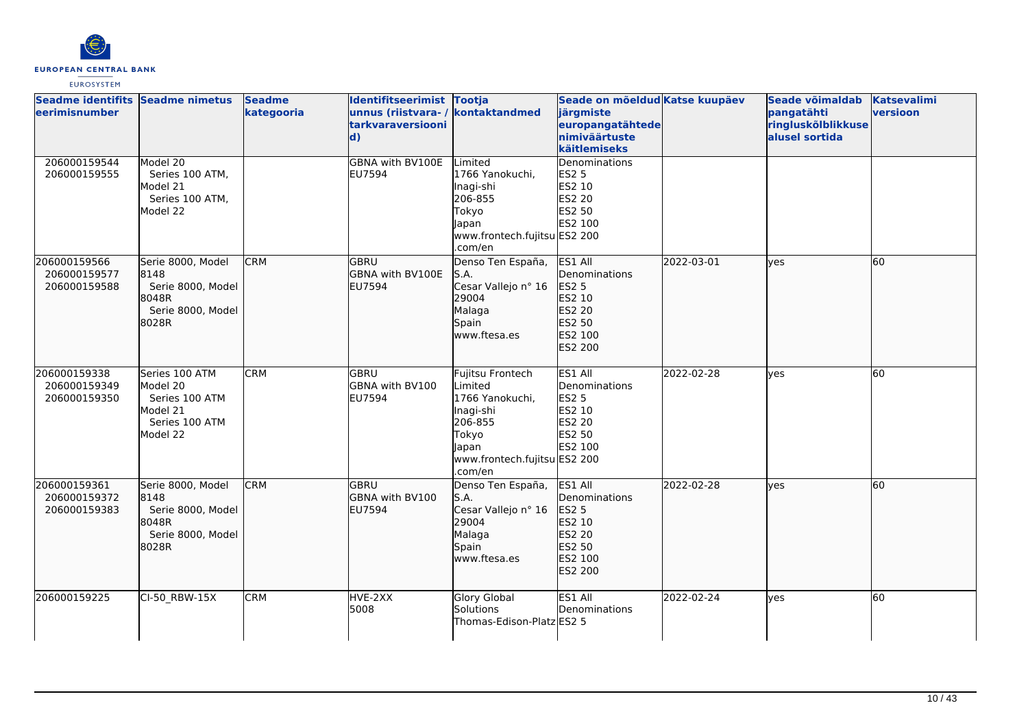

| Seadme identifits Seadme nimetus<br><b>eerimisnumber</b> |                                                                                        | <b>Seadme</b><br>kategooria | Identifitseerimist Tootja<br>unnus (riistvara- / kontaktandmed<br>tarkvaraversiooni<br>$\mathbf{d}$ |                                                                                                                                     | Seade on mõeldud Katse kuupäev<br>järgmiste<br>europangatähtede<br>nimiväärtuste<br>käitlemiseks |            | Seade võimaldab<br>pangatähti<br>ringluskõlblikkuse<br>alusel sortida | <b>Katsevalimi</b><br>versioon |
|----------------------------------------------------------|----------------------------------------------------------------------------------------|-----------------------------|-----------------------------------------------------------------------------------------------------|-------------------------------------------------------------------------------------------------------------------------------------|--------------------------------------------------------------------------------------------------|------------|-----------------------------------------------------------------------|--------------------------------|
| 206000159544<br>206000159555                             | Model 20<br>Series 100 ATM,<br>Model 21<br>Series 100 ATM,<br>Model 22                 |                             | GBNA with BV100E<br><b>EU7594</b>                                                                   | Limited<br>1766 Yanokuchi,<br>Inagi-shi<br>206-855<br>Tokyo<br>Japan<br>www.frontech.fujitsu ES2 200<br>.com/en                     | Denominations<br>ES2 5<br>ES2 10<br>ES2 20<br>ES2 50<br>ES2 100                                  |            |                                                                       |                                |
| 206000159566<br>206000159577<br>206000159588             | Serie 8000, Model<br>8148<br>Serie 8000, Model<br>8048R<br>Serie 8000, Model<br>8028R  | <b>CRM</b>                  | <b>GBRU</b><br>GBNA with BV100E<br><b>EU7594</b>                                                    | Denso Ten España,<br>S.A.<br>Cesar Vallejo nº 16<br>29004<br>Malaga<br>Spain<br>www.ftesa.es                                        | ES1 All<br>Denominations<br>ES2 5<br>ES2 10<br>ES2 20<br>ES2 50<br>ES2 100<br>ES2 200            | 2022-03-01 | <b>lves</b>                                                           | 60                             |
| 206000159338<br>206000159349<br>206000159350             | Series 100 ATM<br>Model 20<br>Series 100 ATM<br>Model 21<br>Series 100 ATM<br>Model 22 | <b>CRM</b>                  | IGBRU<br>GBNA with BV100<br>EU7594                                                                  | Fujitsu Frontech<br>Limited<br>1766 Yanokuchi,<br>Inagi-shi<br>206-855<br>Tokyo<br>Japan<br>www.frontech.fujitsu ES2 200<br>.com/en | ES1 All<br>Denominations<br><b>ES2 5</b><br>ES2 10<br>ES2 20<br><b>ES2 50</b><br>ES2 100         | 2022-02-28 | yes                                                                   | 60                             |
| 206000159361<br>206000159372<br>206000159383             | Serie 8000, Model<br>8148<br>Serie 8000, Model<br>8048R<br>Serie 8000, Model<br>8028R  | <b>CRM</b>                  | lgbru<br>GBNA with BV100<br>EU7594                                                                  | Denso Ten España,<br>S.A.<br>Cesar Vallejo nº 16<br>29004<br>Malaga<br>Spain<br>www.ftesa.es                                        | ES1 All<br>Denominations<br>ES2 5<br>ES2 10<br>ES2 20<br>ES2 50<br>ES2 100<br>ES2 200            | 2022-02-28 | <b>lves</b>                                                           | 60                             |
| 206000159225                                             | CI-50_RBW-15X                                                                          | <b>CRM</b>                  | HVE-2XX<br>5008                                                                                     | <b>Glory Global</b><br>Solutions<br>Thomas-Edison-Platz ES2 5                                                                       | ES1 All<br>Denominations                                                                         | 2022-02-24 | <b>ves</b>                                                            | 60                             |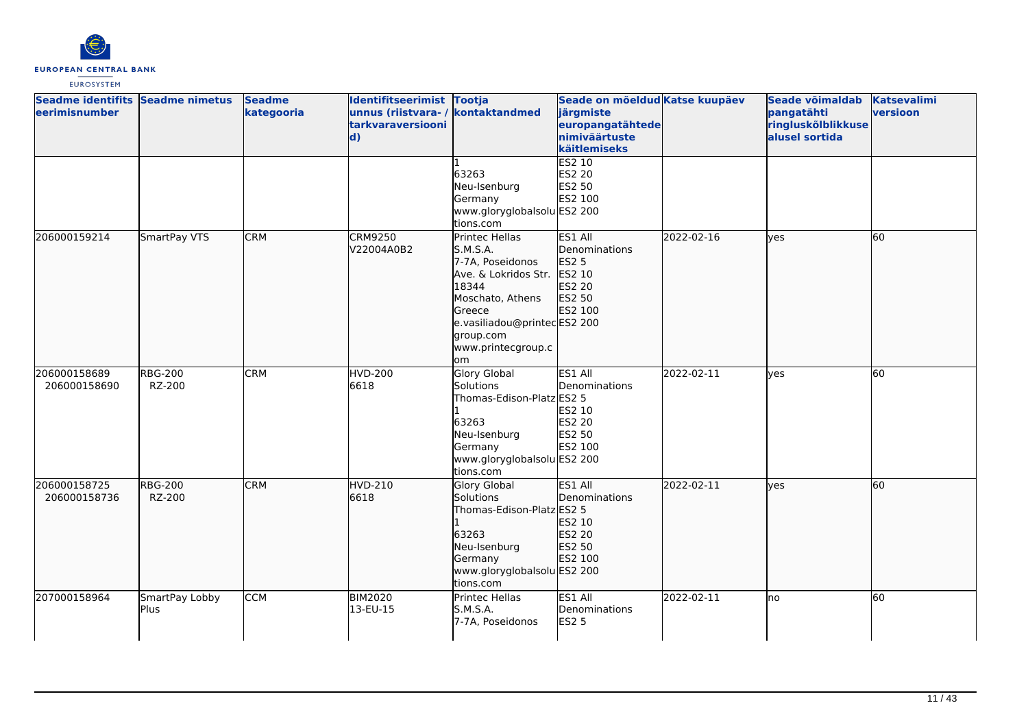

| Seadme identifits Seadme nimetus<br>eerimisnumber |                          | <b>Seadme</b><br>kategooria | Identifitseerimist Tootja<br>unnus (riistvara- / kontaktandmed<br>tarkvaraversiooni<br>$\mathbf{d}$ |                                                                                                                                                                                        | Seade on mõeldud Katse kuupäev<br>järgmiste<br>europangatähtede<br>nimiväärtuste<br>käitlemiseks |            | Seade võimaldab<br>pangatähti<br>ringluskõlblikkuse<br>alusel sortida | <b>Katsevalimi</b><br>versioon |
|---------------------------------------------------|--------------------------|-----------------------------|-----------------------------------------------------------------------------------------------------|----------------------------------------------------------------------------------------------------------------------------------------------------------------------------------------|--------------------------------------------------------------------------------------------------|------------|-----------------------------------------------------------------------|--------------------------------|
|                                                   |                          |                             |                                                                                                     | 63263<br>Neu-Isenburg<br>Germany<br>www.gloryglobalsolu ES2 200<br>tions.com                                                                                                           | <b>ES2 10</b><br>ES2 20<br>ES2 50<br>ES2 100                                                     |            |                                                                       |                                |
| 206000159214                                      | SmartPay VTS             | <b>CRM</b>                  | <b>CRM9250</b><br>V22004A0B2                                                                        | Printec Hellas<br>S.M.S.A.<br>7-7A, Poseidonos<br>Ave. & Lokridos Str.<br>18344<br>Moschato, Athens<br>Greece<br>e.vasiliadou@printecES2 200<br>group.com<br>www.printecgroup.c<br>lom | ES1 All<br>Denominations<br>ES2 5<br>ES2 10<br>ES2 20<br>ES2 50<br>ES2 100                       | 2022-02-16 | lyes                                                                  | 60                             |
| 206000158689<br>206000158690                      | <b>RBG-200</b><br>RZ-200 | <b>CRM</b>                  | HVD-200<br>6618                                                                                     | <b>Glory Global</b><br>Solutions<br>Thomas-Edison-Platz ES2 5<br>63263<br>Neu-Isenburg<br>Germany<br>www.gloryglobalsolu ES2 200<br>tions.com                                          | ES1 All<br>Denominations<br>ES2 10<br><b>ES2 20</b><br>ES2 50<br>ES2 100                         | 2022-02-11 | yes                                                                   | 60                             |
| 206000158725<br>206000158736                      | <b>RBG-200</b><br>RZ-200 | <b>CRM</b>                  | <b>HVD-210</b><br>6618                                                                              | <b>Glory Global</b><br>Solutions<br>Thomas-Edison-Platz ES2 5<br>63263<br>Neu-Isenburg<br>Germany<br>www.gloryglobalsolu ES2 200<br>tions.com                                          | ES1 All<br>Denominations<br>ES2 10<br>ES2 20<br>ES2 50<br>ES2 100                                | 2022-02-11 | lves                                                                  | 60                             |
| 207000158964                                      | SmartPay Lobby<br>Plus   | <b>CCM</b>                  | <b>BIM2020</b><br>13-EU-15                                                                          | Printec Hellas<br>S.M.S.A.<br>7-7A, Poseidonos                                                                                                                                         | ES1 All<br>Denominations<br><b>ES2 5</b>                                                         | 2022-02-11 | Ino                                                                   | 60                             |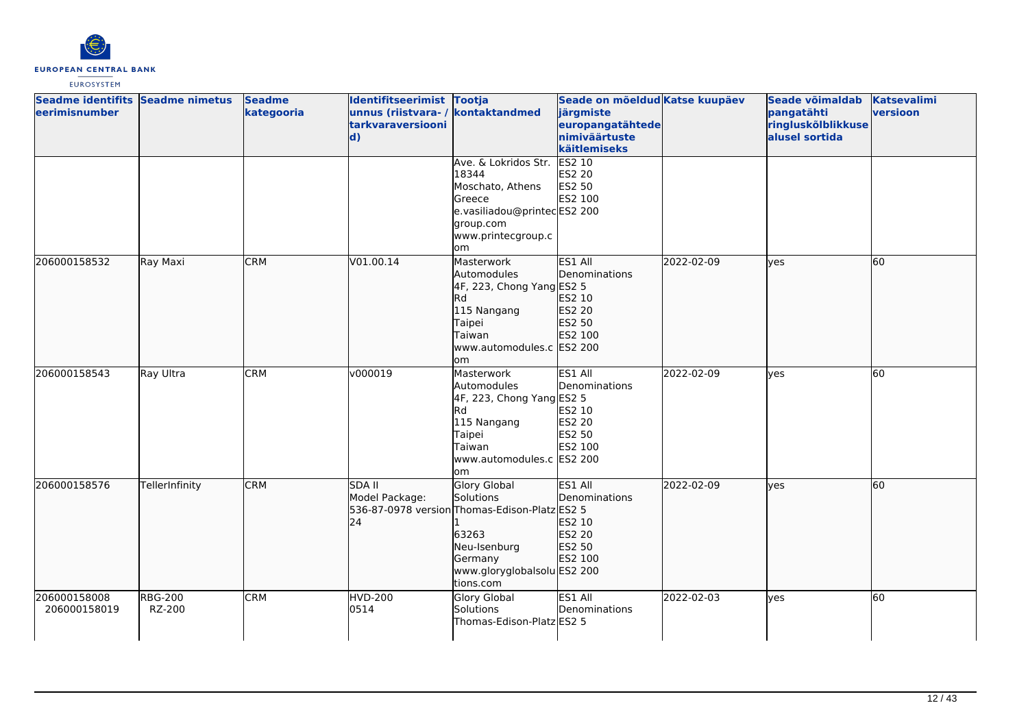

| Seadme identifits Seadme nimetus<br>eerimisnumber |                          | <b>Seadme</b><br>kategooria | Identifitseerimist Tootja<br>unnus (riistvara- / kontaktandmed<br><b>tarkvaraversiooni</b><br>$\mathbf{d}$ | Ave. & Lokridos Str.<br>18344<br>Moschato, Athens<br><b>Greece</b><br>e.vasiliadou@printecES2 200<br>group.com                                                    | Seade on mõeldud Katse kuupäev<br>järgmiste<br>europangatähtede<br>nimiväärtuste<br>käitlemiseks<br>ES2 10<br>ES2 20<br>ES2 50<br>ES2 100 |            | Seade võimaldab<br>pangatähti<br>ringluskõlblikkuse<br>alusel sortida | <b>Katsevalimi</b><br>versioon |
|---------------------------------------------------|--------------------------|-----------------------------|------------------------------------------------------------------------------------------------------------|-------------------------------------------------------------------------------------------------------------------------------------------------------------------|-------------------------------------------------------------------------------------------------------------------------------------------|------------|-----------------------------------------------------------------------|--------------------------------|
| 206000158532                                      | Ray Maxi                 | <b>CRM</b>                  | V01.00.14                                                                                                  | www.printecgroup.c<br>om<br>Masterwork<br>Automodules                                                                                                             | ES1 All<br><b>IDenominations</b>                                                                                                          | 2022-02-09 | lves                                                                  | 60                             |
|                                                   |                          |                             |                                                                                                            | 4F, 223, Chong Yang ES2 5<br>Rd<br>115 Nangang<br>Taipei<br>Taiwan<br>www.automodules.c ES2 200<br>lom                                                            | ES2 10<br>ES2 20<br>ES2 50<br>ES2 100                                                                                                     |            |                                                                       |                                |
| 206000158543                                      | Ray Ultra                | <b>CRM</b>                  | v000019                                                                                                    | Masterwork<br>Automodules<br>4F, 223, Chong Yang ES2 5<br>Rd<br>115 Nangang<br>Taipei<br>Taiwan<br>www.automodules.c ES2 200<br>om                                | ES1 All<br>Denominations<br>ES2 10<br><b>ES2 20</b><br>ES2 50<br>ES2 100                                                                  | 2022-02-09 | <b>yes</b>                                                            | 60                             |
| 206000158576                                      | TellerInfinity           | <b>CRM</b>                  | <b>SDA II</b><br>Model Package:<br>24                                                                      | <b>Glory Global</b><br>Solutions<br>536-87-0978 version Thomas-Edison-Platz ES2 5<br>63263<br>Neu-Isenburg<br>Germany<br>www.gloryglobalsolu ES2 200<br>tions.com | ES1 All<br>Denominations<br>ES2 10<br>ES2 20<br>ES2 50<br>ES2 100                                                                         | 2022-02-09 | lves                                                                  | 60                             |
| 206000158008<br>206000158019                      | <b>RBG-200</b><br>RZ-200 | <b>CRM</b>                  | <b>HVD-200</b><br>0514                                                                                     | Glory Global<br>Solutions<br>Thomas-Edison-Platz ES2 5                                                                                                            | ES1 All<br>Denominations                                                                                                                  | 2022-02-03 | lves                                                                  | 60                             |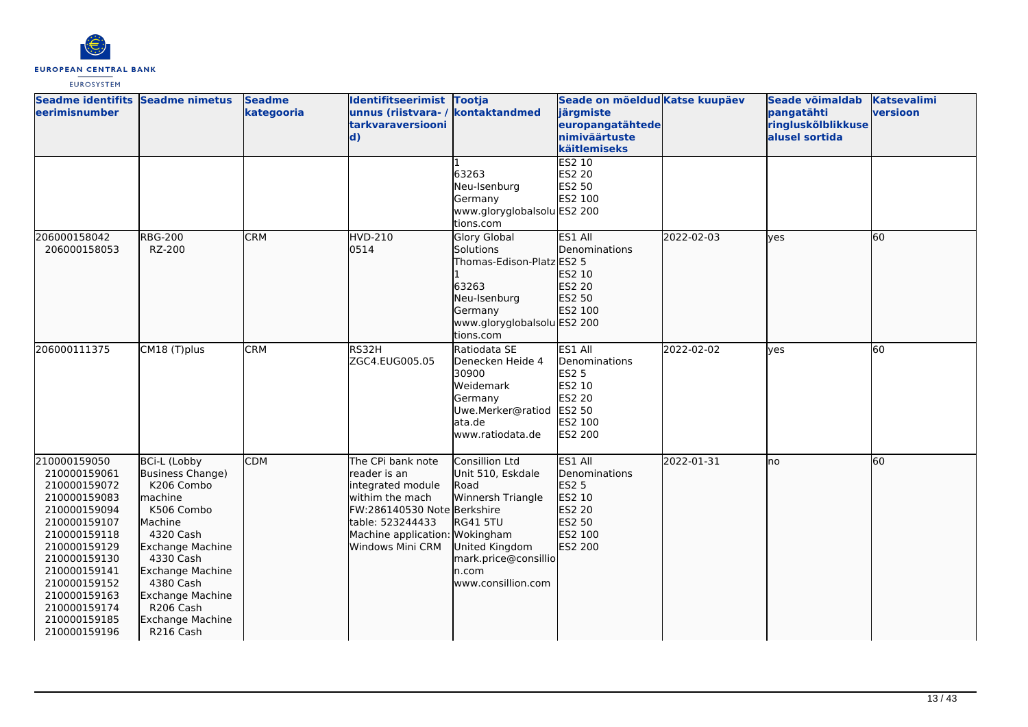

| Seadme identifits Seadme nimetus<br>eerimisnumber                                                                                                                                                                                            |                                                                                                                                                                                                                                                                       | <b>Seadme</b><br>kategooria | Identifitseerimist Tootja<br>unnus (riistvara- / kontaktandmed<br>tarkvaraversiooni<br>$\mathbf{d}$                                                                                 |                                                                                                                                                              | Seade on mõeldud Katse kuupäev<br>järgmiste<br>europangatähtede<br>nimiväärtuste<br>käitlemiseks<br><b>ES2 10</b> |            | Seade võimaldab<br>pangatähti<br>ringluskõlblikkuse<br>alusel sortida | <b>Katsevalimi</b><br>versioon |
|----------------------------------------------------------------------------------------------------------------------------------------------------------------------------------------------------------------------------------------------|-----------------------------------------------------------------------------------------------------------------------------------------------------------------------------------------------------------------------------------------------------------------------|-----------------------------|-------------------------------------------------------------------------------------------------------------------------------------------------------------------------------------|--------------------------------------------------------------------------------------------------------------------------------------------------------------|-------------------------------------------------------------------------------------------------------------------|------------|-----------------------------------------------------------------------|--------------------------------|
|                                                                                                                                                                                                                                              |                                                                                                                                                                                                                                                                       |                             |                                                                                                                                                                                     | 63263<br>Neu-Isenburg<br>Germany<br>www.gloryglobalsolu ES2 200<br>tions.com                                                                                 | ES2 20<br>ES2 50<br>ES2 100                                                                                       |            |                                                                       |                                |
| 206000158042<br>206000158053                                                                                                                                                                                                                 | <b>RBG-200</b><br>RZ-200                                                                                                                                                                                                                                              | <b>CRM</b>                  | <b>HVD-210</b><br>0514                                                                                                                                                              | <b>Glory Global</b><br>Solutions<br>Thomas-Edison-Platz ES2 5<br>63263<br>Neu-Isenburg<br>Germany<br>www.gloryglobalsolu ES2 200<br>tions.com                | ES1 All<br><b>I</b> Denominations<br>ES2 10<br>ES2 20<br>ES2 50<br>ES2 100                                        | 2022-02-03 | lves                                                                  | 60                             |
| 206000111375                                                                                                                                                                                                                                 | CM18 (T)plus                                                                                                                                                                                                                                                          | <b>CRM</b>                  | RS32H<br>ZGC4.EUG005.05                                                                                                                                                             | Ratiodata SE<br>Denecken Heide 4<br>30900<br>Weidemark<br>Germany<br>Uwe.Merker@ratiod<br>lata.de<br>www.ratiodata.de                                        | ES1 All<br>Denominations<br><b>ES2 5</b><br>ES2 10<br>ES2 20<br>ES2 50<br>ES2 100<br><b>ES2 200</b>               | 2022-02-02 | ves                                                                   | 60                             |
| 210000159050<br>210000159061<br>210000159072<br>210000159083<br>210000159094<br>210000159107<br>210000159118<br>210000159129<br>210000159130<br>210000159141<br>210000159152<br>210000159163<br>210000159174<br>210000159185<br>210000159196 | <b>BCi-L (Lobby</b><br>Business Change)<br>K206 Combo<br>lmachine<br>K506 Combo<br>Machine<br>4320 Cash<br>Exchange Machine<br>4330 Cash<br><b>Exchange Machine</b><br>4380 Cash<br><b>Exchange Machine</b><br>R <sub>206</sub> Cash<br>Exchange Machine<br>R216 Cash | <b>CDM</b>                  | The CPi bank note<br>lreader is an<br>integrated module<br>withim the mach<br>FW:286140530 Note Berkshire<br>table: 523244433<br>Machine application: Wokingham<br>Windows Mini CRM | Consillion Ltd<br>Unit 510, Eskdale<br>Road<br>Winnersh Triangle<br><b>RG41 5TU</b><br>United Kingdom<br>mark.price@consillio<br>n.com<br>www.consillion.com | ES1 All<br>Denominations<br><b>ES2 5</b><br>ES2 10<br>ES2 20<br>ES2 50<br>ES2 100<br>ES2 200                      | 2022-01-31 | no                                                                    | 60                             |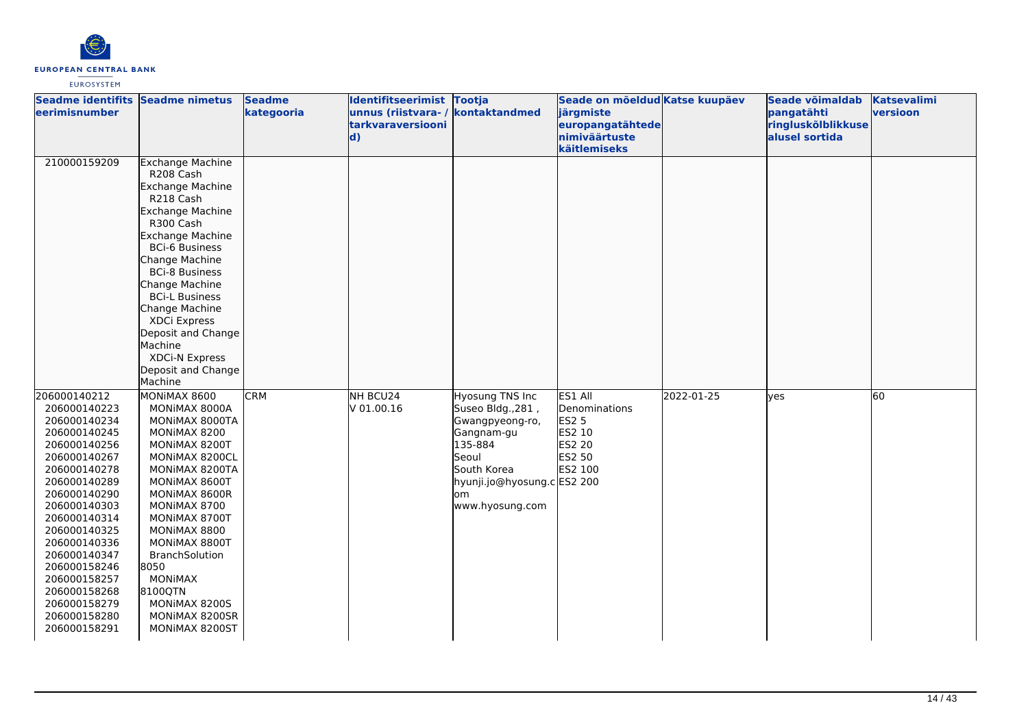

| Seadme identifits Seadme nimetus<br><u>leerimisnumber</u>                                                                                                                                                                                                                                                                    |                                                                                                                                                                                                                                                                                                                                                                        | <b>Seadme</b><br>kategooria | Identifitseerimist Tootja<br>unnus (riistvara-/<br><b>tarkvaraversiooni</b><br>$\mathbf{d}$ | kontaktandmed                                                                                                                                                           | Seade on mõeldud Katse kuupäev<br>järgmiste<br>europangatähtede<br>nimiväärtuste<br>käitlemiseks |            | Seade võimaldab<br>pangatähti<br>ringluskõlblikkuse<br>alusel sortida | <b>Katsevalimi</b><br>versioon |
|------------------------------------------------------------------------------------------------------------------------------------------------------------------------------------------------------------------------------------------------------------------------------------------------------------------------------|------------------------------------------------------------------------------------------------------------------------------------------------------------------------------------------------------------------------------------------------------------------------------------------------------------------------------------------------------------------------|-----------------------------|---------------------------------------------------------------------------------------------|-------------------------------------------------------------------------------------------------------------------------------------------------------------------------|--------------------------------------------------------------------------------------------------|------------|-----------------------------------------------------------------------|--------------------------------|
| 210000159209                                                                                                                                                                                                                                                                                                                 | <b>Exchange Machine</b><br>R208 Cash<br>Exchange Machine<br>R218 Cash<br><b>Exchange Machine</b><br>R300 Cash<br>Exchange Machine<br><b>BCi-6 Business</b><br>Change Machine<br><b>BCi-8 Business</b><br>Change Machine<br><b>BCi-L Business</b><br>Change Machine<br>XDCi Express<br>Deposit and Change<br>Machine<br>XDCi-N Express<br>Deposit and Change<br>Machine |                             |                                                                                             |                                                                                                                                                                         |                                                                                                  |            |                                                                       |                                |
| 206000140212<br>206000140223<br>206000140234<br>206000140245<br>206000140256<br>206000140267<br>206000140278<br>206000140289<br>206000140290<br>206000140303<br>206000140314<br>206000140325<br>206000140336<br>206000140347<br>206000158246<br>206000158257<br>206000158268<br>206000158279<br>206000158280<br>206000158291 | MONIMAX 8600<br>MONIMAX 8000A<br>MONIMAX 8000TA<br>MONIMAX 8200<br>MONIMAX 8200T<br>MONIMAX 8200CL<br>MONIMAX 8200TA<br>MONIMAX 8600T<br>MONIMAX 8600R<br>MONIMAX 8700<br>MONIMAX 8700T<br>MONIMAX 8800<br>MONIMAX 8800T<br><b>BranchSolution</b><br>8050<br><b>MONIMAX</b><br>8100QTN<br>MONIMAX 8200S<br>MONIMAX 8200SR<br>MONIMAX 8200ST                            | <b>CRM</b>                  | NH BCU24<br>V 01.00.16                                                                      | <b>Hyosung TNS Inc</b><br>Suseo Bldg., 281,<br>Gwangpyeong-ro,<br>Gangnam-gu<br>135-884<br>Seoul<br>South Korea<br>hyunji.jo@hyosung.c ES2 200<br>om<br>www.hyosung.com | ES1 All<br>Denominations<br><b>ES2 5</b><br>ES2 10<br><b>ES2 20</b><br>ES2 50<br>ES2 100         | 2022-01-25 | <b>ves</b>                                                            | 60                             |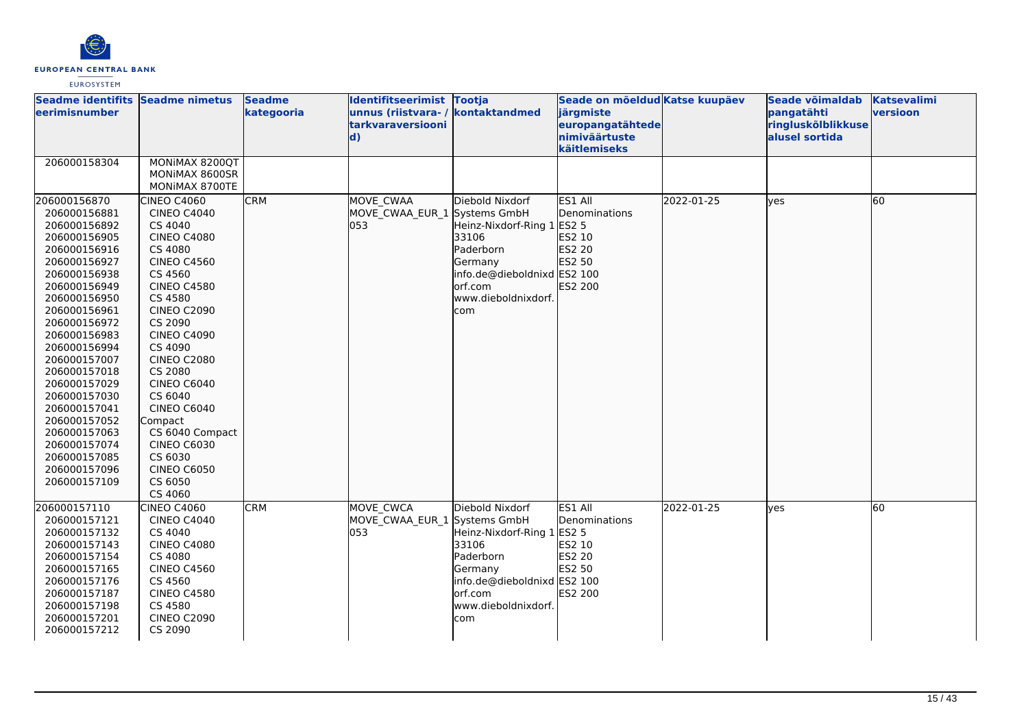

| Seadme identifits Seadme nimetus<br>leerimisnumber                                                                                                                                                                                                                                                                                                                                           |                                                                                                                                                                                                                                                                                                                                                                                                                             | <b>Seadme</b><br>kategooria | Identifitseerimist Tootja<br>unnus (riistvara-/<br>tarkvaraversiooni<br>$\mathbf{d}$ | kontaktandmed                                                                                                                                                          | Seade on mõeldud Katse kuupäev<br>järgmiste<br>europangatähtede<br>nimiväärtuste<br>käitlemiseks |            | Seade võimaldab<br>pangatähti<br>ringluskõlblikkuse<br>alusel sortida | <b>Katsevalimi</b><br>versioon |
|----------------------------------------------------------------------------------------------------------------------------------------------------------------------------------------------------------------------------------------------------------------------------------------------------------------------------------------------------------------------------------------------|-----------------------------------------------------------------------------------------------------------------------------------------------------------------------------------------------------------------------------------------------------------------------------------------------------------------------------------------------------------------------------------------------------------------------------|-----------------------------|--------------------------------------------------------------------------------------|------------------------------------------------------------------------------------------------------------------------------------------------------------------------|--------------------------------------------------------------------------------------------------|------------|-----------------------------------------------------------------------|--------------------------------|
| 206000158304                                                                                                                                                                                                                                                                                                                                                                                 | MONIMAX 8200QT<br>MONIMAX 8600SR<br>MONIMAX 8700TE                                                                                                                                                                                                                                                                                                                                                                          |                             |                                                                                      |                                                                                                                                                                        |                                                                                                  |            |                                                                       |                                |
| 206000156870<br>206000156881<br>206000156892<br>206000156905<br>206000156916<br>206000156927<br>206000156938<br>206000156949<br>206000156950<br>206000156961<br>206000156972<br>206000156983<br>206000156994<br>206000157007<br>206000157018<br>206000157029<br>206000157030<br>206000157041<br>206000157052<br>206000157063<br>206000157074<br>206000157085<br>206000157096<br>206000157109 | <b>CINEO C4060</b><br><b>CINEO C4040</b><br>CS 4040<br><b>CINEO C4080</b><br>CS 4080<br><b>CINEO C4560</b><br>CS 4560<br><b>CINEO C4580</b><br>CS 4580<br><b>CINEO C2090</b><br>CS 2090<br><b>CINEO C4090</b><br>CS 4090<br><b>CINEO C2080</b><br>CS 2080<br><b>CINEO C6040</b><br>CS 6040<br><b>CINEO C6040</b><br>Compact<br>CS 6040 Compact<br><b>CINEO C6030</b><br>CS 6030<br><b>CINEO C6050</b><br>CS 6050<br>CS 4060 | <b>CRM</b>                  | MOVE CWAA<br>MOVE CWAA EUR 1 Systems GmbH<br>053                                     | Diebold Nixdorf<br>Heinz-Nixdorf-Ring 1 ES2 5<br>33106<br>Paderborn<br>Germany<br>info.de@dieboldnixd ES2 100<br>lorf.com<br>www.dieboldnixdorf.<br>com                | ES1 All<br>Denominations<br>ES2 10<br>ES2 20<br>ES2 50<br><b>ES2 200</b>                         | 2022-01-25 | ves                                                                   | 60                             |
| 206000157110<br>206000157121<br>206000157132<br>206000157143<br>206000157154<br>206000157165<br>206000157176<br>206000157187<br>206000157198<br>206000157201<br>206000157212                                                                                                                                                                                                                 | CINEO C4060<br><b>CINEO C4040</b><br>CS 4040<br><b>CINEO C4080</b><br>CS 4080<br><b>CINEO C4560</b><br>CS 4560<br><b>CINEO C4580</b><br>CS 4580<br><b>CINEO C2090</b><br>CS 2090                                                                                                                                                                                                                                            | <b>CRM</b>                  | <b>MOVE CWCA</b><br>MOVE CWAA EUR 1<br>053                                           | Diebold Nixdorf<br>Systems GmbH<br>Heinz-Nixdorf-Ring 1 ES2 5<br>33106<br>Paderborn<br>Germany<br>info.de@dieboldnixd ES2 100<br>orf.com<br>www.dieboldnixdorf.<br>com | ES1 All<br>Denominations<br>ES2 10<br><b>ES2 20</b><br>ES2 50<br><b>IES2 200</b>                 | 2022-01-25 | ves                                                                   | 60                             |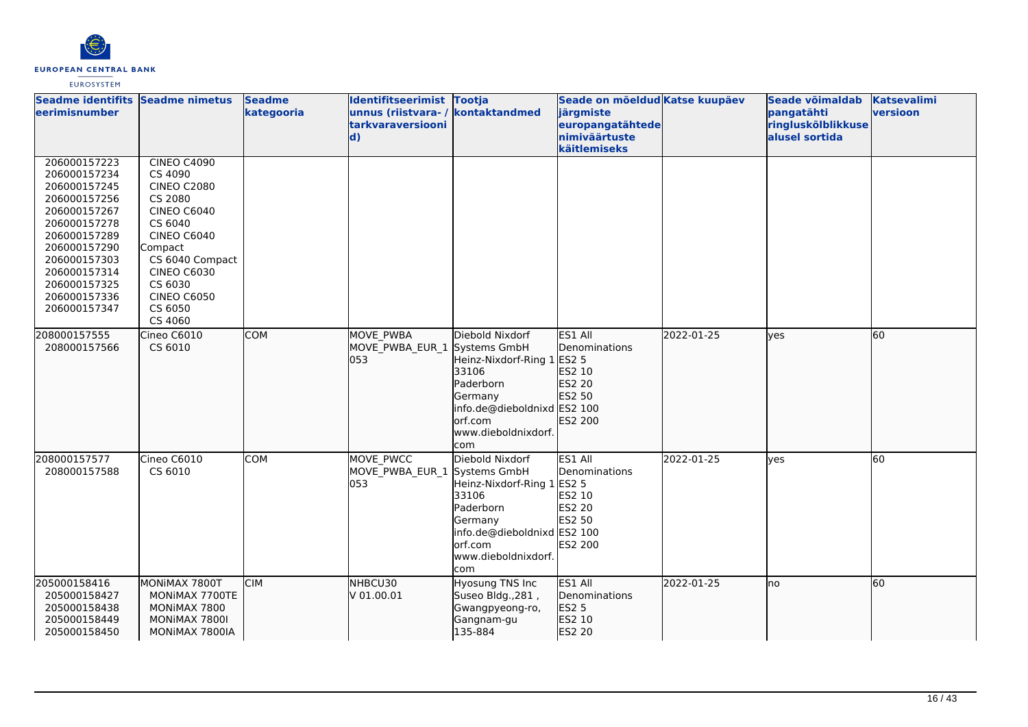

| Seadme identifits Seadme nimetus<br>leerimisnumber                                                                                                                                                           |                                                                                                                                                                                                                                  | <b>Seadme</b><br>kategooria | Identifitseerimist Tootja<br>unnus (riistvara- / kontaktandmed<br>tarkvaraversiooni<br>$\mathbf{d}$ |                                                                                                                                                  | Seade on mõeldud Katse kuupäev<br>järgmiste<br>europangatähtede<br>nimiväärtuste<br>käitlemiseks |            | Seade võimaldab<br>pangatähti<br>ringluskõlblikkuse<br>alusel sortida | <b>Katsevalimi</b><br>versioon |
|--------------------------------------------------------------------------------------------------------------------------------------------------------------------------------------------------------------|----------------------------------------------------------------------------------------------------------------------------------------------------------------------------------------------------------------------------------|-----------------------------|-----------------------------------------------------------------------------------------------------|--------------------------------------------------------------------------------------------------------------------------------------------------|--------------------------------------------------------------------------------------------------|------------|-----------------------------------------------------------------------|--------------------------------|
| 206000157223<br>206000157234<br>206000157245<br>206000157256<br>206000157267<br>206000157278<br>206000157289<br>206000157290<br>206000157303<br>206000157314<br>206000157325<br>206000157336<br>206000157347 | <b>CINEO C4090</b><br>CS 4090<br><b>CINEO C2080</b><br>CS 2080<br><b>CINEO C6040</b><br>CS 6040<br><b>CINEO C6040</b><br>Compact<br>CS 6040 Compact<br><b>CINEO C6030</b><br>CS 6030<br><b>CINEO C6050</b><br>CS 6050<br>CS 4060 |                             |                                                                                                     |                                                                                                                                                  |                                                                                                  |            |                                                                       |                                |
| 208000157555<br>208000157566                                                                                                                                                                                 | Cineo C6010<br>CS 6010                                                                                                                                                                                                           | <b>COM</b>                  | <b>MOVE PWBA</b><br>MOVE PWBA EUR 1 Systems GmbH<br>l053                                            | Diebold Nixdorf<br>Heinz-Nixdorf-Ring 1<br>33106<br>Paderborn<br>Germany<br>info.de@dieboldnixd ES2 100<br>orf.com<br>www.dieboldnixdorf.<br>com | ES1 All<br>Denominations<br>ES2 5<br>ES2 10<br>ES2 20<br>ES2 50<br>ES2 200                       | 2022-01-25 | ves                                                                   | 60                             |
| 208000157577<br>208000157588                                                                                                                                                                                 | Cineo C6010<br>CS 6010                                                                                                                                                                                                           | <b>COM</b>                  | MOVE PWCC<br>MOVE_PWBA_EUR_1 Systems GmbH<br>053                                                    | Diebold Nixdorf<br>Heinz-Nixdorf-Ring 1<br>33106<br>Paderborn<br>Germany<br>info.de@dieboldnixd ES2 100<br>orf.com<br>www.dieboldnixdorf.<br>com | ES1 All<br>Denominations<br><b>ES2 5</b><br>ES2 10<br><b>ES2 20</b><br>ES2 50<br>ES2 200         | 2022-01-25 | yes                                                                   | 60                             |
| 205000158416<br>205000158427<br>205000158438<br>205000158449<br>205000158450                                                                                                                                 | MONIMAX 7800T<br>MONIMAX 7700TE<br>MONIMAX 7800<br>MONIMAX 7800I<br>MONIMAX 7800IA                                                                                                                                               | <b>CIM</b>                  | NHBCU30<br>V 01.00.01                                                                               | Hyosung TNS Inc<br>Suseo Bldg., 281,<br>Gwangpyeong-ro,<br>Gangnam-gu<br>135-884                                                                 | ES1 All<br>Denominations<br><b>ES2 5</b><br>ES2 10<br>ES2 20                                     | 2022-01-25 | lno                                                                   | 60                             |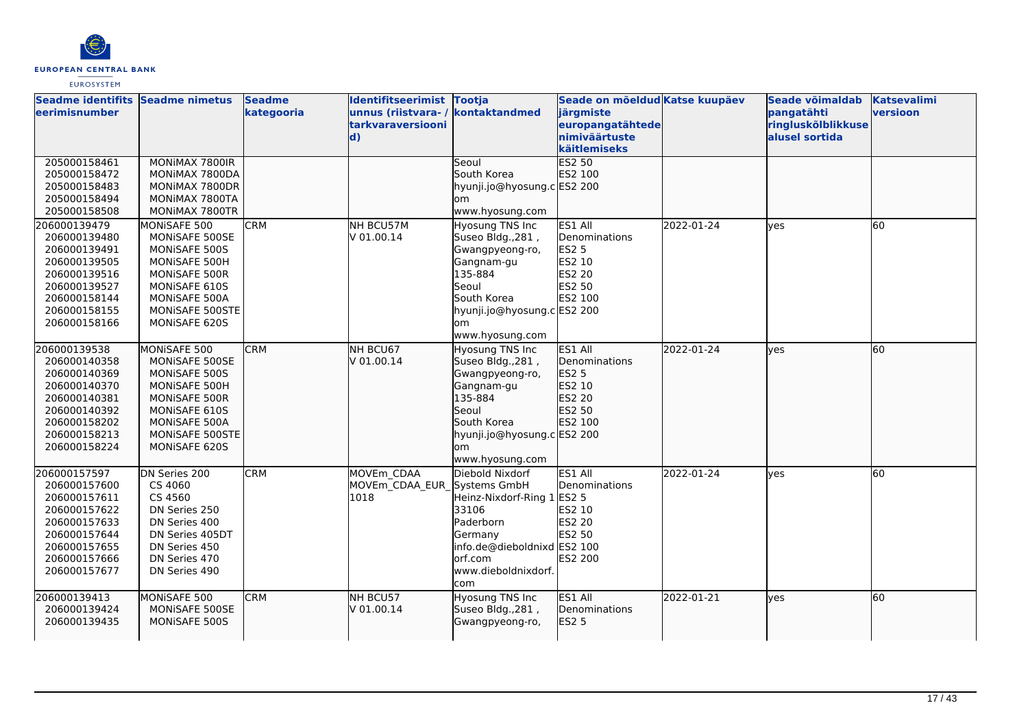

| Seadme identifits Seadme nimetus<br>leerimisnumber |                 | <b>Seadme</b><br>kategooria | Identifitseerimist Tootja<br>unnus (riistvara-/<br>tarkvaraversiooni<br>$\mathbf{d}$ | kontaktandmed               | Seade on mõeldud Katse kuupäev<br>järgmiste<br>europangatähtede<br>nimiväärtuste |            | Seade võimaldab<br>pangatähti<br>ringluskõlblikkuse<br>alusel sortida | <b>Katsevalimi</b><br>versioon |
|----------------------------------------------------|-----------------|-----------------------------|--------------------------------------------------------------------------------------|-----------------------------|----------------------------------------------------------------------------------|------------|-----------------------------------------------------------------------|--------------------------------|
|                                                    |                 |                             |                                                                                      |                             | käitlemiseks                                                                     |            |                                                                       |                                |
| 205000158461                                       | MONIMAX 7800IR  |                             |                                                                                      | Seoul                       | <b>ES2 50</b>                                                                    |            |                                                                       |                                |
| 205000158472                                       | MONIMAX 7800DA  |                             |                                                                                      | South Korea                 | ES2 100                                                                          |            |                                                                       |                                |
| 205000158483                                       | MONIMAX 7800DR  |                             |                                                                                      | hyunji.jo@hyosung.c ES2 200 |                                                                                  |            |                                                                       |                                |
| 205000158494                                       | MONIMAX 7800TA  |                             |                                                                                      | lom                         |                                                                                  |            |                                                                       |                                |
| 205000158508                                       | MONIMAX 7800TR  |                             |                                                                                      | www.hyosung.com             |                                                                                  |            |                                                                       |                                |
| 206000139479                                       | MONISAFE 500    | <b>CRM</b>                  | NH BCU57M                                                                            | Hyosung TNS Inc             | ES1 All                                                                          | 2022-01-24 | ves                                                                   | 60                             |
| 206000139480                                       | MONISAFE 500SE  |                             | V 01.00.14                                                                           | Suseo Bldg., 281,           | Denominations                                                                    |            |                                                                       |                                |
| 206000139491                                       | MONISAFE 500S   |                             |                                                                                      | Gwangpyeong-ro,             | <b>ES2 5</b>                                                                     |            |                                                                       |                                |
| 206000139505                                       | MONISAFE 500H   |                             |                                                                                      | Gangnam-gu                  | ES2 10                                                                           |            |                                                                       |                                |
| 206000139516                                       | MONISAFE 500R   |                             |                                                                                      | 135-884                     | ES2 20                                                                           |            |                                                                       |                                |
| 206000139527                                       | MONISAFE 610S   |                             |                                                                                      | Seoul                       | ES2 50                                                                           |            |                                                                       |                                |
| 206000158144                                       | MONISAFE 500A   |                             |                                                                                      | South Korea                 | ES2 100                                                                          |            |                                                                       |                                |
| 206000158155                                       | MONISAFE 500STE |                             |                                                                                      | hyunji.jo@hyosung.c ES2 200 |                                                                                  |            |                                                                       |                                |
| 206000158166                                       | MONISAFE 620S   |                             |                                                                                      | lom                         |                                                                                  |            |                                                                       |                                |
|                                                    |                 |                             |                                                                                      | www.hyosung.com             |                                                                                  |            |                                                                       |                                |
| 206000139538                                       | MONISAFE 500    | <b>CRM</b>                  | NH BCU67                                                                             | Hyosung TNS Inc             | ES1 All                                                                          | 2022-01-24 | lves                                                                  | 60                             |
| 206000140358                                       | MONISAFE 500SE  |                             | V 01.00.14                                                                           | Suseo Bldg., 281,           | <b>IDenominations</b>                                                            |            |                                                                       |                                |
| 206000140369                                       | MONISAFE 500S   |                             |                                                                                      | Gwangpyeong-ro,             | <b>ES2 5</b>                                                                     |            |                                                                       |                                |
| 206000140370                                       | MONISAFE 500H   |                             |                                                                                      | Gangnam-gu                  | ES2 10                                                                           |            |                                                                       |                                |
| 206000140381                                       | MONISAFE 500R   |                             |                                                                                      | 135-884                     | ES2 20                                                                           |            |                                                                       |                                |
| 206000140392                                       | MONISAFE 610S   |                             |                                                                                      | Seoul                       | ES2 50                                                                           |            |                                                                       |                                |
| 206000158202                                       | MONISAFE 500A   |                             |                                                                                      | South Korea                 | ES2 100                                                                          |            |                                                                       |                                |
| 206000158213                                       | MONISAFE 500STE |                             |                                                                                      | hyunji.jo@hyosung.c ES2 200 |                                                                                  |            |                                                                       |                                |
| 206000158224                                       | MONISAFE 620S   |                             |                                                                                      | lom                         |                                                                                  |            |                                                                       |                                |
|                                                    |                 |                             |                                                                                      | www.hyosung.com             |                                                                                  |            |                                                                       |                                |
| 206000157597                                       | DN Series 200   | <b>CRM</b>                  | MOVEm CDAA                                                                           | Diebold Nixdorf             | ES1 All                                                                          | 2022-01-24 | lves                                                                  | 60                             |
| 206000157600                                       | CS 4060         |                             | MOVEm CDAA EUR Systems GmbH                                                          |                             | Denominations                                                                    |            |                                                                       |                                |
| 206000157611                                       | CS 4560         |                             | 1018                                                                                 | Heinz-Nixdorf-Ring 1        | <b>ES2 5</b>                                                                     |            |                                                                       |                                |
| 206000157622                                       | DN Series 250   |                             |                                                                                      | 33106                       | ES2 10                                                                           |            |                                                                       |                                |
| 206000157633                                       | DN Series 400   |                             |                                                                                      | Paderborn                   | ES2 20                                                                           |            |                                                                       |                                |
| 206000157644                                       | DN Series 405DT |                             |                                                                                      | Germany                     | ES2 50                                                                           |            |                                                                       |                                |
| 206000157655                                       | DN Series 450   |                             |                                                                                      | info.de@dieboldnixd ES2 100 |                                                                                  |            |                                                                       |                                |
| 206000157666                                       | DN Series 470   |                             |                                                                                      | orf.com                     | ES2 200                                                                          |            |                                                                       |                                |
| 206000157677                                       | DN Series 490   |                             |                                                                                      | www.dieboldnixdorf.         |                                                                                  |            |                                                                       |                                |
|                                                    |                 |                             |                                                                                      | com                         |                                                                                  |            |                                                                       |                                |
| 206000139413                                       | MONISAFE 500    | <b>CRM</b>                  | NH BCU57                                                                             | <b>Hyosung TNS Inc</b>      | ES1 All                                                                          | 2022-01-21 | lves                                                                  | 60                             |
| 206000139424                                       | MONISAFE 500SE  |                             | V 01.00.14                                                                           | Suseo Bldg., 281,           | <b>I</b> Denominations                                                           |            |                                                                       |                                |
| 206000139435                                       | MONISAFE 500S   |                             |                                                                                      | Gwangpyeong-ro,             | ES2 5                                                                            |            |                                                                       |                                |
|                                                    |                 |                             |                                                                                      |                             |                                                                                  |            |                                                                       |                                |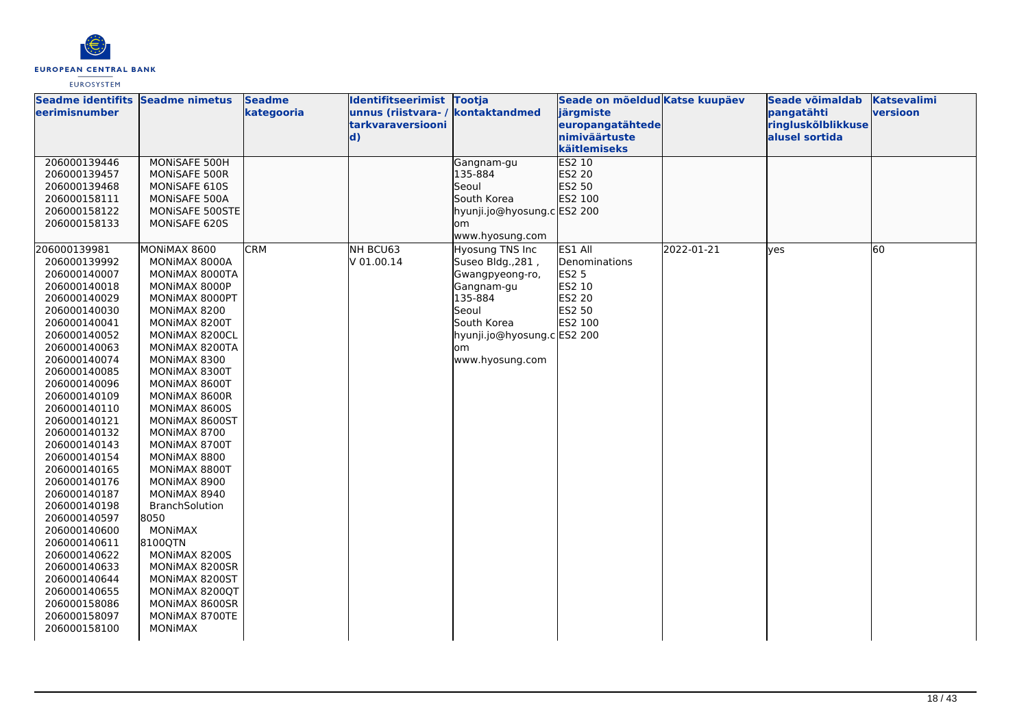

| Seadme identifits Seadme nimetus |                                  | <b>Seadme</b> | Identifitseerimist Tootja         |                             | Seade on mõeldud Katse kuupäev |            | Seade võimaldab    | <b>Katsevalimi</b> |
|----------------------------------|----------------------------------|---------------|-----------------------------------|-----------------------------|--------------------------------|------------|--------------------|--------------------|
| <b>eerimisnumber</b>             |                                  | kategooria    | unnus (riistvara- / kontaktandmed |                             | järgmiste                      |            | pangatähti         | versioon           |
|                                  |                                  |               | tarkvaraversiooni                 |                             | europangatähtede               |            | ringluskõlblikkuse |                    |
|                                  |                                  |               | $\mathbf{d}$                      |                             | nimiväärtuste                  |            | alusel sortida     |                    |
|                                  |                                  |               |                                   |                             | käitlemiseks                   |            |                    |                    |
| 206000139446                     | MONISAFE 500H                    |               |                                   | Gangnam-gu                  | ES2 10                         |            |                    |                    |
| 206000139457                     | MONISAFE 500R                    |               |                                   | 135-884                     | ES2 20                         |            |                    |                    |
| 206000139468                     | MONISAFE 610S                    |               |                                   | Seoul                       | ES2 50                         |            |                    |                    |
| 206000158111                     | MONISAFE 500A                    |               |                                   | South Korea                 | ES2 100                        |            |                    |                    |
| 206000158122                     | MONISAFE 500STE                  |               |                                   | hyunji.jo@hyosung.c ES2 200 |                                |            |                    |                    |
| 206000158133                     | MONISAFE 620S                    |               |                                   | om                          |                                |            |                    |                    |
|                                  |                                  |               |                                   | www.hyosung.com             |                                |            |                    |                    |
| 206000139981                     | MONIMAX 8600                     | <b>CRM</b>    | NH BCU63                          | Hyosung TNS Inc             | ES1 All                        | 2022-01-21 | yes                | 60                 |
| 206000139992                     | MONIMAX 8000A                    |               | V 01.00.14                        | Suseo Bldg., 281,           | Denominations                  |            |                    |                    |
| 206000140007                     | MONIMAX 8000TA                   |               |                                   | Gwangpyeong-ro,             | ES2 5                          |            |                    |                    |
| 206000140018<br>206000140029     | MONIMAX 8000P                    |               |                                   | Gangnam-gu<br>135-884       | ES2 10<br>ES2 20               |            |                    |                    |
| 206000140030                     | MONIMAX 8000PT                   |               |                                   | Seoul                       | ES2 50                         |            |                    |                    |
| 206000140041                     | MONIMAX 8200<br>MONIMAX 8200T    |               |                                   | South Korea                 | ES2 100                        |            |                    |                    |
| 206000140052                     | MONIMAX 8200CL                   |               |                                   | hyunji.jo@hyosung.c ES2 200 |                                |            |                    |                    |
| 206000140063                     | MONIMAX 8200TA                   |               |                                   | lom                         |                                |            |                    |                    |
| 206000140074                     | MONIMAX 8300                     |               |                                   | www.hyosung.com             |                                |            |                    |                    |
| 206000140085                     | MONIMAX 8300T                    |               |                                   |                             |                                |            |                    |                    |
| 206000140096                     | MONIMAX 8600T                    |               |                                   |                             |                                |            |                    |                    |
| 206000140109                     | MONIMAX 8600R                    |               |                                   |                             |                                |            |                    |                    |
| 206000140110                     | MONIMAX 8600S                    |               |                                   |                             |                                |            |                    |                    |
| 206000140121                     | MONIMAX 8600ST                   |               |                                   |                             |                                |            |                    |                    |
| 206000140132                     | MONIMAX 8700                     |               |                                   |                             |                                |            |                    |                    |
| 206000140143                     | MONIMAX 8700T                    |               |                                   |                             |                                |            |                    |                    |
| 206000140154                     | MONIMAX 8800                     |               |                                   |                             |                                |            |                    |                    |
| 206000140165                     | MONIMAX 8800T                    |               |                                   |                             |                                |            |                    |                    |
| 206000140176                     | MONIMAX 8900                     |               |                                   |                             |                                |            |                    |                    |
| 206000140187                     | MONIMAX 8940                     |               |                                   |                             |                                |            |                    |                    |
| 206000140198                     | <b>BranchSolution</b>            |               |                                   |                             |                                |            |                    |                    |
| 206000140597                     | 8050                             |               |                                   |                             |                                |            |                    |                    |
| 206000140600                     | <b>MONIMAX</b>                   |               |                                   |                             |                                |            |                    |                    |
| 206000140611                     | 8100QTN                          |               |                                   |                             |                                |            |                    |                    |
| 206000140622                     | MONIMAX 8200S                    |               |                                   |                             |                                |            |                    |                    |
| 206000140633                     | MONIMAX 8200SR                   |               |                                   |                             |                                |            |                    |                    |
| 206000140644                     | MONIMAX 8200ST                   |               |                                   |                             |                                |            |                    |                    |
| 206000140655                     | MONIMAX 8200QT                   |               |                                   |                             |                                |            |                    |                    |
| 206000158086                     | MONIMAX 8600SR                   |               |                                   |                             |                                |            |                    |                    |
| 206000158097                     | MONIMAX 8700TE<br><b>MONIMAX</b> |               |                                   |                             |                                |            |                    |                    |
| 206000158100                     |                                  |               |                                   |                             |                                |            |                    |                    |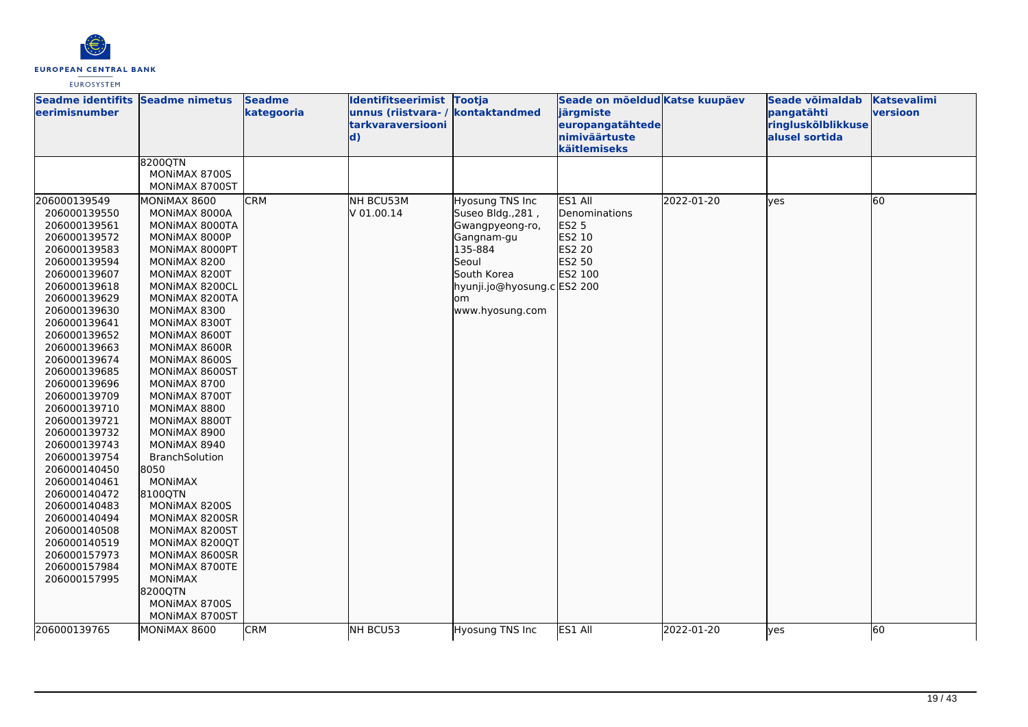

| Seadme identifits Seadme nimetus<br><b>eerimisnumber</b> |                                  | <b>Seadme</b><br>kategooria | Identifitseerimist Tootja<br>unnus (riistvara-/<br>tarkvaraversiooni<br>$\mathbf{d}$ | kontaktandmed               | Seade on mõeldud Katse kuupäev<br>järgmiste<br>europangatähtede<br>nimiväärtuste |            | Seade võimaldab<br>pangatähti<br>ringluskõlblikkuse<br>alusel sortida | <b>Katsevalimi</b><br>versioon |
|----------------------------------------------------------|----------------------------------|-----------------------------|--------------------------------------------------------------------------------------|-----------------------------|----------------------------------------------------------------------------------|------------|-----------------------------------------------------------------------|--------------------------------|
|                                                          |                                  |                             |                                                                                      |                             | käitlemiseks                                                                     |            |                                                                       |                                |
|                                                          | 8200QTN                          |                             |                                                                                      |                             |                                                                                  |            |                                                                       |                                |
|                                                          | MONIMAX 8700S                    |                             |                                                                                      |                             |                                                                                  |            |                                                                       |                                |
|                                                          | MONIMAX 8700ST                   |                             |                                                                                      |                             |                                                                                  |            |                                                                       |                                |
| 206000139549                                             | MONIMAX 8600                     | <b>CRM</b>                  | NH BCU53M                                                                            | Hyosung TNS Inc             | ES1 All                                                                          | 2022-01-20 | <b>l</b> ves                                                          | 60                             |
| 206000139550                                             | MONIMAX 8000A                    |                             | V 01.00.14                                                                           | Suseo Bldg., 281,           | Denominations                                                                    |            |                                                                       |                                |
| 206000139561                                             | MONIMAX 8000TA                   |                             |                                                                                      | Gwangpyeong-ro,             | ES2 5                                                                            |            |                                                                       |                                |
| 206000139572                                             | MONIMAX 8000P                    |                             |                                                                                      | Gangnam-gu                  | ES2 10                                                                           |            |                                                                       |                                |
| 206000139583                                             | MONIMAX 8000PT                   |                             |                                                                                      | 135-884                     | ES2 20                                                                           |            |                                                                       |                                |
| 206000139594                                             | MONIMAX 8200                     |                             |                                                                                      | Seoul                       | ES2 50                                                                           |            |                                                                       |                                |
| 206000139607                                             | MONIMAX 8200T                    |                             |                                                                                      | South Korea                 | ES2 100                                                                          |            |                                                                       |                                |
| 206000139618                                             | MONIMAX 8200CL                   |                             |                                                                                      | hyunji.jo@hyosung.c ES2 200 |                                                                                  |            |                                                                       |                                |
| 206000139629                                             | MONIMAX 8200TA                   |                             |                                                                                      | om                          |                                                                                  |            |                                                                       |                                |
| 206000139630                                             | MONIMAX 8300                     |                             |                                                                                      | www.hyosung.com             |                                                                                  |            |                                                                       |                                |
| 206000139641                                             | MONIMAX 8300T                    |                             |                                                                                      |                             |                                                                                  |            |                                                                       |                                |
| 206000139652                                             | MONIMAX 8600T                    |                             |                                                                                      |                             |                                                                                  |            |                                                                       |                                |
| 206000139663                                             | MONIMAX 8600R                    |                             |                                                                                      |                             |                                                                                  |            |                                                                       |                                |
| 206000139674                                             | MONIMAX 8600S                    |                             |                                                                                      |                             |                                                                                  |            |                                                                       |                                |
| 206000139685                                             | MONIMAX 8600ST                   |                             |                                                                                      |                             |                                                                                  |            |                                                                       |                                |
| 206000139696                                             | MONIMAX 8700                     |                             |                                                                                      |                             |                                                                                  |            |                                                                       |                                |
| 206000139709                                             | MONIMAX 8700T                    |                             |                                                                                      |                             |                                                                                  |            |                                                                       |                                |
| 206000139710                                             | MONIMAX 8800                     |                             |                                                                                      |                             |                                                                                  |            |                                                                       |                                |
| 206000139721                                             | MONIMAX 8800T                    |                             |                                                                                      |                             |                                                                                  |            |                                                                       |                                |
| 206000139732                                             | MONIMAX 8900                     |                             |                                                                                      |                             |                                                                                  |            |                                                                       |                                |
| 206000139743                                             | MONIMAX 8940                     |                             |                                                                                      |                             |                                                                                  |            |                                                                       |                                |
| 206000139754                                             | BranchSolution                   |                             |                                                                                      |                             |                                                                                  |            |                                                                       |                                |
| 206000140450                                             | 8050                             |                             |                                                                                      |                             |                                                                                  |            |                                                                       |                                |
| 206000140461                                             | <b>MONIMAX</b>                   |                             |                                                                                      |                             |                                                                                  |            |                                                                       |                                |
| 206000140472                                             | 8100QTN                          |                             |                                                                                      |                             |                                                                                  |            |                                                                       |                                |
| 206000140483                                             | MONIMAX 8200S                    |                             |                                                                                      |                             |                                                                                  |            |                                                                       |                                |
| 206000140494                                             | MONIMAX 8200SR                   |                             |                                                                                      |                             |                                                                                  |            |                                                                       |                                |
| 206000140508                                             | MONIMAX 8200ST                   |                             |                                                                                      |                             |                                                                                  |            |                                                                       |                                |
| 206000140519                                             | MONIMAX 8200QT                   |                             |                                                                                      |                             |                                                                                  |            |                                                                       |                                |
| 206000157973                                             | MONIMAX 8600SR                   |                             |                                                                                      |                             |                                                                                  |            |                                                                       |                                |
| 206000157984<br>206000157995                             | MONIMAX 8700TE<br><b>MONIMAX</b> |                             |                                                                                      |                             |                                                                                  |            |                                                                       |                                |
|                                                          | 8200QTN                          |                             |                                                                                      |                             |                                                                                  |            |                                                                       |                                |
|                                                          | MONIMAX 8700S                    |                             |                                                                                      |                             |                                                                                  |            |                                                                       |                                |
|                                                          | MONIMAX 8700ST                   |                             |                                                                                      |                             |                                                                                  |            |                                                                       |                                |
|                                                          |                                  |                             |                                                                                      |                             |                                                                                  |            |                                                                       |                                |
| 206000139765                                             | MONIMAX 8600                     | <b>CRM</b>                  | NH BCU53                                                                             | Hyosung TNS Inc             | ES1 All                                                                          | 2022-01-20 | yes                                                                   | 60                             |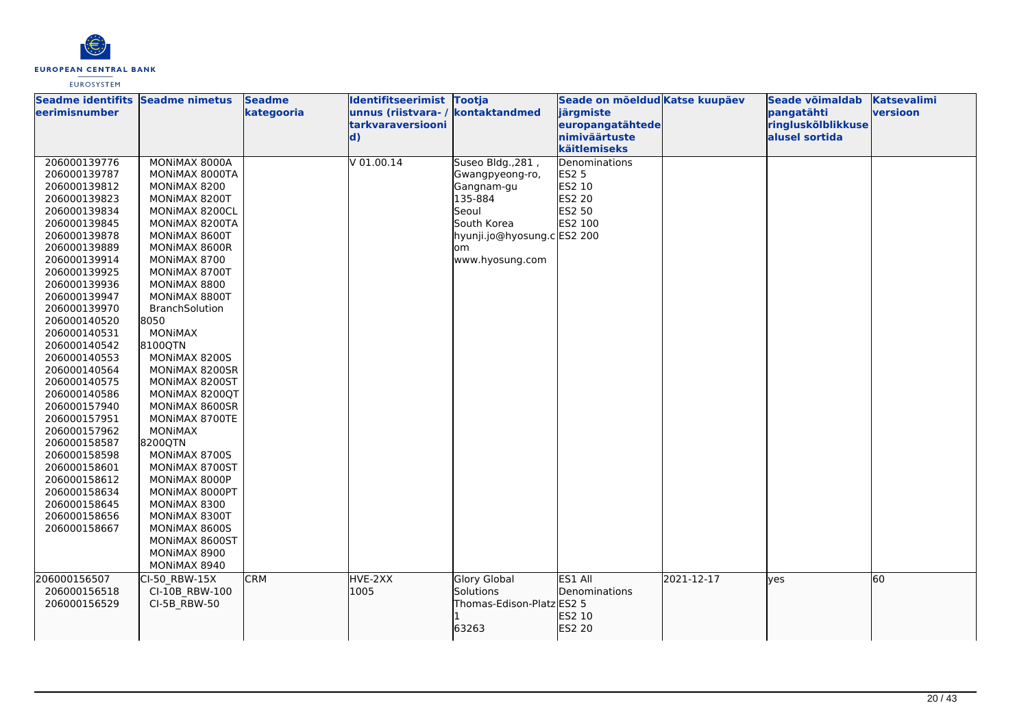

| Seadme identifits Seadme nimetus<br>leerimisnumber |                                 | <b>Seadme</b><br>kategooria | Identifitseerimist Tootja<br>unnus (riistvara-/ | kontaktandmed                    | Seade on mõeldud Katse kuupäev<br>järgmiste |            | Seade võimaldab<br>pangatähti | <b>Katsevalimi</b><br>versioon |
|----------------------------------------------------|---------------------------------|-----------------------------|-------------------------------------------------|----------------------------------|---------------------------------------------|------------|-------------------------------|--------------------------------|
|                                                    |                                 |                             | tarkvaraversiooni                               |                                  | europangatähtede                            |            | ringluskõlblikkuse            |                                |
|                                                    |                                 |                             | $\mathbf{d}$                                    |                                  | nimiväärtuste                               |            | alusel sortida                |                                |
|                                                    |                                 |                             |                                                 |                                  | käitlemiseks                                |            |                               |                                |
| 206000139776                                       | MONIMAX 8000A                   |                             | $V$ 01.00.14                                    | Suseo Bldg., 281,                | Denominations                               |            |                               |                                |
| 206000139787                                       | MONIMAX 8000TA                  |                             |                                                 | Gwangpyeong-ro,                  | <b>ES2 5</b>                                |            |                               |                                |
| 206000139812                                       | MONIMAX 8200                    |                             |                                                 | Gangnam-gu                       | ES2 10                                      |            |                               |                                |
| 206000139823                                       | MONIMAX 8200T                   |                             |                                                 | 135-884                          | ES2 20                                      |            |                               |                                |
| 206000139834                                       | MONIMAX 8200CL                  |                             |                                                 | Seoul                            | ES2 50                                      |            |                               |                                |
| 206000139845                                       | MONIMAX 8200TA                  |                             |                                                 | South Korea                      | ES2 100                                     |            |                               |                                |
| 206000139878                                       | MONIMAX 8600T                   |                             |                                                 | hyunji.jo@hyosung.c ES2 200      |                                             |            |                               |                                |
| 206000139889                                       | MONIMAX 8600R                   |                             |                                                 | om                               |                                             |            |                               |                                |
| 206000139914                                       | MONIMAX 8700                    |                             |                                                 | www.hyosung.com                  |                                             |            |                               |                                |
| 206000139925                                       | MONIMAX 8700T                   |                             |                                                 |                                  |                                             |            |                               |                                |
| 206000139936                                       | MONIMAX 8800                    |                             |                                                 |                                  |                                             |            |                               |                                |
| 206000139947                                       | MONIMAX 8800T                   |                             |                                                 |                                  |                                             |            |                               |                                |
| 206000139970                                       | BranchSolution                  |                             |                                                 |                                  |                                             |            |                               |                                |
| 206000140520                                       | 8050                            |                             |                                                 |                                  |                                             |            |                               |                                |
| 206000140531                                       | <b>MONIMAX</b>                  |                             |                                                 |                                  |                                             |            |                               |                                |
| 206000140542                                       | 8100QTN                         |                             |                                                 |                                  |                                             |            |                               |                                |
| 206000140553                                       | MONIMAX 8200S                   |                             |                                                 |                                  |                                             |            |                               |                                |
| 206000140564                                       | MONIMAX 8200SR                  |                             |                                                 |                                  |                                             |            |                               |                                |
| 206000140575                                       | MONIMAX 8200ST                  |                             |                                                 |                                  |                                             |            |                               |                                |
| 206000140586                                       | MONIMAX 8200QT                  |                             |                                                 |                                  |                                             |            |                               |                                |
| 206000157940                                       | MONIMAX 8600SR                  |                             |                                                 |                                  |                                             |            |                               |                                |
| 206000157951                                       | MONIMAX 8700TE                  |                             |                                                 |                                  |                                             |            |                               |                                |
| 206000157962                                       | <b>MONIMAX</b>                  |                             |                                                 |                                  |                                             |            |                               |                                |
| 206000158587                                       | 8200QTN                         |                             |                                                 |                                  |                                             |            |                               |                                |
| 206000158598                                       | MONIMAX 8700S                   |                             |                                                 |                                  |                                             |            |                               |                                |
| 206000158601                                       | MONIMAX 8700ST                  |                             |                                                 |                                  |                                             |            |                               |                                |
| 206000158612                                       | MONIMAX 8000P                   |                             |                                                 |                                  |                                             |            |                               |                                |
| 206000158634                                       | MONIMAX 8000PT                  |                             |                                                 |                                  |                                             |            |                               |                                |
| 206000158645                                       | MONIMAX 8300                    |                             |                                                 |                                  |                                             |            |                               |                                |
| 206000158656                                       | MONIMAX 8300T                   |                             |                                                 |                                  |                                             |            |                               |                                |
| 206000158667                                       | MONIMAX 8600S                   |                             |                                                 |                                  |                                             |            |                               |                                |
|                                                    | MONIMAX 8600ST<br>MONIMAX 8900  |                             |                                                 |                                  |                                             |            |                               |                                |
|                                                    | MONIMAX 8940                    |                             |                                                 |                                  |                                             |            |                               |                                |
|                                                    |                                 |                             |                                                 |                                  |                                             |            |                               |                                |
| 206000156507<br>206000156518                       | CI-50 RBW-15X<br>CI-10B RBW-100 | <b>CRM</b>                  | HVE-2XX<br>1005                                 | <b>Glory Global</b><br>Solutions | ES1 All<br>Denominations                    | 2021-12-17 | lves                          | 60                             |
| 206000156529                                       |                                 |                             |                                                 | Thomas-Edison-Platz ES2 5        |                                             |            |                               |                                |
|                                                    | CI-5B RBW-50                    |                             |                                                 |                                  | ES2 10                                      |            |                               |                                |
|                                                    |                                 |                             |                                                 | 63263                            | ES2 20                                      |            |                               |                                |
|                                                    |                                 |                             |                                                 |                                  |                                             |            |                               |                                |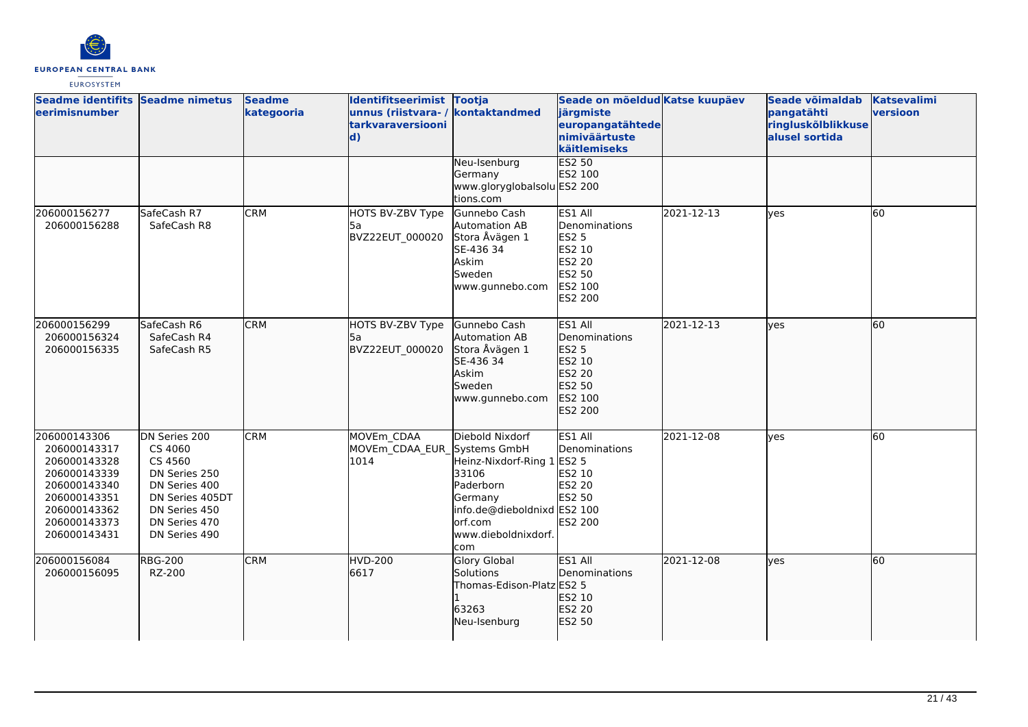

| Seadme identifits Seadme nimetus<br>leerimisnumber                                                                                           |                                                                                                                                             | <b>Seadme</b><br>kategooria | Identifitseerimist Tootja<br>unnus (riistvara- / kontaktandmed<br>tarkvaraversiooni<br>$\mathbf{d}$ |                                                                                                                                                  | Seade on mõeldud Katse kuupäev<br>järgmiste<br>europangatähtede<br>nimiväärtuste<br>käitlemiseks    |            | Seade võimaldab<br>pangatähti<br>ringluskõlblikkuse<br>alusel sortida | <b>Katsevalimi</b><br>versioon |
|----------------------------------------------------------------------------------------------------------------------------------------------|---------------------------------------------------------------------------------------------------------------------------------------------|-----------------------------|-----------------------------------------------------------------------------------------------------|--------------------------------------------------------------------------------------------------------------------------------------------------|-----------------------------------------------------------------------------------------------------|------------|-----------------------------------------------------------------------|--------------------------------|
|                                                                                                                                              |                                                                                                                                             |                             |                                                                                                     | Neu-Isenburg<br>Germany<br>www.gloryglobalsolu ES2 200<br>tions.com                                                                              | ES2 50<br>ES2 100                                                                                   |            |                                                                       |                                |
| 206000156277<br>206000156288                                                                                                                 | SafeCash R7<br>SafeCash R8                                                                                                                  | <b>CRM</b>                  | HOTS BV-ZBV Type<br>l5a<br>BVZ22EUT 000020                                                          | Gunnebo Cash<br>Automation AB<br>Stora Åvägen 1<br>SE-436 34<br>Askim<br>Sweden<br>www.gunnebo.com                                               | ES1 All<br>Denominations<br><b>ES2 5</b><br>ES2 10<br><b>ES2 20</b><br>ES2 50<br>ES2 100<br>ES2 200 | 2021-12-13 | lyes                                                                  | 60                             |
| 206000156299<br>206000156324<br>206000156335                                                                                                 | SafeCash R6<br>SafeCash R4<br>SafeCash R5                                                                                                   | <b>CRM</b>                  | HOTS BV-ZBV Type<br>l5a<br>BVZ22EUT 000020                                                          | Gunnebo Cash<br>Automation AB<br>Stora Åvägen 1<br>SE-436 34<br>Askim<br>Sweden<br>www.gunnebo.com                                               | ES1 All<br>Denominations<br>ES2 5<br>ES2 10<br>ES2 20<br>ES2 50<br>ES2 100<br>ES2 200               | 2021-12-13 | lves                                                                  | 60                             |
| 206000143306<br>206000143317<br>206000143328<br>206000143339<br>206000143340<br>206000143351<br>206000143362<br>206000143373<br>206000143431 | DN Series 200<br>CS 4060<br>CS 4560<br>DN Series 250<br>DN Series 400<br>DN Series 405DT<br>DN Series 450<br>DN Series 470<br>DN Series 490 | <b>CRM</b>                  | MOVEm CDAA<br>MOVEm_CDAA_EUR_Systems GmbH<br>1014                                                   | Diebold Nixdorf<br>Heinz-Nixdorf-Ring 1<br>33106<br>Paderborn<br>Germany<br>info.de@dieboldnixd ES2 100<br>orf.com<br>www.dieboldnixdorf.<br>com | ES1 All<br>Denominations<br><b>ES2 5</b><br>ES2 10<br><b>ES2 20</b><br>ES2 50<br>ES2 200            | 2021-12-08 | <b>ves</b>                                                            | 60                             |
| 206000156084<br>206000156095                                                                                                                 | <b>RBG-200</b><br>RZ-200                                                                                                                    | <b>CRM</b>                  | <b>HVD-200</b><br>6617                                                                              | <b>Glory Global</b><br><b>Solutions</b><br>Thomas-Edison-Platz ES2 5<br>63263<br>Neu-Isenburg                                                    | ES1 All<br>Denominations<br>ES2 10<br>ES2 20<br>ES2 50                                              | 2021-12-08 | lyes                                                                  | 60                             |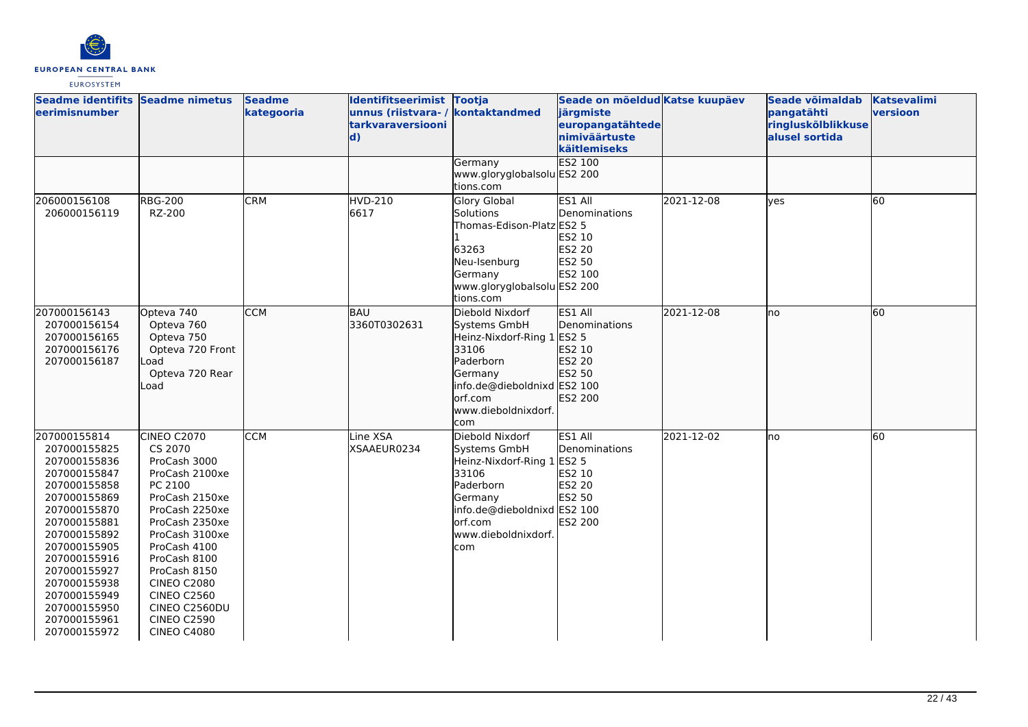

| Seadme identifits Seadme nimetus<br>eerimisnumber                                                                                                                                                                                                                            |                                                                                                                                                                                                                                                                                                             | <b>Seadme</b><br>kategooria | Identifitseerimist Tootja<br>unnus (riistvara- / kontaktandmed<br>tarkvaraversiooni<br>$\mathbf{d}$ |                                                                                                                                                                        | Seade on mõeldud Katse kuupäev<br>järgmiste<br>europangatähtede<br>nimiväärtuste<br>käitlemiseks |            | Seade võimaldab<br>pangatähti<br>ringluskõlblikkuse<br>alusel sortida | <b>Katsevalimi</b><br>versioon |
|------------------------------------------------------------------------------------------------------------------------------------------------------------------------------------------------------------------------------------------------------------------------------|-------------------------------------------------------------------------------------------------------------------------------------------------------------------------------------------------------------------------------------------------------------------------------------------------------------|-----------------------------|-----------------------------------------------------------------------------------------------------|------------------------------------------------------------------------------------------------------------------------------------------------------------------------|--------------------------------------------------------------------------------------------------|------------|-----------------------------------------------------------------------|--------------------------------|
|                                                                                                                                                                                                                                                                              |                                                                                                                                                                                                                                                                                                             |                             |                                                                                                     | Germany<br>www.gloryglobalsolu ES2 200<br>tions.com                                                                                                                    | <b>ES2 100</b>                                                                                   |            |                                                                       |                                |
| 206000156108<br>206000156119                                                                                                                                                                                                                                                 | <b>RBG-200</b><br>RZ-200                                                                                                                                                                                                                                                                                    | <b>CRM</b>                  | <b>HVD-210</b><br>6617                                                                              | Glory Global<br>Solutions<br>Thomas-Edison-Platz ES2 5<br>63263<br>Neu-Isenburg<br>Germany<br>www.gloryglobalsolu ES2 200<br>tions.com                                 | ES1 All<br>Denominations<br>ES2 10<br>ES2 20<br>ES2 50<br>ES2 100                                | 2021-12-08 | <b>ves</b>                                                            | 60                             |
| 207000156143<br>207000156154<br>207000156165<br>207000156176<br>207000156187                                                                                                                                                                                                 | Opteva 740<br>Opteva 760<br>Opteva 750<br>Opteva 720 Front<br>Load<br>Opteva 720 Rear<br>Load                                                                                                                                                                                                               | <b>CCM</b>                  | <b>BAU</b><br>3360T0302631                                                                          | Diebold Nixdorf<br>Systems GmbH<br>Heinz-Nixdorf-Ring 1 ES2 5<br>33106<br>Paderborn<br>Germany<br>info.de@dieboldnixd ES2 100<br>orf.com<br>www.dieboldnixdorf.<br>com | ES1 All<br>Denominations<br>ES2 10<br>ES2 20<br>ES2 50<br>ES2 200                                | 2021-12-08 | lno                                                                   | 60                             |
| 207000155814<br>207000155825<br>207000155836<br>207000155847<br>207000155858<br>207000155869<br>207000155870<br>207000155881<br>207000155892<br>207000155905<br>207000155916<br>207000155927<br>207000155938<br>207000155949<br>207000155950<br>207000155961<br>207000155972 | <b>CINEO C2070</b><br>CS 2070<br>ProCash 3000<br>ProCash 2100xe<br>PC 2100<br>ProCash 2150xe<br>ProCash 2250xe<br>ProCash 2350xe<br>ProCash 3100xe<br>ProCash 4100<br>ProCash 8100<br>ProCash 8150<br><b>CINEO C2080</b><br><b>CINEO C2560</b><br>CINEO C2560DU<br><b>CINEO C2590</b><br><b>CINEO C4080</b> | <b>CCM</b>                  | Line XSA<br>XSAAEUR0234                                                                             | Diebold Nixdorf<br>Systems GmbH<br>Heinz-Nixdorf-Ring 1<br>33106<br>Paderborn<br>Germany<br>info.de@dieboldnixd ES2 100<br>orf.com<br>www.dieboldnixdorf.<br>com       | ES1 All<br>Denominations<br><b>ES2 5</b><br>ES2 10<br><b>ES2 20</b><br>ES2 50<br>ES2 200         | 2021-12-02 | lno                                                                   | 60                             |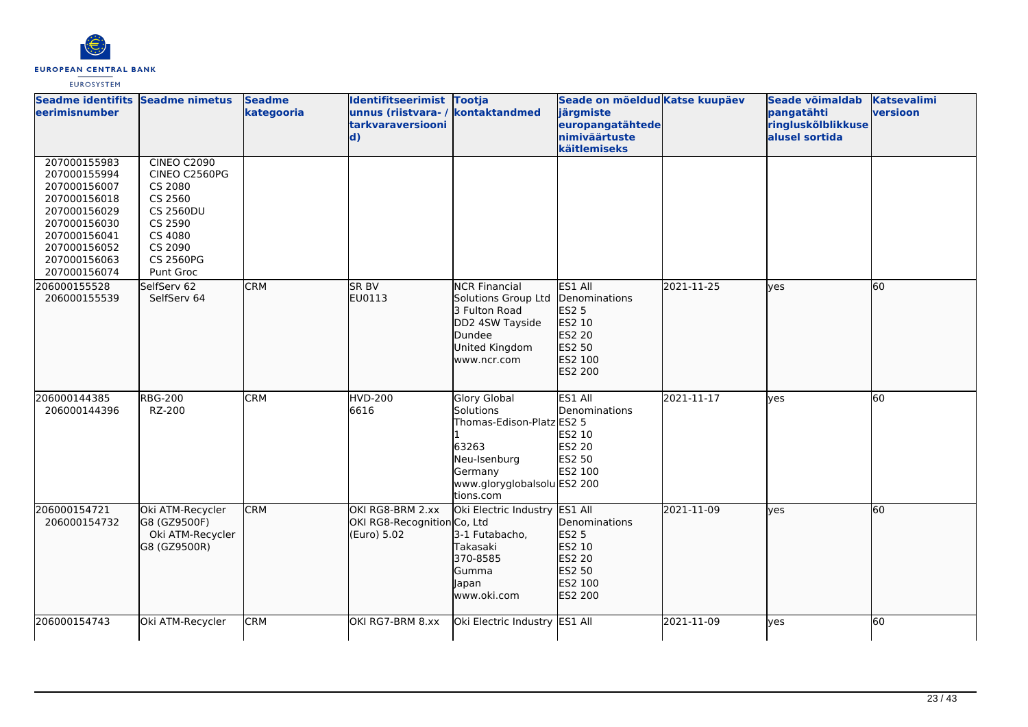

| Seadme identifits Seadme nimetus<br><b>leerimisnumber</b>                                                                                                    |                                                                                                                                          | <b>Seadme</b><br>kategooria | Identifitseerimist Tootja<br>unnus (riistvara- / kontaktandmed<br>tarkvaraversiooni<br>$\mathbf{d}$ |                                                                                                                                                      | Seade on mõeldud Katse kuupäev<br>järgmiste<br>europangatähtede<br>nimiväärtuste<br>käitlemiseks |            | Seade võimaldab<br>pangatähti<br>ringluskõlblikkuse<br>alusel sortida | <b>Katsevalimi</b><br>versioon |
|--------------------------------------------------------------------------------------------------------------------------------------------------------------|------------------------------------------------------------------------------------------------------------------------------------------|-----------------------------|-----------------------------------------------------------------------------------------------------|------------------------------------------------------------------------------------------------------------------------------------------------------|--------------------------------------------------------------------------------------------------|------------|-----------------------------------------------------------------------|--------------------------------|
| 207000155983<br>207000155994<br>207000156007<br>207000156018<br>207000156029<br>207000156030<br>207000156041<br>207000156052<br>207000156063<br>207000156074 | <b>CINEO C2090</b><br>CINEO C2560PG<br>CS 2080<br>CS 2560<br><b>CS 2560DU</b><br>CS 2590<br>CS 4080<br>CS 2090<br>CS 2560PG<br>Punt Groc |                             |                                                                                                     |                                                                                                                                                      |                                                                                                  |            |                                                                       |                                |
| 206000155528<br>206000155539                                                                                                                                 | SelfServ 62<br>SelfServ 64                                                                                                               | <b>CRM</b>                  | SR BV<br>EU0113                                                                                     | <b>NCR Financial</b><br>Solutions Group Ltd<br>3 Fulton Road<br>DD2 4SW Tayside<br>Dundee<br>United Kingdom<br>www.ncr.com                           | ES1 All<br>Denominations<br>ES2 5<br>ES2 10<br>ES2 20<br>ES2 50<br>ES2 100<br>ES2 200            | 2021-11-25 | ves                                                                   | 60                             |
| 206000144385<br>206000144396                                                                                                                                 | <b>RBG-200</b><br>RZ-200                                                                                                                 | <b>CRM</b>                  | <b>HVD-200</b><br>6616                                                                              | <b>Glory Global</b><br><b>Solutions</b><br>Thomas-Edison-Platz ES2 5<br>63263<br>Neu-Isenburg<br>Germany<br>www.gloryglobalsolu ES2 200<br>tions.com | ES1 All<br>Denominations<br>ES2 10<br><b>ES2 20</b><br>ES2 50<br>ES2 100                         | 2021-11-17 | yes                                                                   | 60                             |
| 206000154721<br>206000154732                                                                                                                                 | Oki ATM-Recycler<br>G8 (GZ9500F)<br>Oki ATM-Recycler<br>G8 (GZ9500R)                                                                     | <b>CRM</b>                  | OKI RG8-BRM 2.xx<br>OKI RG8-Recognition Co, Ltd<br>(Euro) 5.02                                      | Oki Electric Industry ES1 All<br>3-1 Futabacho,<br>Takasaki<br>370-8585<br>Gumma<br>Japan<br>www.oki.com                                             | <b>IDenominations</b><br>ES2 5<br>ES2 10<br>ES2 20<br>ES2 50<br>ES2 100<br>ES2 200               | 2021-11-09 | lves                                                                  | 60                             |
| 206000154743                                                                                                                                                 | Oki ATM-Recycler                                                                                                                         | <b>CRM</b>                  | OKI RG7-BRM 8.xx                                                                                    | Oki Electric Industry ES1 All                                                                                                                        |                                                                                                  | 2021-11-09 | ves                                                                   | 60                             |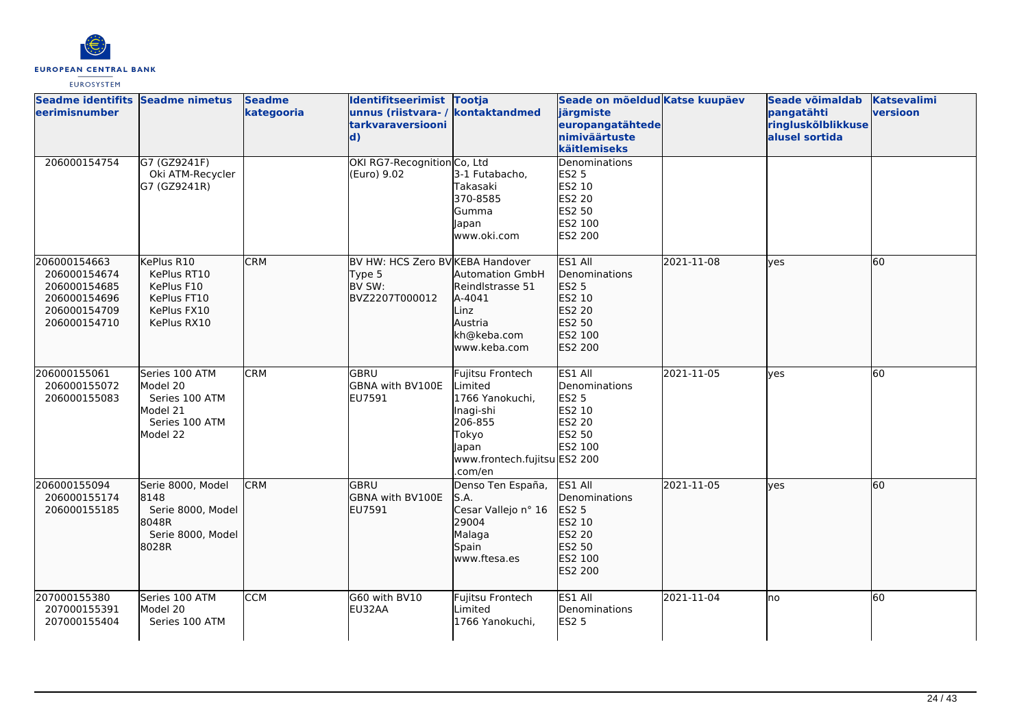

| Seadme identifits Seadme nimetus<br><b>eerimisnumber</b>                                     |                                                                                        | <b>Seadme</b><br>kategooria | Identifitseerimist Tootja<br>unnus (riistvara- / kontaktandmed<br>tarkvaraversiooni<br>$\mathbf{d}$ |                                                                                                                                     | Seade on mõeldud Katse kuupäev<br>järgmiste<br>europangatähtede<br>nimiväärtuste<br>käitlemiseks |            | Seade võimaldab<br>pangatähti<br>ringluskõlblikkuse<br>alusel sortida | <b>Katsevalimi</b><br>versioon |
|----------------------------------------------------------------------------------------------|----------------------------------------------------------------------------------------|-----------------------------|-----------------------------------------------------------------------------------------------------|-------------------------------------------------------------------------------------------------------------------------------------|--------------------------------------------------------------------------------------------------|------------|-----------------------------------------------------------------------|--------------------------------|
| 206000154754                                                                                 | G7 (GZ9241F)<br>Oki ATM-Recycler<br>G7 (GZ9241R)                                       |                             | OKI RG7-Recognition Co, Ltd<br>(Euro) 9.02                                                          | 3-1 Futabacho,<br>Takasaki<br>370-8585<br>Gumma<br>Japan<br>www.oki.com                                                             | Denominations<br>ES2 5<br>ES2 10<br>ES2 20<br>ES2 50<br>ES2 100<br><b>ES2 200</b>                |            |                                                                       |                                |
| 206000154663<br>206000154674<br>206000154685<br>206000154696<br>206000154709<br>206000154710 | KePlus R10<br>KePlus RT10<br>KePlus F10<br>KePlus FT10<br>KePlus FX10<br>KePlus RX10   | <b>CRM</b>                  | BV HW: HCS Zero BV KEBA Handover<br>Type 5<br>BV SW:<br>BVZ2207T000012                              | <b>Automation GmbH</b><br>Reindlstrasse 51<br>A-4041<br>Linz<br>Austria<br>kh@keba.com<br>www.keba.com                              | ES1 All<br>Denominations<br>ES2 5<br>ES2 10<br>ES2 20<br>ES2 50<br>ES2 100<br>ES2 200            | 2021-11-08 | lves                                                                  | 60                             |
| 206000155061<br>206000155072<br>206000155083                                                 | Series 100 ATM<br>Model 20<br>Series 100 ATM<br>Model 21<br>Series 100 ATM<br>Model 22 | <b>CRM</b>                  | lgbru<br>GBNA with BV100E<br>EU7591                                                                 | Fujitsu Frontech<br>Limited<br>1766 Yanokuchi,<br>Inagi-shi<br>206-855<br>Tokyo<br>Japan<br>www.frontech.fujitsu ES2 200<br>.com/en | ES1 All<br>Denominations<br><b>ES2 5</b><br>ES2 10<br>ES2 20<br>ES2 50<br><b>ES2 100</b>         | 2021-11-05 | lves                                                                  | 60                             |
| 206000155094<br>206000155174<br>206000155185                                                 | Serie 8000, Model<br>8148<br>Serie 8000, Model<br>8048R<br>Serie 8000, Model<br>8028R  | <b>CRM</b>                  | lgbru<br><b>GBNA with BV100E</b><br>EU7591                                                          | Denso Ten España,<br>S.A.<br>Cesar Vallejo nº 16<br>29004<br>Malaga<br>Spain<br>lwww.ftesa.es                                       | ES1 All<br>Denominations<br>ES2 5<br>ES2 10<br>ES2 20<br>ES2 50<br>ES2 100<br>ES2 200            | 2021-11-05 | <b>lves</b>                                                           | 60                             |
| 207000155380<br>207000155391<br>207000155404                                                 | Series 100 ATM<br>Model 20<br>Series 100 ATM                                           | <b>CCM</b>                  | G60 with BV10<br>EU32AA                                                                             | Fujitsu Frontech<br>Limited<br>1766 Yanokuchi.                                                                                      | ES1 All<br>Denominations<br><b>ES2 5</b>                                                         | 2021-11-04 | Ino                                                                   | $\overline{60}$                |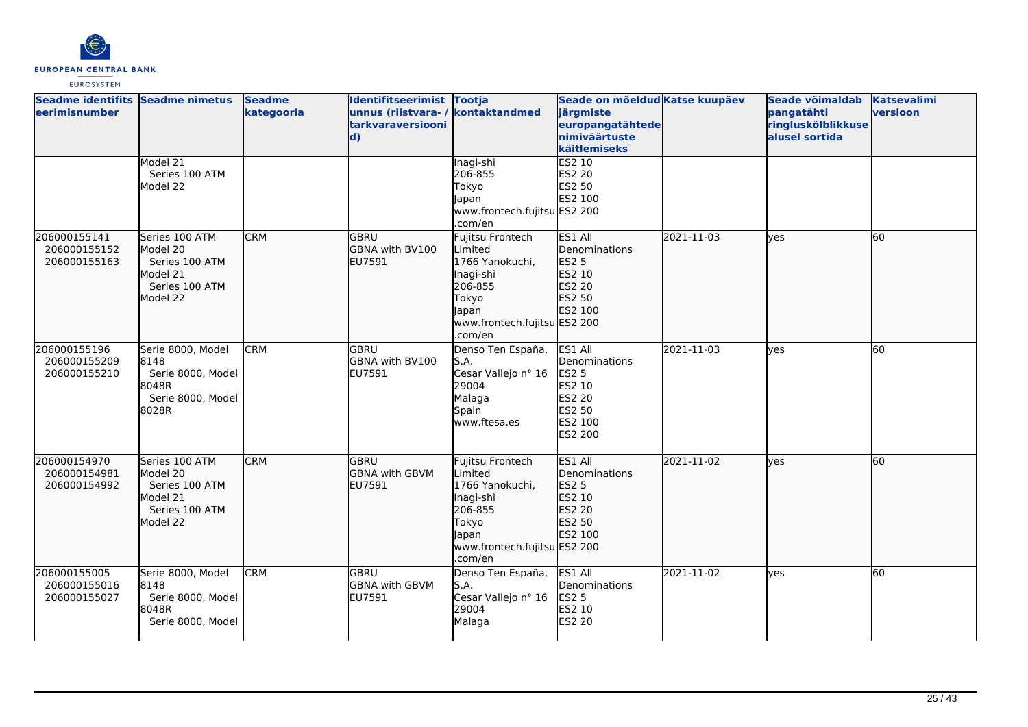

| Seadme identifits Seadme nimetus<br>eerimisnumber |                                                                                        | <b>Seadme</b><br>kategooria | Identifitseerimist Tootja<br>unnus (riistvara- / kontaktandmed<br>tarkvaraversiooni<br>$\mathbf{d}$ |                                                                                                                                            | Seade on mõeldud Katse kuupäev<br>järgmiste<br>europangatähtede<br>nimiväärtuste<br>käitlemiseks           |            | Seade võimaldab<br>pangatähti<br>ringluskõlblikkuse<br>alusel sortida | <b>Katsevalimi</b><br>versioon |
|---------------------------------------------------|----------------------------------------------------------------------------------------|-----------------------------|-----------------------------------------------------------------------------------------------------|--------------------------------------------------------------------------------------------------------------------------------------------|------------------------------------------------------------------------------------------------------------|------------|-----------------------------------------------------------------------|--------------------------------|
|                                                   | Model 21<br>Series 100 ATM<br>Model 22                                                 |                             |                                                                                                     | Inagi-shi<br>206-855<br>Tokyo<br>apan<br>www.frontech.fujitsu ES2 200<br>.com/en                                                           | ES2 10<br>ES2 20<br>ES2 50<br>ES2 100                                                                      |            |                                                                       |                                |
| 206000155141<br>206000155152<br>206000155163      | Series 100 ATM<br>Model 20<br>Series 100 ATM<br>Model 21<br>Series 100 ATM<br>Model 22 | <b>CRM</b>                  | GBRU<br>GBNA with BV100<br>EU7591                                                                   | Fujitsu Frontech<br>Limited<br>1766 Yanokuchi,<br>Inagi-shi<br>206-855<br>Tokyo<br><b>Japan</b><br>www.frontech.fujitsu ES2 200<br>.com/en | ES1 All<br>Denominations<br>ES2 5<br>ES2 10<br>ES2 20<br>ES2 50<br>ES2 100                                 | 2021-11-03 | lyes                                                                  | 60                             |
| 206000155196<br>206000155209<br>206000155210      | Serie 8000, Model<br>8148<br>Serie 8000, Model<br>8048R<br>Serie 8000, Model<br>8028R  | <b>CRM</b>                  | GBRU<br><b>GBNA with BV100</b><br>EU7591                                                            | Denso Ten España,<br>S.A.<br>Cesar Vallejo nº 16<br>29004<br>Malaga<br>Spain<br>www.ftesa.es                                               | ES1 All<br>Denominations<br><b>ES2 5</b><br>ES2 10<br><b>ES2 20</b><br>ES2 50<br>ES2 100<br><b>ES2 200</b> | 2021-11-03 | ves                                                                   | 60                             |
| 206000154970<br>206000154981<br>206000154992      | Series 100 ATM<br>Model 20<br>Series 100 ATM<br>Model 21<br>Series 100 ATM<br>Model 22 | <b>CRM</b>                  | <b>GBRU</b><br><b>GBNA</b> with GBVM<br>EU7591                                                      | Fujitsu Frontech<br>Limited<br>1766 Yanokuchi,<br>Inagi-shi<br>206-855<br>Tokyo<br>lapan<br>www.frontech.fujitsu ES2 200<br>.com/en        | ES1 All<br>Denominations<br>ES2 5<br>ES2 10<br>ES2 20<br>ES2 50<br>ES2 100                                 | 2021-11-02 | lves                                                                  | 60                             |
| 206000155005<br>206000155016<br>206000155027      | Serie 8000, Model<br>8148<br>Serie 8000, Model<br>8048R<br>Serie 8000, Model           | <b>CRM</b>                  | GBRU<br><b>GBNA with GBVM</b><br>EU7591                                                             | Denso Ten España,<br>S.A.<br>Cesar Vallejo nº 16<br>29004<br>Malaga                                                                        | ES1 All<br>Denominations<br><b>ES2 5</b><br>ES2 10<br>ES2 20                                               | 2021-11-02 | <b>l</b> ves                                                          | 60                             |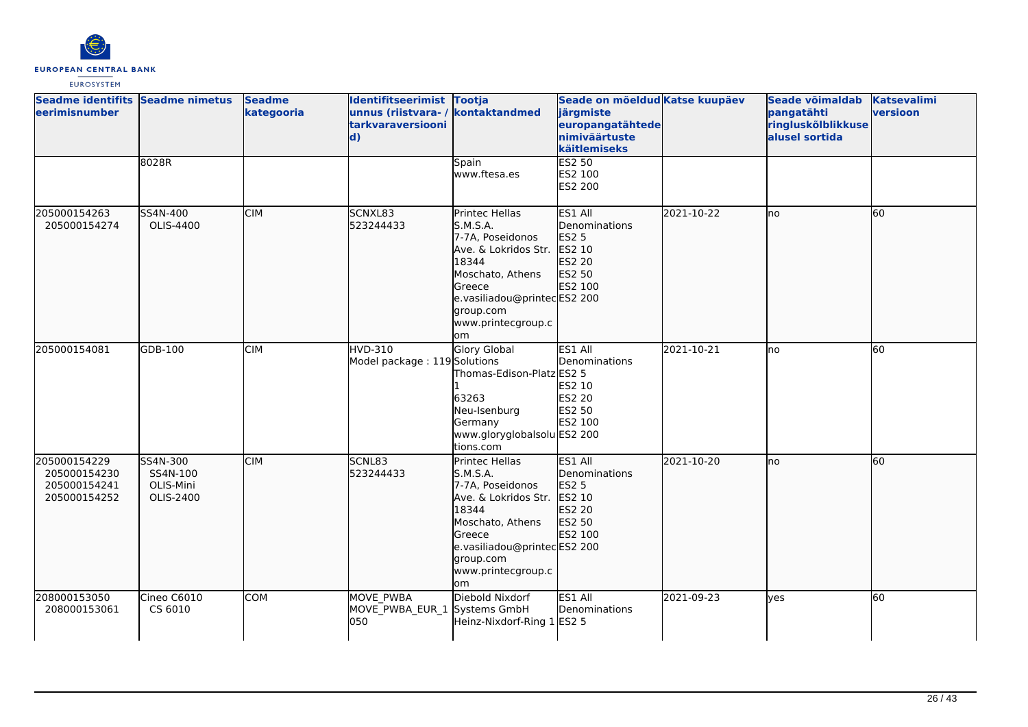

| Seadme identifits Seadme nimetus<br>eerimisnumber            |                                                | <b>Seadme</b><br>kategooria | Identifitseerimist Tootja<br>unnus (riistvara- / kontaktandmed<br><b>tarkvaraversiooni</b><br>$\mathbf{d}$ |                                                                                                                                                                                       | Seade on mõeldud Katse kuupäev<br>järgmiste<br>europangatähtede<br>nimiväärtuste<br>käitlemiseks |            | Seade võimaldab<br>pangatähti<br>ringluskõlblikkuse<br>alusel sortida | <b>Katsevalimi</b><br>versioon |
|--------------------------------------------------------------|------------------------------------------------|-----------------------------|------------------------------------------------------------------------------------------------------------|---------------------------------------------------------------------------------------------------------------------------------------------------------------------------------------|--------------------------------------------------------------------------------------------------|------------|-----------------------------------------------------------------------|--------------------------------|
|                                                              | 8028R                                          |                             |                                                                                                            | Spain<br>www.ftesa.es                                                                                                                                                                 | <b>ES2 50</b><br>ES2 100<br>ES2 200                                                              |            |                                                                       |                                |
| 205000154263<br>205000154274                                 | SS4N-400<br>OLIS-4400                          | <b>CIM</b>                  | SCNXL83<br>523244433                                                                                       | Printec Hellas<br>S.M.S.A.<br>7-7A, Poseidonos<br>Ave. & Lokridos Str.<br>18344<br>Moschato, Athens<br>Greece<br>e.vasiliadou@printecES2 200<br>group.com<br>www.printecgroup.c<br>om | ES1 All<br>Denominations<br>ES2 5<br>ES2 10<br>ES2 20<br>ES2 50<br>ES2 100                       | 2021-10-22 | lno                                                                   | 60                             |
| 205000154081                                                 | GDB-100                                        | <b>CIM</b>                  | <b>HVD-310</b><br>Model package: 119 Solutions                                                             | Glory Global<br>Thomas-Edison-Platz ES2 5<br>63263<br>Neu-Isenburg<br>Germany<br>www.gloryglobalsolu ES2 200<br>tions.com                                                             | ES1 All<br>Denominations<br>ES2 10<br>ES2 20<br><b>ES2 50</b><br>ES2 100                         | 2021-10-21 | no                                                                    | 60                             |
| 205000154229<br>205000154230<br>205000154241<br>205000154252 | SS4N-300<br>SS4N-100<br>OLIS-Mini<br>OLIS-2400 | <b>CIM</b>                  | SCNL83<br>523244433                                                                                        | Printec Hellas<br>S.M.S.A.<br>7-7A, Poseidonos<br>Ave. & Lokridos Str.<br>18344<br>Moschato, Athens<br>Greece<br>e.vasiliadou@printecES2 200<br>group.com<br>www.printecgroup.c<br>om | ES1 All<br>Denominations<br><b>ES2 5</b><br>ES2 10<br>ES2 20<br>ES2 50<br>ES2 100                | 2021-10-20 | lno                                                                   | 60                             |
| 208000153050<br>208000153061                                 | Cineo C6010<br>CS 6010                         | <b>COM</b>                  | MOVE PWBA<br>MOVE_PWBA_EUR_1<br>050                                                                        | Diebold Nixdorf<br>Systems GmbH<br>Heinz-Nixdorf-Ring 1 ES2 5                                                                                                                         | ES1 All<br>Denominations                                                                         | 2021-09-23 | ves                                                                   | 60                             |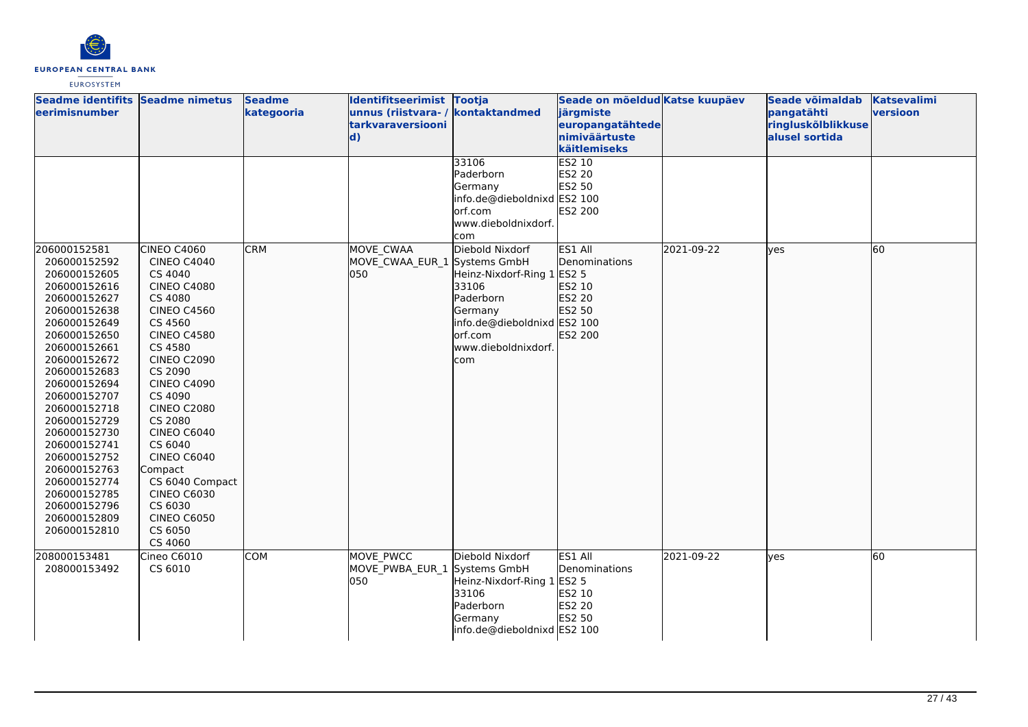

| Seadme identifits Seadme nimetus<br>eerimisnumber                                                                                                                                                                            |                                                                                                                                                                                                                               | <b>Seadme</b><br>kategooria | Identifitseerimist Tootja<br>unnus (riistvara- / kontaktandmed<br>tarkvaraversiooni<br> d) |                                                                                                                                                                                                                                                                 | Seade on mõeldud Katse kuupäev<br>järgmiste<br>europangatähtede<br>nimiväärtuste                                           |            | Seade võimaldab<br>pangatähti<br>ringluskõlblikkuse<br>alusel sortida | <b>Katsevalimi</b><br>versioon |
|------------------------------------------------------------------------------------------------------------------------------------------------------------------------------------------------------------------------------|-------------------------------------------------------------------------------------------------------------------------------------------------------------------------------------------------------------------------------|-----------------------------|--------------------------------------------------------------------------------------------|-----------------------------------------------------------------------------------------------------------------------------------------------------------------------------------------------------------------------------------------------------------------|----------------------------------------------------------------------------------------------------------------------------|------------|-----------------------------------------------------------------------|--------------------------------|
| 206000152581<br>206000152592<br>206000152605<br>206000152616<br>206000152627<br>206000152638<br>206000152649<br>206000152650<br>206000152661<br>206000152672<br>206000152683<br>206000152694                                 | CINEO C4060<br><b>CINEO C4040</b><br>CS 4040<br><b>CINEO C4080</b><br>CS 4080<br><b>CINEO C4560</b><br>CS 4560<br><b>CINEO C4580</b><br>CS 4580<br><b>CINEO C2090</b><br>CS 2090<br><b>CINEO C4090</b>                        | <b>CRM</b>                  | MOVE CWAA<br>MOVE CWAA EUR 1 Systems GmbH<br>050                                           | 33106<br>Paderborn<br>Germany<br>info.de@dieboldnixd ES2 100<br>orf.com<br>www.dieboldnixdorf.<br>com<br>Diebold Nixdorf<br>Heinz-Nixdorf-Ring 1 ES2 5<br>33106<br>Paderborn<br>Germany<br>info.de@dieboldnixd ES2 100<br>orf.com<br>www.dieboldnixdorf.<br>com | käitlemiseks<br>ES2 10<br>ES2 20<br>ES2 50<br>ES2 200<br>ES1 All<br>Denominations<br>ES2 10<br>ES2 20<br>ES2 50<br>ES2 200 | 2021-09-22 | lyes                                                                  | 60                             |
| 206000152707<br>206000152718<br>206000152729<br>206000152730<br>206000152741<br>206000152752<br>206000152763<br>206000152774<br>206000152785<br>206000152796<br>206000152809<br>206000152810<br>208000153481<br>208000153492 | CS 4090<br><b>CINEO C2080</b><br>CS 2080<br><b>CINEO C6040</b><br>CS 6040<br>CINEO C6040<br>Compact<br>CS 6040 Compact<br><b>CINEO C6030</b><br>CS 6030<br><b>CINEO C6050</b><br>CS 6050<br>CS 4060<br>Cineo C6010<br>CS 6010 | <b>COM</b>                  | MOVE PWCC<br>MOVE PWBA EUR 1 Systems GmbH<br>050                                           | Diebold Nixdorf<br>Heinz-Nixdorf-Ring 1                                                                                                                                                                                                                         | ES1 All<br>Denominations<br>ES2 5                                                                                          | 2021-09-22 | lves                                                                  | 60                             |
|                                                                                                                                                                                                                              |                                                                                                                                                                                                                               |                             |                                                                                            | 33106<br>Paderborn<br>Germany<br>info.de@dieboldnixd ES2 100                                                                                                                                                                                                    | ES2 10<br>ES2 20<br>ES2 50                                                                                                 |            |                                                                       |                                |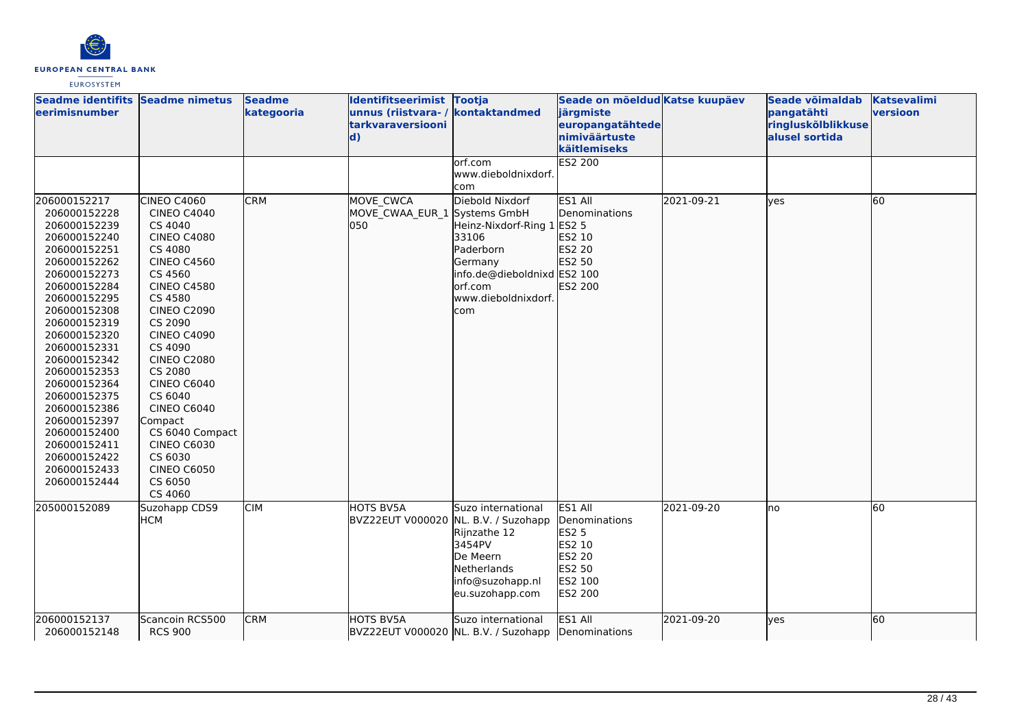

| Seadme identifits Seadme nimetus<br>eerimisnumber                                                                                                                                                                                                                                                                                                                                            |                                                                                                                                                                                                                                                                                                                                                                                                                      | <b>Seadme</b><br>kategooria | Identifitseerimist Tootja<br>unnus (riistvara-/<br>tarkvaraversiooni<br>$\mathbf{d}$ | kontaktandmed                                                                                                                                          | Seade on mõeldud Katse kuupäev<br>järgmiste<br>europangatähtede<br>nimiväärtuste<br>käitlemiseks    |            | Seade võimaldab<br>pangatähti<br>ringluskõlblikkuse<br>alusel sortida | <b>Katsevalimi</b><br>versioon |
|----------------------------------------------------------------------------------------------------------------------------------------------------------------------------------------------------------------------------------------------------------------------------------------------------------------------------------------------------------------------------------------------|----------------------------------------------------------------------------------------------------------------------------------------------------------------------------------------------------------------------------------------------------------------------------------------------------------------------------------------------------------------------------------------------------------------------|-----------------------------|--------------------------------------------------------------------------------------|--------------------------------------------------------------------------------------------------------------------------------------------------------|-----------------------------------------------------------------------------------------------------|------------|-----------------------------------------------------------------------|--------------------------------|
|                                                                                                                                                                                                                                                                                                                                                                                              |                                                                                                                                                                                                                                                                                                                                                                                                                      |                             |                                                                                      | orf.com<br>www.dieboldnixdorf.<br>com                                                                                                                  | <b>ES2 200</b>                                                                                      |            |                                                                       |                                |
| 206000152217<br>206000152228<br>206000152239<br>206000152240<br>206000152251<br>206000152262<br>206000152273<br>206000152284<br>206000152295<br>206000152308<br>206000152319<br>206000152320<br>206000152331<br>206000152342<br>206000152353<br>206000152364<br>206000152375<br>206000152386<br>206000152397<br>206000152400<br>206000152411<br>206000152422<br>206000152433<br>206000152444 | CINEO C4060<br><b>CINEO C4040</b><br>CS 4040<br><b>CINEO C4080</b><br>CS 4080<br><b>CINEO C4560</b><br>CS 4560<br><b>CINEO C4580</b><br>CS 4580<br><b>CINEO C2090</b><br>CS 2090<br><b>CINEO C4090</b><br>CS 4090<br><b>CINEO C2080</b><br>CS 2080<br><b>CINEO C6040</b><br>CS 6040<br><b>CINEO C6040</b><br>Compact<br>CS 6040 Compact<br><b>CINEO C6030</b><br>CS 6030<br><b>CINEO C6050</b><br>CS 6050<br>CS 4060 | <b>CRM</b>                  | MOVE CWCA<br>MOVE CWAA EUR 1 Systems GmbH<br>lo50                                    | Diebold Nixdorf<br>Heinz-Nixdorf-Ring 1 ES2 5<br>33106<br>Paderborn<br>Germany<br>info.de@dieboldnixd ES2 100<br>orf.com<br>www.dieboldnixdorf.<br>com | ES1 All<br>Denominations<br>ES2 10<br>ES2 20<br>ES2 50<br>ES2 200                                   | 2021-09-21 | ves                                                                   | 60                             |
| 205000152089                                                                                                                                                                                                                                                                                                                                                                                 | Suzohapp CDS9<br><b>HCM</b>                                                                                                                                                                                                                                                                                                                                                                                          | <b>CIM</b>                  | HOTS BV5A<br>BVZ22EUT V000020 NL. B.V. / Suzohapp                                    | Suzo international<br>Rijnzathe 12<br>3454PV<br>De Meern<br><b>Netherlands</b><br>info@suzohapp.nl<br>eu.suzohapp.com                                  | ES1 All<br>Denominations<br><b>ES2 5</b><br>ES2 10<br>ES2 20<br>ES2 50<br>ES2 100<br><b>ES2 200</b> | 2021-09-20 | Ino                                                                   | 60                             |
| 206000152137<br>206000152148                                                                                                                                                                                                                                                                                                                                                                 | Scancoin RCS500<br><b>RCS 900</b>                                                                                                                                                                                                                                                                                                                                                                                    | <b>CRM</b>                  | HOTS BV5A                                                                            | Suzo international<br>BVZ22EUT V000020 NL. B.V. / Suzohapp Denominations                                                                               | ES1 All                                                                                             | 2021-09-20 | ves                                                                   | 60                             |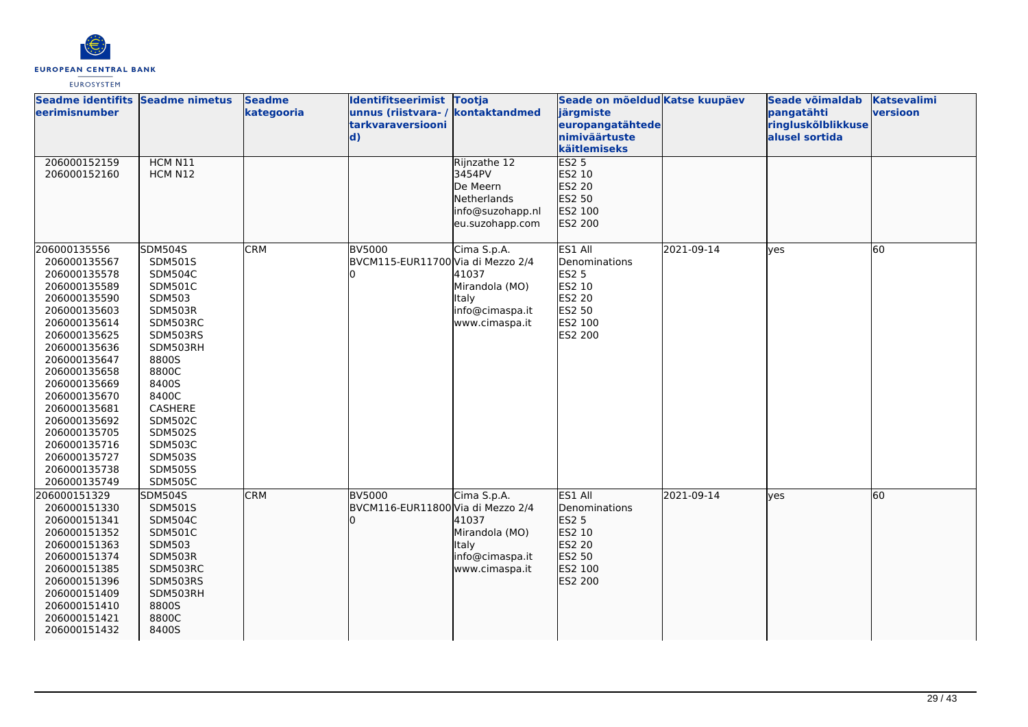

| Seadme identifits Seadme nimetus<br>leerimisnumber                                                                                                                                                                                                                                                                           |                                                                                                                                                                                                                                                                     | <b>Seadme</b><br>kategooria | Identifitseerimist Tootja<br>unnus (riistvara- / kontaktandmed<br><b>tarkvaraversiooni</b><br>$\mathbf{d}$ |                                                                                          | Seade on mõeldud Katse kuupäev<br>järgmiste<br>europangatähtede<br>nimiväärtuste                    |            | Seade võimaldab<br>pangatähti<br>ringluskõlblikkuse<br>alusel sortida | Katsevalimi<br>versioon |
|------------------------------------------------------------------------------------------------------------------------------------------------------------------------------------------------------------------------------------------------------------------------------------------------------------------------------|---------------------------------------------------------------------------------------------------------------------------------------------------------------------------------------------------------------------------------------------------------------------|-----------------------------|------------------------------------------------------------------------------------------------------------|------------------------------------------------------------------------------------------|-----------------------------------------------------------------------------------------------------|------------|-----------------------------------------------------------------------|-------------------------|
| 206000152159<br>206000152160                                                                                                                                                                                                                                                                                                 | HCM N11<br>HCM N12                                                                                                                                                                                                                                                  |                             |                                                                                                            | Rijnzathe 12<br>3454PV<br>De Meern<br>Netherlands<br>info@suzohapp.nl<br>eu.suzohapp.com | käitlemiseks<br>ES25<br>ES2 10<br>ES2 20<br>ES2 50<br>ES2 100<br>ES2 200                            |            |                                                                       |                         |
| 206000135556<br>206000135567<br>206000135578<br>206000135589<br>206000135590<br>206000135603<br>206000135614<br>206000135625<br>206000135636<br>206000135647<br>206000135658<br>206000135669<br>206000135670<br>206000135681<br>206000135692<br>206000135705<br>206000135716<br>206000135727<br>206000135738<br>206000135749 | <b>SDM504S</b><br>SDM501S<br><b>SDM504C</b><br><b>SDM501C</b><br>SDM503<br>SDM503R<br>SDM503RC<br>SDM503RS<br>SDM503RH<br>8800S<br>8800C<br>8400S<br>8400C<br>CASHERE<br><b>SDM502C</b><br><b>SDM502S</b><br>SDM503C<br><b>SDM503S</b><br><b>SDM505S</b><br>SDM505C | <b>CRM</b>                  | <b>BV5000</b><br>BVCM115-EUR11700 Via di Mezzo 2/4                                                         | Cima S.p.A.<br>41037<br>Mirandola (MO)<br>Italy<br>info@cimaspa.it<br>www.cimaspa.it     | ES1 All<br>Denominations<br><b>ES2 5</b><br>ES2 10<br><b>ES2 20</b><br>ES2 50<br>ES2 100<br>ES2 200 | 2021-09-14 | lyes                                                                  | 60                      |
| 206000151329<br>206000151330<br>206000151341<br>206000151352<br>206000151363<br>206000151374<br>206000151385<br>206000151396<br>206000151409<br>206000151410<br>206000151421<br>206000151432                                                                                                                                 | <b>SDM504S</b><br>SDM501S<br><b>SDM504C</b><br>SDM501C<br><b>SDM503</b><br><b>SDM503R</b><br>SDM503RC<br>SDM503RS<br>SDM503RH<br>8800S<br>8800C<br>8400S                                                                                                            | <b>CRM</b>                  | BV5000<br>BVCM116-EUR11800 Via di Mezzo 2/4                                                                | Cima S.p.A.<br>41037<br>Mirandola (MO)<br>Italy<br>info@cimaspa.it<br>www.cimaspa.it     | ES1 All<br>Denominations<br>ES2 5<br>ES2 10<br>ES2 20<br>ES2 50<br>ES2 100<br>ES2 200               | 2021-09-14 | lyes                                                                  | 60                      |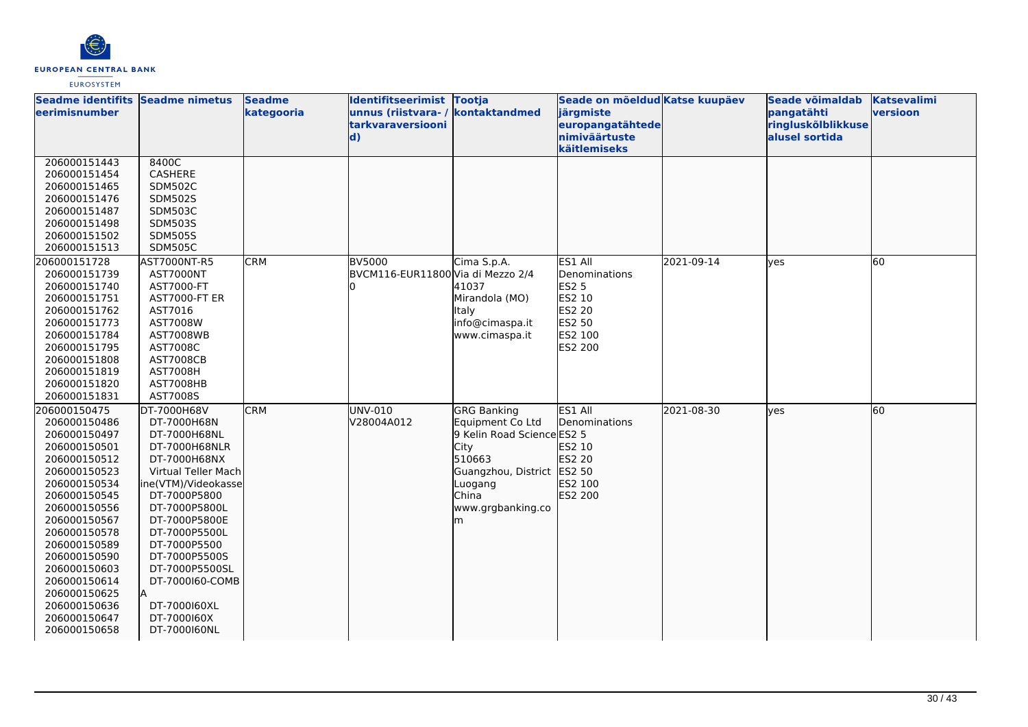

| unnus (riistvara- / kontaktandmed<br><b>leerimisnumber</b><br>kategooria<br>järgmiste<br>pangatähti<br>ringluskõlblikkuse<br>tarkvaraversiooni<br>europangatähtede<br>nimiväärtuste<br>alusel sortida<br>$\mathbf{d}$ | versioon |
|-----------------------------------------------------------------------------------------------------------------------------------------------------------------------------------------------------------------------|----------|
|                                                                                                                                                                                                                       |          |
|                                                                                                                                                                                                                       |          |
| käitlemiseks                                                                                                                                                                                                          |          |
| 8400C<br>206000151443                                                                                                                                                                                                 |          |
| CASHERE<br>206000151454                                                                                                                                                                                               |          |
| <b>SDM502C</b><br>206000151465                                                                                                                                                                                        |          |
| 206000151476<br><b>SDM502S</b>                                                                                                                                                                                        |          |
| <b>SDM503C</b><br>206000151487                                                                                                                                                                                        |          |
| <b>SDM503S</b><br>206000151498                                                                                                                                                                                        |          |
| 206000151502<br><b>SDM505S</b>                                                                                                                                                                                        |          |
| <b>SDM505C</b><br>206000151513                                                                                                                                                                                        |          |
| <b>CRM</b><br>Cima S.p.A.<br>ES1 All<br>2021-09-14<br>60<br>206000151728<br>AST7000NT-R5<br><b>BV5000</b><br>ves                                                                                                      |          |
| BVCM116-EUR11800 Via di Mezzo 2/4<br>206000151739<br>AST7000NT<br>Denominations                                                                                                                                       |          |
| 206000151740<br>AST7000-FT<br>41037<br><b>ES2 5</b>                                                                                                                                                                   |          |
| Mirandola (MO)<br>ES2 10<br>206000151751<br>AST7000-FT ER                                                                                                                                                             |          |
| <b>ES2 20</b><br>206000151762<br>AST7016<br>Italy                                                                                                                                                                     |          |
| AST7008W<br>ES2 50<br>206000151773<br>info@cimaspa.it                                                                                                                                                                 |          |
| ES2 100<br>206000151784<br><b>AST7008WB</b><br>www.cimaspa.it                                                                                                                                                         |          |
| ES2 200<br>206000151795<br>AST7008C                                                                                                                                                                                   |          |
| 206000151808<br><b>AST7008CB</b>                                                                                                                                                                                      |          |
| <b>AST7008H</b><br>206000151819                                                                                                                                                                                       |          |
| 206000151820<br>AST7008HB                                                                                                                                                                                             |          |
| 206000151831<br>AST7008S                                                                                                                                                                                              |          |
| <b>CRM</b><br>ES1 All<br>60<br>206000150475<br>UNV-010<br><b>GRG Banking</b><br>2021-08-30<br>DT-7000H68V<br>lyes                                                                                                     |          |
| V28004A012<br>Denominations<br>206000150486<br>DT-7000H68N<br>Equipment Co Ltd                                                                                                                                        |          |
| 9 Kelin Road Science ES2 5<br>206000150497<br>DT-7000H68NL                                                                                                                                                            |          |
| ES2 10<br>206000150501<br>DT-7000H68NLR<br>City                                                                                                                                                                       |          |
| 510663<br>ES2 20<br>206000150512<br>DT-7000H68NX                                                                                                                                                                      |          |
| Guangzhou, District ES2 50<br>206000150523<br>Virtual Teller Mach                                                                                                                                                     |          |
| 206000150534<br>ES2 100<br>ne(VTM)/Videokasse<br>Luogang<br><b>China</b><br>ES2 200<br>DT-7000P5800                                                                                                                   |          |
| 206000150545<br>206000150556<br>DT-7000P5800L<br>www.grgbanking.co                                                                                                                                                    |          |
| 206000150567<br>DT-7000P5800E<br>m                                                                                                                                                                                    |          |
| 206000150578<br>DT-7000P5500L                                                                                                                                                                                         |          |
| 206000150589<br>DT-7000P5500                                                                                                                                                                                          |          |
| 206000150590<br>DT-7000P5500S                                                                                                                                                                                         |          |
| 206000150603<br>DT-7000P5500SL                                                                                                                                                                                        |          |
| 206000150614<br>DT-7000160-COMB                                                                                                                                                                                       |          |
| 206000150625<br>İΑ                                                                                                                                                                                                    |          |
| 206000150636<br>DT-7000160XL                                                                                                                                                                                          |          |
| DT-7000160X<br>206000150647                                                                                                                                                                                           |          |
| 206000150658<br>DT-7000160NL                                                                                                                                                                                          |          |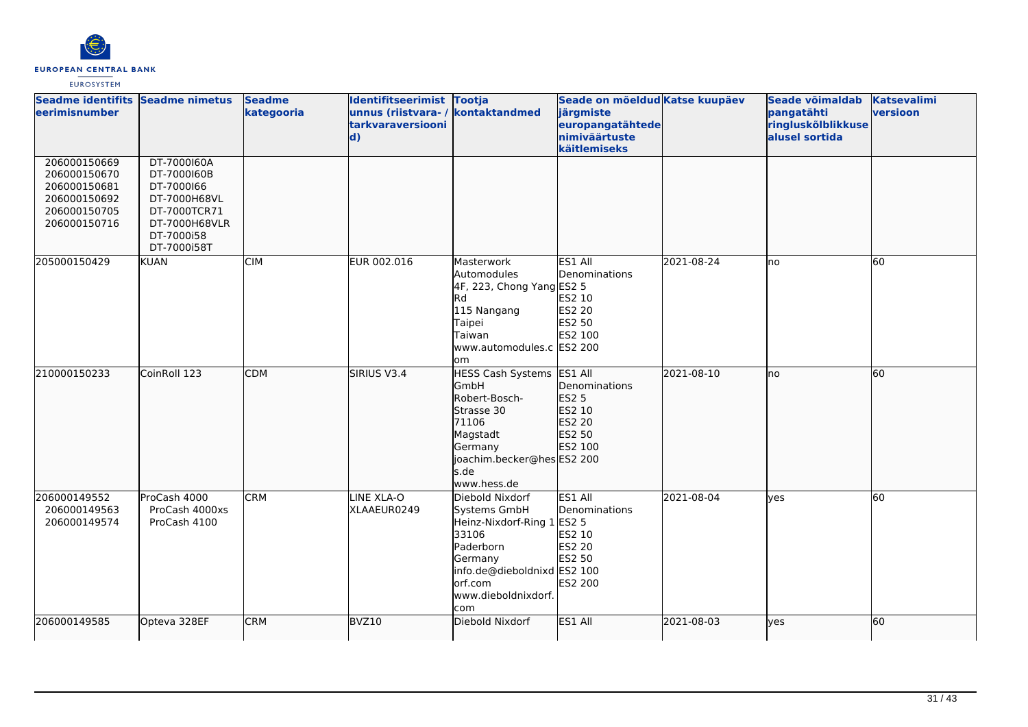

| Seadme identifits Seadme nimetus<br>eerimisnumber                                            |                                                                                                                        | <b>Seadme</b><br>kategooria | Identifitseerimist Tootja<br>unnus (riistvara- / kontaktandmed<br>tarkvaraversiooni<br>$\mathbf{d}$ |                                                                                                                                                                   | Seade on mõeldud Katse kuupäev<br>järgmiste<br>europangatähtede<br>nimiväärtuste<br>käitlemiseks       |            | Seade võimaldab<br>pangatähti<br>ringluskõlblikkuse<br>alusel sortida | <b>Katsevalimi</b><br>versioon |
|----------------------------------------------------------------------------------------------|------------------------------------------------------------------------------------------------------------------------|-----------------------------|-----------------------------------------------------------------------------------------------------|-------------------------------------------------------------------------------------------------------------------------------------------------------------------|--------------------------------------------------------------------------------------------------------|------------|-----------------------------------------------------------------------|--------------------------------|
| 206000150669<br>206000150670<br>206000150681<br>206000150692<br>206000150705<br>206000150716 | DT-7000160A<br>DT-7000160B<br>DT-7000166<br>DT-7000H68VL<br>DT-7000TCR71<br>DT-7000H68VLR<br>DT-7000i58<br>DT-7000i58T |                             |                                                                                                     |                                                                                                                                                                   |                                                                                                        |            |                                                                       |                                |
| 205000150429                                                                                 | <b>KUAN</b>                                                                                                            | <b>CIM</b>                  | EUR 002.016                                                                                         | Masterwork<br>Automodules<br>4F, 223, Chong Yang ES2 5<br><b>Rd</b><br>115 Nangang<br>Taipei<br>Taiwan<br>www.automodules.c ES2 200<br>lom                        | ES1 All<br>Denominations<br>ES2 10<br>ES2 20<br>ES2 50<br>ES2 100                                      | 2021-08-24 | no                                                                    | 60                             |
| 210000150233                                                                                 | CoinRoll 123                                                                                                           | <b>CDM</b>                  | SIRIUS V3.4                                                                                         | HESS Cash Systems ES1 All<br>GmbH<br>Robert-Bosch-<br>Strasse 30<br>71106<br>Magstadt<br>Germany<br>joachim.becker@hesES2 200<br>s.de<br>www.hess.de              | Denominations<br>ES2 5<br>ES2 10<br>ES2 20<br>ES2 50<br>ES2 100                                        | 2021-08-10 | lno                                                                   | 60                             |
| 206000149552<br>206000149563<br>206000149574                                                 | ProCash 4000<br>ProCash 4000xs<br>ProCash 4100                                                                         | <b>CRM</b>                  | LINE XLA-O<br>XLAAEUR0249                                                                           | Diebold Nixdorf<br>Systems GmbH<br>Heinz-Nixdorf-Ring 1<br>33106<br>Paderborn<br>Germany<br>info.de@dieboldnixd ES2 100<br>lorf.com<br>www.dieboldnixdorf.<br>com | ES1 All<br>Denominations<br><b>ES2 5</b><br>ES2 10<br><b>ES2 20</b><br><b>ES2 50</b><br><b>ES2 200</b> | 2021-08-04 | lves                                                                  | 60                             |
| 206000149585                                                                                 | Opteva 328EF                                                                                                           | <b>CRM</b>                  | BVZ10                                                                                               | Diebold Nixdorf                                                                                                                                                   | ES1 All                                                                                                | 2021-08-03 | lves                                                                  | 60                             |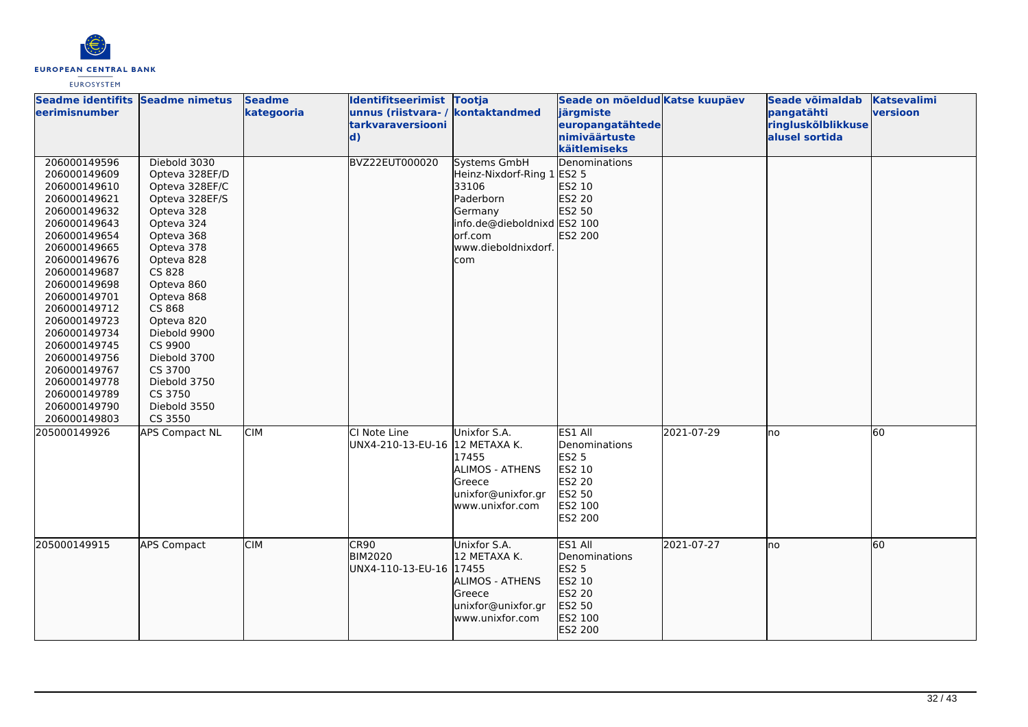

| Seadme identifits Seadme nimetus<br>eerimisnumber                                                                                                                                                                                                                                                                                                            |                                                                                                                                                                                                                                                                                                                    | <b>Seadme</b><br>kategooria | Identifitseerimist Tootja<br>unnus (riistvara-/<br><b>tarkvaraversiooni</b><br>$\mathbf{d}$ | kontaktandmed                                                                                                                                        | Seade on mõeldud Katse kuupäev<br>järgmiste<br>europangatähtede<br>nimiväärtuste<br>käitlemiseks |            | Seade võimaldab<br>pangatähti<br>ringluskõlblikkuse<br>alusel sortida | <b>Katsevalimi</b><br>versioon |
|--------------------------------------------------------------------------------------------------------------------------------------------------------------------------------------------------------------------------------------------------------------------------------------------------------------------------------------------------------------|--------------------------------------------------------------------------------------------------------------------------------------------------------------------------------------------------------------------------------------------------------------------------------------------------------------------|-----------------------------|---------------------------------------------------------------------------------------------|------------------------------------------------------------------------------------------------------------------------------------------------------|--------------------------------------------------------------------------------------------------|------------|-----------------------------------------------------------------------|--------------------------------|
| 206000149596<br>206000149609<br>206000149610<br>206000149621<br>206000149632<br>206000149643<br>206000149654<br>206000149665<br>206000149676<br>206000149687<br>206000149698<br>206000149701<br>206000149712<br>206000149723<br>206000149734<br>206000149745<br>206000149756<br>206000149767<br>206000149778<br>206000149789<br>206000149790<br>206000149803 | Diebold 3030<br>Opteva 328EF/D<br>Opteva 328EF/C<br>Opteva 328EF/S<br>Opteva 328<br>Opteva 324<br>Opteva 368<br>Opteva 378<br>Opteva 828<br>CS 828<br>Opteva 860<br>Opteva 868<br>CS 868<br>Opteva 820<br>Diebold 9900<br>CS 9900<br>Diebold 3700<br>CS 3700<br>Diebold 3750<br>CS 3750<br>Diebold 3550<br>CS 3550 |                             | BVZ22EUT000020                                                                              | <b>Systems GmbH</b><br>Heinz-Nixdorf-Ring 1<br>33106<br>Paderborn<br>Germany<br>info.de@dieboldnixd ES2 100<br>orf.com<br>www.dieboldnixdorf.<br>com | Denominations<br><b>ES2 5</b><br>ES2 10<br>ES2 20<br>ES2 50<br>ES2 200                           |            |                                                                       |                                |
| 205000149926                                                                                                                                                                                                                                                                                                                                                 | <b>APS Compact NL</b>                                                                                                                                                                                                                                                                                              | <b>CIM</b>                  | CI Note Line<br>UNX4-210-13-EU-16  12 METAXA K.                                             | Unixfor S.A.<br>17455<br>ALIMOS - ATHENS<br>Greece<br>unixfor@unixfor.gr<br>www.unixfor.com                                                          | ES1 All<br>Denominations<br><b>ES2 5</b><br>ES2 10<br>ES2 20<br>ES2 50<br>ES2 100<br>ES2 200     | 2021-07-29 | lno                                                                   | 60                             |
| 205000149915                                                                                                                                                                                                                                                                                                                                                 | <b>APS Compact</b>                                                                                                                                                                                                                                                                                                 | <b>CIM</b>                  | CR90<br><b>BIM2020</b><br>UNX4-110-13-EU-16 17455                                           | Unixfor S.A.<br>12 METAXA K.<br><b>ALIMOS - ATHENS</b><br>Greece<br>unixfor@unixfor.gr<br>www.unixfor.com                                            | ES1 All<br>Denominations<br>ES2 5<br>ES2 10<br>ES2 20<br>ES2 50<br>ES2 100<br>ES2 200            | 2021-07-27 | Ino                                                                   | 60                             |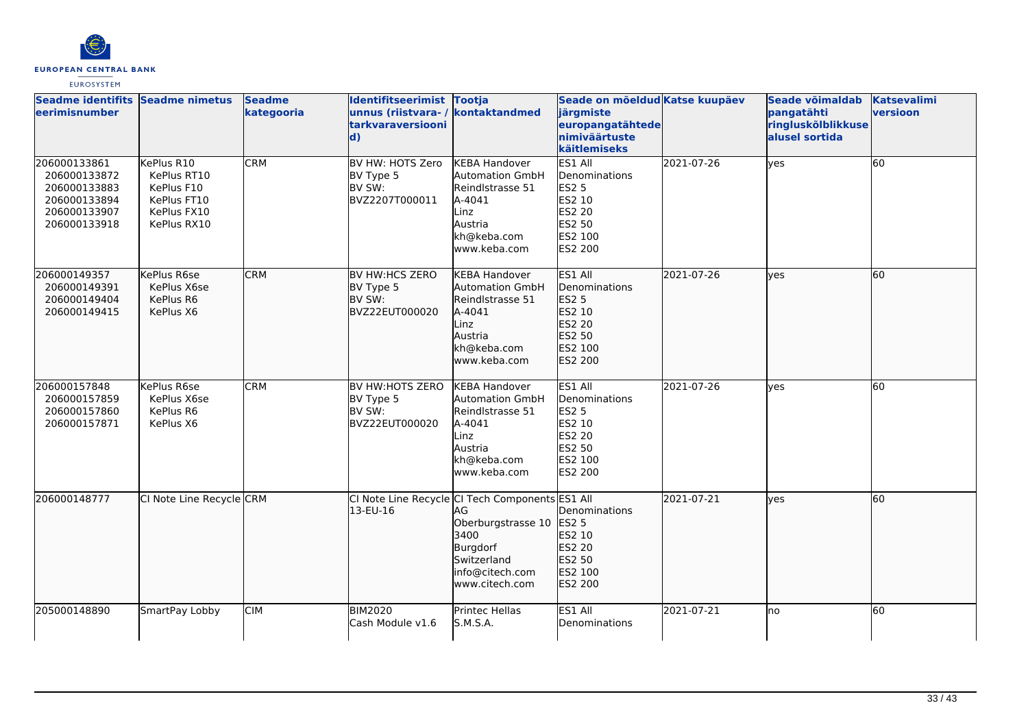

| Seadme identifits Seadme nimetus<br>leerimisnumber                                           |                                                                                      | <b>Seadme</b><br>kategooria | Identifitseerimist Tootja<br>unnus (riistvara-/<br>tarkvaraversiooni<br>$\mathbf{d}$ | kontaktandmed                                                                                                                                        | Seade on mõeldud Katse kuupäev<br>järgmiste<br>europangatähtede<br>nimiväärtuste<br>käitlemiseks    |            | Seade võimaldab<br>pangatähti<br>ringluskõlblikkuse<br>alusel sortida | <b>Katsevalimi</b><br>versioon |
|----------------------------------------------------------------------------------------------|--------------------------------------------------------------------------------------|-----------------------------|--------------------------------------------------------------------------------------|------------------------------------------------------------------------------------------------------------------------------------------------------|-----------------------------------------------------------------------------------------------------|------------|-----------------------------------------------------------------------|--------------------------------|
| 206000133861<br>206000133872<br>206000133883<br>206000133894<br>206000133907<br>206000133918 | KePlus R10<br>KePlus RT10<br>KePlus F10<br>KePlus FT10<br>KePlus FX10<br>KePlus RX10 | <b>CRM</b>                  | BV HW: HOTS Zero<br>BV Type 5<br>BV SW:<br>BVZ2207T000011                            | <b>KEBA Handover</b><br>Automation GmbH<br>Reindlstrasse 51<br>A-4041<br>Linz<br>Austria<br>kh@keba.com<br>www.keba.com                              | ES1 All<br>Denominations<br><b>ES2 5</b><br>ES2 10<br>ES2 20<br>ES2 50<br>ES2 100<br><b>ES2 200</b> | 2021-07-26 | lyes                                                                  | 60                             |
| 206000149357<br>206000149391<br>206000149404<br>206000149415                                 | KePlus R6se<br>KePlus X6se<br>KePlus R6<br>KePlus X6                                 | <b>CRM</b>                  | <b>BV HW:HCS ZERO</b><br>BV Type 5<br>BV SW:<br>BVZ22EUT000020                       | <b>KEBA Handover</b><br><b>Automation GmbH</b><br>Reindlstrasse 51<br>A-4041<br>Linz<br>Austria<br>kh@keba.com<br>lwww.keba.com                      | ES1 All<br>Denominations<br>ES2 5<br>ES2 10<br>ES2 20<br>ES2 50<br>ES2 100<br>ES2 200               | 2021-07-26 | lves                                                                  | 60                             |
| 206000157848<br>206000157859<br>206000157860<br>206000157871                                 | KePlus R6se<br>KePlus X6se<br>KePlus R6<br>KePlus X6                                 | <b>CRM</b>                  | <b>BV HW:HOTS ZERO</b><br>BV Type 5<br>BV SW:<br>BVZ22EUT000020                      | <b>KEBA Handover</b><br>Automation GmbH<br>Reindlstrasse 51<br>A-4041<br>Linz<br>Austria<br>kh@keba.com<br>www.keba.com                              | ES1 All<br>Denominations<br><b>ES2 5</b><br>ES2 10<br>ES2 20<br>ES2 50<br>ES2 100<br>ES2 200        | 2021-07-26 | yes                                                                   | l60                            |
| 206000148777                                                                                 | CI Note Line Recycle CRM                                                             |                             | 13-EU-16                                                                             | CI Note Line Recycle CI Tech Components ES1 All<br>ΙAG<br>Oberburgstrasse 10<br>3400<br>Burgdorf<br>Switzerland<br>info@citech.com<br>www.citech.com | Denominations<br>ES2 5<br>ES2 10<br>ES2 20<br>ES2 50<br>ES2 100<br>ES2 200                          | 2021-07-21 | lyes                                                                  | 60                             |
| 205000148890                                                                                 | SmartPay Lobby                                                                       | <b>CIM</b>                  | <b>BIM2020</b><br>Cash Module v1.6                                                   | Printec Hellas<br>S.M.S.A.                                                                                                                           | ES1 All<br>Denominations                                                                            | 2021-07-21 | Ino                                                                   | 60                             |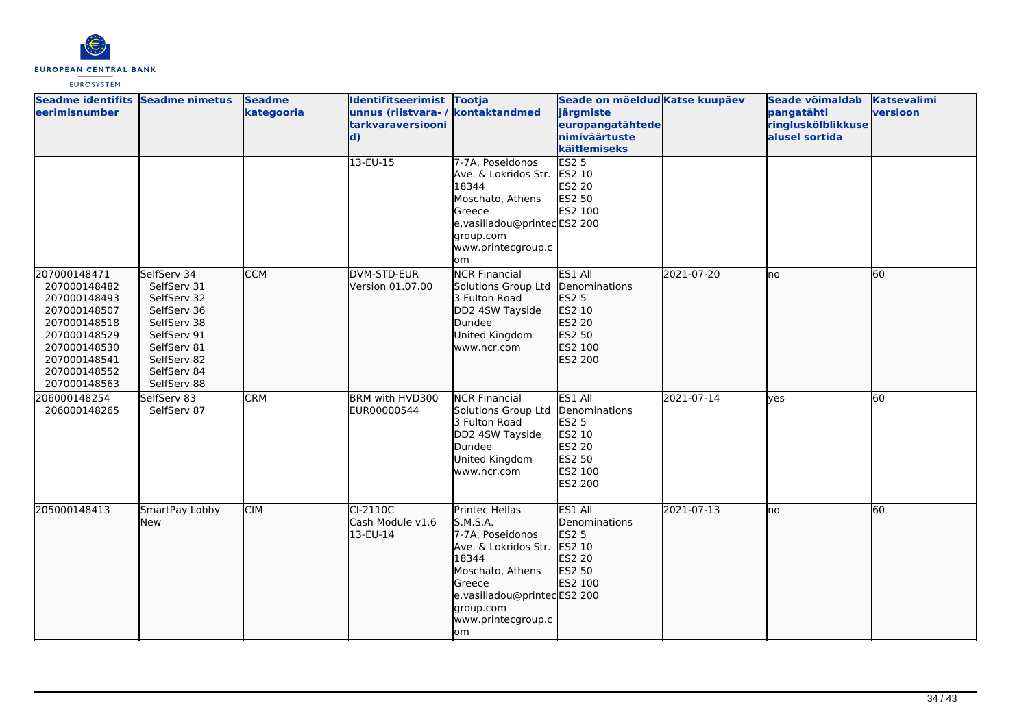

| Seadme identifits Seadme nimetus<br>eerimisnumber                                                                                                            |                                                                                                                                                    | <b>Seadme</b><br>kategooria | Identifitseerimist Tootja<br>unnus (riistvara- / kontaktandmed<br>tarkvaraversiooni<br>$\mathbf{d}$ |                                                                                                                                                                                        | Seade on mõeldud Katse kuupäev<br>järgmiste<br>europangatähtede<br>nimiväärtuste<br>käitlemiseks    |            | Seade võimaldab<br>pangatähti<br>ringluskõlblikkuse<br>alusel sortida | <b>Katsevalimi</b><br>versioon |
|--------------------------------------------------------------------------------------------------------------------------------------------------------------|----------------------------------------------------------------------------------------------------------------------------------------------------|-----------------------------|-----------------------------------------------------------------------------------------------------|----------------------------------------------------------------------------------------------------------------------------------------------------------------------------------------|-----------------------------------------------------------------------------------------------------|------------|-----------------------------------------------------------------------|--------------------------------|
|                                                                                                                                                              |                                                                                                                                                    |                             | 13-EU-15                                                                                            | 7-7A, Poseidonos<br>Ave. & Lokridos Str.<br>18344<br>Moschato, Athens<br>Greece<br>e.vasiliadou@printecES2 200<br>group.com<br>www.printecgroup.c<br>lom                               | <b>ES2 5</b><br>ES2 10<br>ES2 20<br>ES2 50<br>ES2 100                                               |            |                                                                       |                                |
| 207000148471<br>207000148482<br>207000148493<br>207000148507<br>207000148518<br>207000148529<br>207000148530<br>207000148541<br>207000148552<br>207000148563 | SelfServ 34<br>SelfServ 31<br>SelfServ 32<br>SelfServ 36<br>SelfServ 38<br>SelfServ 91<br>SelfServ 81<br>SelfServ 82<br>SelfServ 84<br>SelfServ 88 | <b>CCM</b>                  | DVM-STD-EUR<br>Version 01.07.00                                                                     | <b>NCR Financial</b><br>Solutions Group Ltd<br>3 Fulton Road<br>DD2 4SW Tayside<br>Dundee<br>United Kingdom<br>www.ncr.com                                                             | ES1 All<br>Denominations<br>ES2 5<br>ES2 10<br><b>IES2 20</b><br>ES2 50<br>ES2 100<br>ES2 200       | 2021-07-20 | lno                                                                   | 60                             |
| 206000148254<br>206000148265                                                                                                                                 | SelfServ 83<br>SelfServ 87                                                                                                                         | <b>CRM</b>                  | BRM with HVD300<br>EUR00000544                                                                      | <b>NCR Financial</b><br>Solutions Group Ltd<br>3 Fulton Road<br>DD2 4SW Tayside<br><b>D</b> undee<br>United Kingdom<br>www.ncr.com                                                     | ES1 All<br>Denominations<br><b>ES2 5</b><br>ES2 10<br><b>ES2 20</b><br>ES2 50<br>ES2 100<br>ES2 200 | 2021-07-14 | lyes                                                                  | 60                             |
| 205000148413                                                                                                                                                 | SmartPay Lobby<br><b>New</b>                                                                                                                       | <b>CIM</b>                  | CI-2110C<br>Cash Module v1.6<br>13-EU-14                                                            | Printec Hellas<br>S.M.S.A.<br>7-7A, Poseidonos<br>Ave. & Lokridos Str.<br>18344<br>Moschato, Athens<br>Greece<br>e.vasiliadou@printecES2 200<br>group.com<br>www.printecgroup.c<br>lom | ES1 All<br>Denominations<br>ES2 5<br>ES2 10<br>ES2 20<br>ES2 50<br>ES2 100                          | 2021-07-13 | lno                                                                   | 60                             |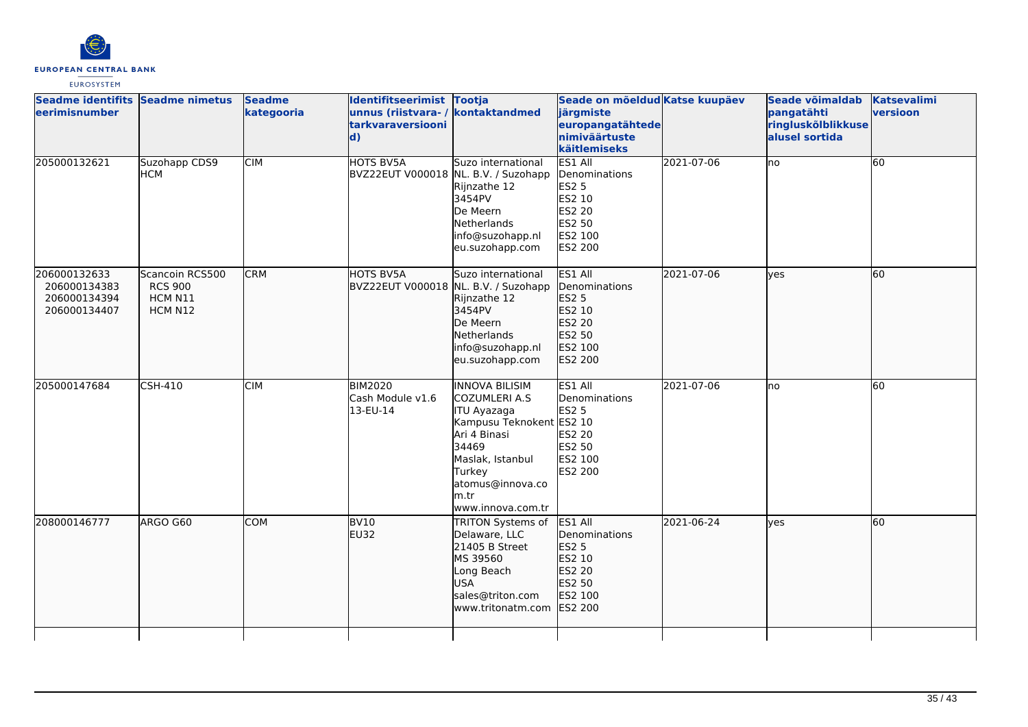

| eerimisnumber                                                | Seadme identifits Seadme nimetus                        | <b>Seadme</b><br>kategooria | Identifitseerimist Tootja<br>unnus (riistvara- / kontaktandmed<br>tarkvaraversiooni<br>$\mathbf{d}$ |                                                                                                                                                                                                   | Seade on mõeldud Katse kuupäev<br>järgmiste<br>europangatähtede<br>nimiväärtuste<br>käitlemiseks    |            | Seade võimaldab<br>pangatähti<br>ringluskõlblikkuse<br>alusel sortida | Katsevalimi<br>versioon |
|--------------------------------------------------------------|---------------------------------------------------------|-----------------------------|-----------------------------------------------------------------------------------------------------|---------------------------------------------------------------------------------------------------------------------------------------------------------------------------------------------------|-----------------------------------------------------------------------------------------------------|------------|-----------------------------------------------------------------------|-------------------------|
| 205000132621                                                 | Suzohapp CDS9<br>НСМ                                    | <b>CIM</b>                  | <b>HOTS BV5A</b><br>BVZ22EUT V000018 NL. B.V. / Suzohapp                                            | Suzo international<br>Rijnzathe 12<br>3454PV<br>De Meern<br><b>Netherlands</b><br>info@suzohapp.nl<br>eu.suzohapp.com                                                                             | ES1 All<br>Denominations<br><b>ES2 5</b><br>ES2 10<br><b>ES2 20</b><br>ES2 50<br>ES2 100<br>ES2 200 | 2021-07-06 | no.                                                                   | 60                      |
| 206000132633<br>206000134383<br>206000134394<br>206000134407 | Scancoin RCS500<br><b>RCS 900</b><br>HCM N11<br>HCM N12 | <b>CRM</b>                  | HOTS BV5A<br>BVZ22EUT V000018 NL. B.V. / Suzohapp                                                   | Suzo international<br>Rijnzathe 12<br>3454PV<br>De Meern<br><b>Netherlands</b><br>info@suzohapp.nl<br>eu.suzohapp.com                                                                             | ES1 All<br>Denominations<br>ES2 5<br>ES2 10<br>ES2 20<br>ES2 50<br>ES2 100<br>ES2 200               | 2021-07-06 | lves                                                                  | 60                      |
| 205000147684                                                 | <b>CSH-410</b>                                          | <b>CIM</b>                  | <b>BIM2020</b><br>Cash Module v1.6<br>13-EU-14                                                      | <b>INNOVA BILISIM</b><br>COZUMLERI A.S<br><b>ITU Ayazaga</b><br>Kampusu Teknokent ES2 10<br>Ari 4 Binasi<br>34469<br>Maslak, Istanbul<br>Turkey<br>atomus@innova.co<br>lm.tr<br>www.innova.com.tr | ES1 All<br>Denominations<br><b>ES2 5</b><br>ES2 20<br>ES2 50<br>ES2 100<br><b>ES2 200</b>           | 2021-07-06 | lno                                                                   | 60                      |
| 208000146777                                                 | ARGO G60                                                | <b>COM</b>                  | BV <sub>10</sub><br>EU32                                                                            | <b>TRITON Systems of</b><br>Delaware, LLC<br>21405 B Street<br>MS 39560<br>Long Beach<br>USA<br>sales@triton.com<br>www.tritonatm.com                                                             | ES1 All<br>Denominations<br>ES2 5<br>ES2 10<br>ES2 20<br>ES2 50<br>ES2 100<br>ES2 200               | 2021-06-24 | lyes                                                                  | 60                      |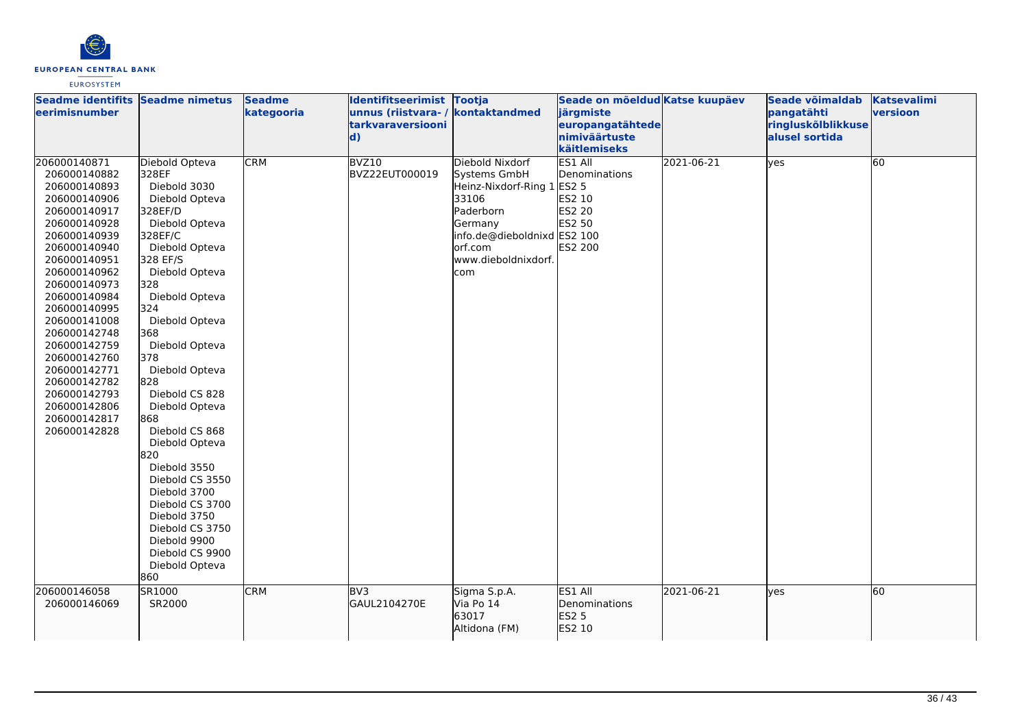

| Seadme identifits Seadme nimetus<br><b>leerimisnumber</b>                                                                                                                                                                                                                                                                                                                    |                                                                                                                                                                                                                                                                                                                                                                                                                                                                                                                         | <b>Seadme</b><br>kategooria | Identifitseerimist Tootja<br>unnus (riistvara-/<br>tarkvaraversiooni<br>$\mathbf{d}$ | kontaktandmed                                                                                                                                                          | Seade on mõeldud Katse kuupäev<br>järgmiste<br>europangatähtede<br>nimiväärtuste<br>käitlemiseks |            | Seade võimaldab<br>pangatähti<br>ringluskõlblikkuse<br>alusel sortida | <b>Katsevalimi</b><br>versioon |
|------------------------------------------------------------------------------------------------------------------------------------------------------------------------------------------------------------------------------------------------------------------------------------------------------------------------------------------------------------------------------|-------------------------------------------------------------------------------------------------------------------------------------------------------------------------------------------------------------------------------------------------------------------------------------------------------------------------------------------------------------------------------------------------------------------------------------------------------------------------------------------------------------------------|-----------------------------|--------------------------------------------------------------------------------------|------------------------------------------------------------------------------------------------------------------------------------------------------------------------|--------------------------------------------------------------------------------------------------|------------|-----------------------------------------------------------------------|--------------------------------|
| 206000140871<br>206000140882<br>206000140893<br>206000140906<br>206000140917<br>206000140928<br>206000140939<br>206000140940<br>206000140951<br>206000140962<br>206000140973<br>206000140984<br>206000140995<br>206000141008<br>206000142748<br>206000142759<br>206000142760<br>206000142771<br>206000142782<br>206000142793<br>206000142806<br>206000142817<br>206000142828 | Diebold Opteva<br>328EF<br>Diebold 3030<br>Diebold Opteva<br>328EF/D<br>Diebold Opteva<br>328EF/C<br>Diebold Opteva<br>328 EF/S<br>Diebold Opteva<br>328<br>Diebold Opteva<br>324<br>Diebold Opteva<br>368<br>Diebold Opteva<br>378<br>Diebold Opteva<br>828<br>Diebold CS 828<br>Diebold Opteva<br>868<br>Diebold CS 868<br>Diebold Opteva<br>820<br>Diebold 3550<br>Diebold CS 3550<br>Diebold 3700<br>Diebold CS 3700<br>Diebold 3750<br>Diebold CS 3750<br>Diebold 9900<br>Diebold CS 9900<br>Diebold Opteva<br>860 | <b>CRM</b>                  | BVZ10<br>BVZ22EUT000019                                                              | Diebold Nixdorf<br>Systems GmbH<br>Heinz-Nixdorf-Ring 1 ES2 5<br>33106<br>Paderborn<br>Germany<br>info.de@dieboldnixd ES2 100<br>orf.com<br>www.dieboldnixdorf.<br>com | ES1 All<br>Denominations<br><b>ES2 10</b><br><b>ES2 20</b><br>ES2 50<br>ES2 200                  | 2021-06-21 | yes                                                                   | 60                             |
| 206000146058<br>206000146069                                                                                                                                                                                                                                                                                                                                                 | SR1000<br>SR2000                                                                                                                                                                                                                                                                                                                                                                                                                                                                                                        | <b>CRM</b>                  | BV <sub>3</sub><br>GAUL2104270E                                                      | Sigma S.p.A.<br>Via Po 14<br>63017<br>Altidona (FM)                                                                                                                    | ES1 All<br>Denominations<br>ES2 5<br>ES2 10                                                      | 2021-06-21 | lyes                                                                  | 60                             |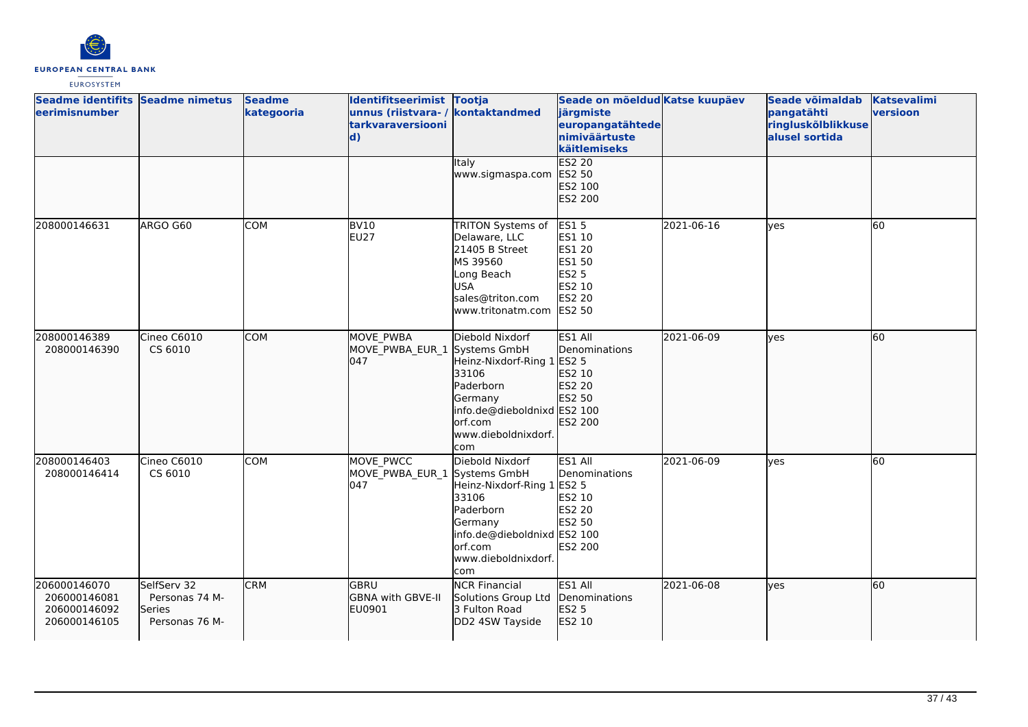

| Seadme identifits Seadme nimetus<br>eerimisnumber            |                                                           | <b>Seadme</b><br>kategooria | Identifitseerimist Tootja<br>unnus (riistvara- / kontaktandmed<br>tarkvaraversiooni<br>$\mathbf{d}$ |                                                                                                                                                         | Seade on mõeldud Katse kuupäev<br>järgmiste<br>europangatähtede<br>nimiväärtuste<br>käitlemiseks      |            | Seade võimaldab<br>pangatähti<br>ringluskõlblikkuse<br>alusel sortida | <b>Katsevalimi</b><br>versioon |
|--------------------------------------------------------------|-----------------------------------------------------------|-----------------------------|-----------------------------------------------------------------------------------------------------|---------------------------------------------------------------------------------------------------------------------------------------------------------|-------------------------------------------------------------------------------------------------------|------------|-----------------------------------------------------------------------|--------------------------------|
|                                                              |                                                           |                             |                                                                                                     | Italy<br>www.sigmaspa.com                                                                                                                               | <b>ES2 20</b><br>ES2 50<br>ES2 100<br>ES2 200                                                         |            |                                                                       |                                |
| 208000146631                                                 | ARGO G60                                                  | <b>COM</b>                  | <b>BV10</b><br><b>EU27</b>                                                                          | <b>TRITON Systems of</b><br>Delaware, LLC<br>21405 B Street<br>MS 39560<br>Long Beach<br><b>USA</b><br>sales@triton.com<br>www.tritonatm.com            | <b>ES15</b><br>ES1 10<br><b>ES1 20</b><br>ES1 50<br><b>ES2 5</b><br>ES2 10<br>ES2 20<br><b>ES2 50</b> | 2021-06-16 | yes                                                                   | 60                             |
| 208000146389<br>208000146390                                 | Cineo C6010<br>CS 6010                                    | <b>COM</b>                  | MOVE PWBA<br>MOVE_PWBA_EUR_1 Systems GmbH<br>047                                                    | Diebold Nixdorf<br>Heinz-Nixdorf-Ring 1<br>33106<br>Paderborn<br>Germany<br>info.de@dieboldnixd ES2 100<br>orf.com<br>www.dieboldnixdorf.<br><b>com</b> | ES1 All<br>Denominations<br>ES2 5<br>ES2 10<br>ES2 20<br>ES2 50<br>ES2 200                            | 2021-06-09 | lyes                                                                  | 60                             |
| 208000146403<br>208000146414                                 | Cineo C6010<br>CS 6010                                    | <b>COM</b>                  | MOVE PWCC<br>MOVE_PWBA_EUR_1 Systems GmbH<br>047                                                    | Diebold Nixdorf<br>Heinz-Nixdorf-Ring 1<br>33106<br>Paderborn<br>Germany<br>info.de@dieboldnixd ES2 100<br>orf.com<br>www.dieboldnixdorf.<br>com        | ES1 All<br>Denominations<br><b>ES2 5</b><br>ES2 10<br>ES2 20<br>ES2 50<br>ES2 200                     | 2021-06-09 | yes                                                                   | 60                             |
| 206000146070<br>206000146081<br>206000146092<br>206000146105 | SelfServ 32<br>Personas 74 M-<br>Series<br>Personas 76 M- | <b>CRM</b>                  | <b>GBRU</b><br>GBNA with GBVE-II<br>EU0901                                                          | <b>NCR Financial</b><br>Solutions Group Ltd<br>3 Fulton Road<br>DD2 4SW Tayside                                                                         | ES1 All<br>Denominations<br>ES2 5<br>ES2 10                                                           | 2021-06-08 | lyes                                                                  | 60                             |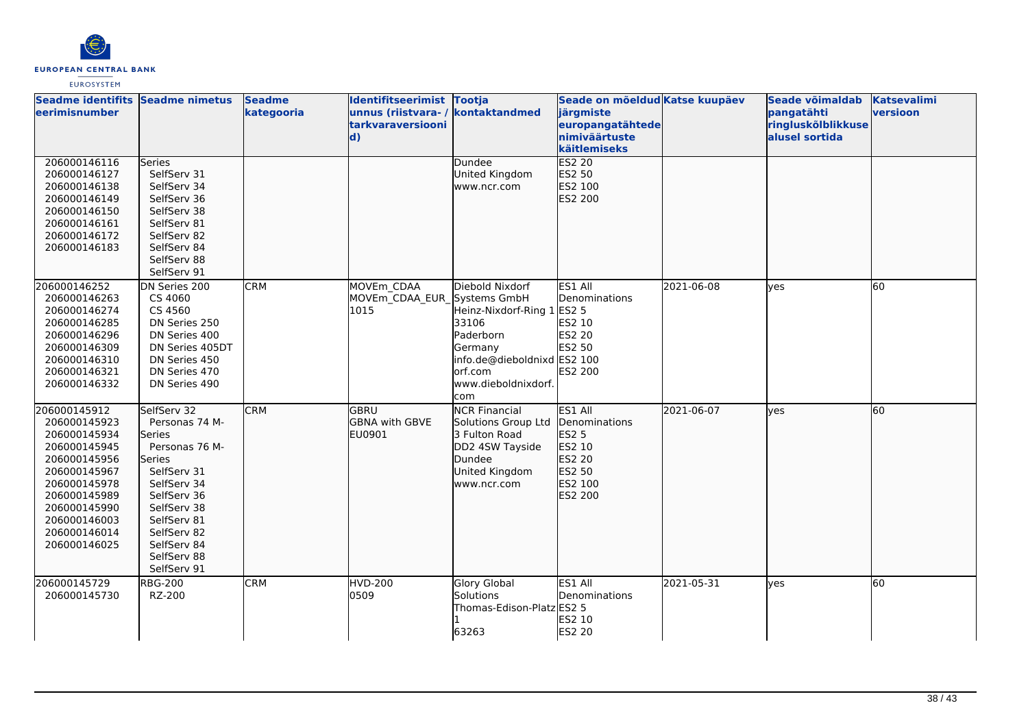

| Seadme identifits Seadme nimetus<br>leerimisnumber                                                                                                                                           |                                                                                                                                                                                                            | <b>Seadme</b><br>kategooria | Identifitseerimist Tootja<br>unnus (riistvara-/<br>tarkvaraversiooni<br>$\mathbf{d}$ | kontaktandmed                                                                                                                                    | Seade on mõeldud Katse kuupäev<br>järgmiste<br>europangatähtede<br>nimiväärtuste<br>käitlemiseks |            | Seade võimaldab<br>pangatähti<br>ringluskõlblikkuse<br>alusel sortida | <b>Katsevalimi</b><br>versioon |
|----------------------------------------------------------------------------------------------------------------------------------------------------------------------------------------------|------------------------------------------------------------------------------------------------------------------------------------------------------------------------------------------------------------|-----------------------------|--------------------------------------------------------------------------------------|--------------------------------------------------------------------------------------------------------------------------------------------------|--------------------------------------------------------------------------------------------------|------------|-----------------------------------------------------------------------|--------------------------------|
| 206000146116<br>206000146127<br>206000146138<br>206000146149<br>206000146150<br>206000146161<br>206000146172<br>206000146183                                                                 | Series<br>SelfServ 31<br>SelfServ 34<br>SelfServ 36<br>SelfServ 38<br>SelfServ 81<br>SelfServ 82<br>SelfServ 84<br>SelfServ 88<br>SelfServ 91                                                              |                             |                                                                                      | Dundee<br>United Kingdom<br>www.ncr.com                                                                                                          | <b>ES2 20</b><br>ES2 50<br>ES2 100<br>ES2 200                                                    |            |                                                                       |                                |
| 206000146252<br>206000146263<br>206000146274<br>206000146285<br>206000146296<br>206000146309<br>206000146310<br>206000146321<br>206000146332                                                 | DN Series 200<br>CS 4060<br>CS 4560<br>DN Series 250<br>DN Series 400<br>DN Series 405DT<br>DN Series 450<br>DN Series 470<br>DN Series 490                                                                | <b>CRM</b>                  | MOVEm CDAA<br>MOVEm CDAA EUR Systems GmbH<br>1015                                    | Diebold Nixdorf<br>Heinz-Nixdorf-Ring 1<br>33106<br>Paderborn<br>Germany<br>info.de@dieboldnixd ES2 100<br>orf.com<br>www.dieboldnixdorf.<br>com | ES1 All<br>Denominations<br><b>ES2 5</b><br>ES2 10<br>ES2 20<br>ES2 50<br>ES2 200                | 2021-06-08 | yes                                                                   | 60                             |
| 206000145912<br>206000145923<br>206000145934<br>206000145945<br>206000145956<br>206000145967<br>206000145978<br>206000145989<br>206000145990<br>206000146003<br>206000146014<br>206000146025 | SelfServ 32<br>Personas 74 M-<br>Series<br>Personas 76 M-<br>Series<br>SelfServ 31<br>SelfServ 34<br>SelfServ 36<br>SelfServ 38<br>SelfServ 81<br>SelfServ 82<br>SelfServ 84<br>SelfServ 88<br>SelfServ 91 | <b>CRM</b>                  | <b>GBRU</b><br><b>GBNA</b> with GBVE<br>EU0901                                       | <b>NCR Financial</b><br>Solutions Group Ltd<br>3 Fulton Road<br>DD2 4SW Tayside<br>Dundee<br>United Kingdom<br>www.ncr.com                       | ES1 All<br>Denominations<br><b>ES2 5</b><br>ES2 10<br>ES2 20<br>ES2 50<br>ES2 100<br>ES2 200     | 2021-06-07 | lves                                                                  | 60                             |
| 206000145729<br>206000145730                                                                                                                                                                 | <b>RBG-200</b><br>RZ-200                                                                                                                                                                                   | <b>CRM</b>                  | HVD-200<br>0509                                                                      | <b>Glory Global</b><br>Solutions<br>Thomas-Edison-Platz ES2 5<br>63263                                                                           | ES1 All<br>Denominations<br>ES2 10<br><b>ES2 20</b>                                              | 2021-05-31 | <b>ves</b>                                                            | 60                             |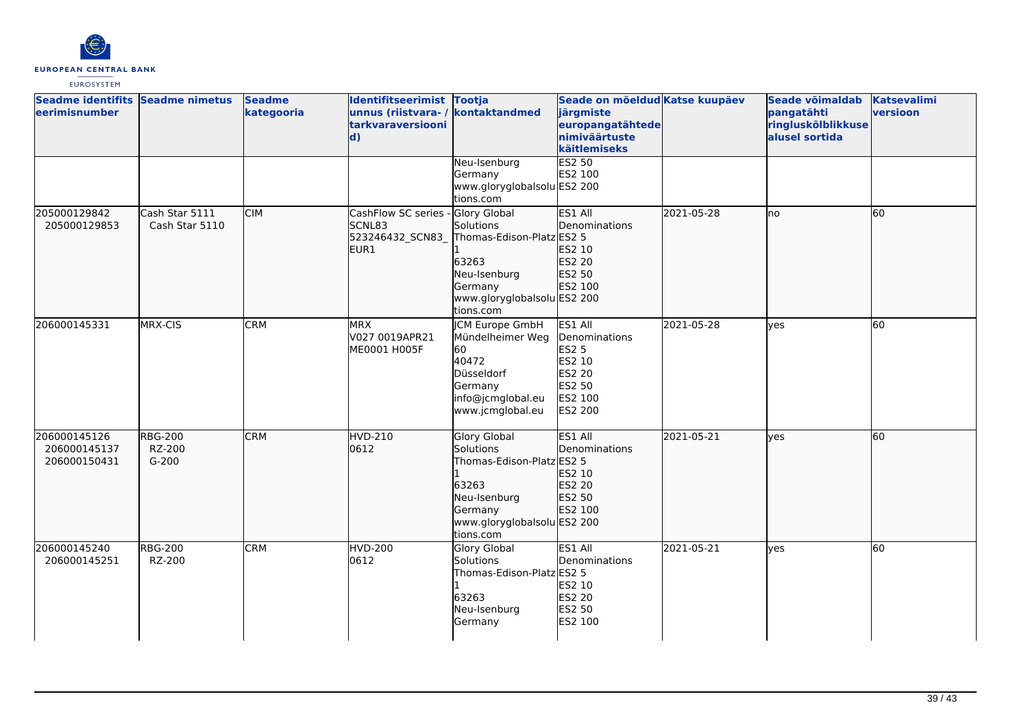

| Seadme identifits Seadme nimetus<br>eerimisnumber |                                     | <b>Seadme</b><br>kategooria | Identifitseerimist Tootja<br>unnus (riistvara- / kontaktandmed<br><b>tarkvaraversiooni</b><br>$\mathbf{d}$ |                                                                                                                                               | Seade on mõeldud Katse kuupäev<br>järgmiste<br>europangatähtede<br>nimiväärtuste<br>käitlemiseks    |            | Seade võimaldab<br>pangatähti<br>ringluskõlblikkuse<br>alusel sortida | <b>Katsevalimi</b><br>versioon |
|---------------------------------------------------|-------------------------------------|-----------------------------|------------------------------------------------------------------------------------------------------------|-----------------------------------------------------------------------------------------------------------------------------------------------|-----------------------------------------------------------------------------------------------------|------------|-----------------------------------------------------------------------|--------------------------------|
|                                                   |                                     |                             |                                                                                                            | Neu-Isenburg<br>Germany<br>www.gloryglobalsolu ES2 200<br>tions.com                                                                           | <b>ES2 50</b><br>ES2 100                                                                            |            |                                                                       |                                |
| 205000129842<br>205000129853                      | Cash Star 5111<br>Cash Star 5110    | <b>CIM</b>                  | CashFlow SC series<br>SCNL83<br>523246432_SCN83_<br>EUR1                                                   | Glory Global<br>Solutions<br>Thomas-Edison-Platz ES2 5<br>63263<br>Neu-Isenburg<br>Germany<br>www.gloryglobalsolu ES2 200<br>tions.com        | ES1 All<br>Denominations<br>ES2 10<br>ES2 20<br>ES2 50<br>ES2 100                                   | 2021-05-28 | lno                                                                   | 60                             |
| 206000145331                                      | MRX-CIS                             | <b>CRM</b>                  | <b>MRX</b><br>V027 0019APR21<br>ME0001 H005F                                                               | JCM Europe GmbH<br>Mündelheimer Weg<br>60<br>40472<br>Düsseldorf<br>Germany<br>info@jcmglobal.eu<br>www.jcmglobal.eu                          | ES1 All<br>Denominations<br><b>ES2 5</b><br>ES2 10<br>ES2 20<br>ES2 50<br>ES2 100<br><b>ES2 200</b> | 2021-05-28 | lves                                                                  | 60                             |
| 206000145126<br>206000145137<br>206000150431      | <b>RBG-200</b><br>RZ-200<br>$G-200$ | <b>CRM</b>                  | <b>HVD-210</b><br>0612                                                                                     | <b>Glory Global</b><br>Solutions<br>Thomas-Edison-Platz ES2 5<br>63263<br>Neu-Isenburg<br>Germany<br>www.gloryglobalsolu ES2 200<br>tions.com | ES1 All<br><b>I</b> Denominations<br>ES2 10<br>ES2 20<br>ES2 50<br>ES2 100                          | 2021-05-21 | lves                                                                  | 60                             |
| 206000145240<br>206000145251                      | <b>RBG-200</b><br>RZ-200            | <b>CRM</b>                  | HVD-200<br>0612                                                                                            | Glory Global<br>Solutions<br>Thomas-Edison-Platz ES2 5<br>63263<br>Neu-Isenburg<br>Germany                                                    | ES1 All<br>Denominations<br>ES2 10<br>ES2 20<br><b>ES2 50</b><br>ES2 100                            | 2021-05-21 | yes                                                                   | 60                             |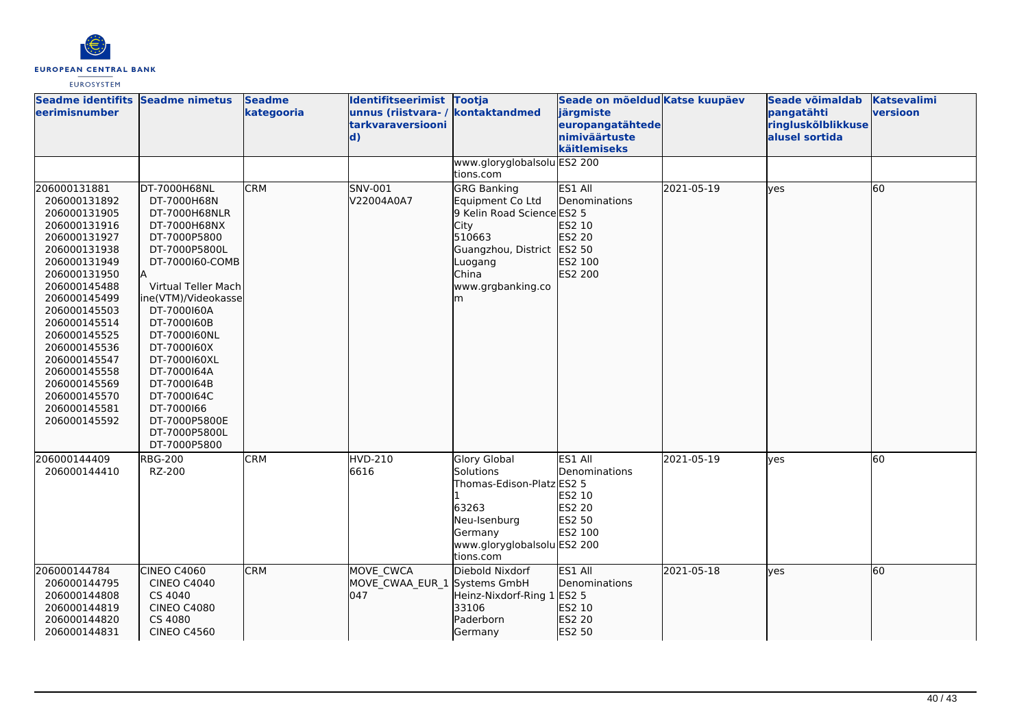

| Seadme identifits Seadme nimetus<br>eerimisnumber                                                                                                                                                                                                                                                                            |                                                                                                                                                                                                                                                                                                                                                                | <b>Seadme</b><br>kategooria | Identifitseerimist Tootja<br>unnus (riistvara-/<br>tarkvaraversiooni<br>$\mathbf{d}$ | kontaktandmed                                                                                                                                                      | Seade on mõeldud Katse kuupäev<br>järgmiste<br>europangatähtede<br>nimiväärtuste<br>käitlemiseks |            | Seade võimaldab<br>pangatähti<br>ringluskõlblikkuse<br>alusel sortida | <b>Katsevalimi</b><br>versioon |
|------------------------------------------------------------------------------------------------------------------------------------------------------------------------------------------------------------------------------------------------------------------------------------------------------------------------------|----------------------------------------------------------------------------------------------------------------------------------------------------------------------------------------------------------------------------------------------------------------------------------------------------------------------------------------------------------------|-----------------------------|--------------------------------------------------------------------------------------|--------------------------------------------------------------------------------------------------------------------------------------------------------------------|--------------------------------------------------------------------------------------------------|------------|-----------------------------------------------------------------------|--------------------------------|
|                                                                                                                                                                                                                                                                                                                              |                                                                                                                                                                                                                                                                                                                                                                |                             |                                                                                      | www.gloryglobalsolu ES2 200<br>tions.com                                                                                                                           |                                                                                                  |            |                                                                       |                                |
| 206000131881<br>206000131892<br>206000131905<br>206000131916<br>206000131927<br>206000131938<br>206000131949<br>206000131950<br>206000145488<br>206000145499<br>206000145503<br>206000145514<br>206000145525<br>206000145536<br>206000145547<br>206000145558<br>206000145569<br>206000145570<br>206000145581<br>206000145592 | DT-7000H68NL<br>DT-7000H68N<br>DT-7000H68NLR<br>DT-7000H68NX<br>DT-7000P5800<br>DT-7000P5800L<br>DT-7000160-COMB<br>İΑ<br>Virtual Teller Mach<br>ine(VTM)/Videokasse<br>DT-7000160A<br>DT-7000160B<br>DT-7000160NL<br>DT-7000160X<br>DT-7000160XL<br>DT-7000164A<br>DT-7000164B<br>DT-7000164C<br>DT-7000166<br>DT-7000P5800E<br>DT-7000P5800L<br>DT-7000P5800 | <b>CRM</b>                  | SNV-001<br>V22004A0A7                                                                | <b>GRG Banking</b><br>Equipment Co Ltd<br>9 Kelin Road Science ES2 5<br>City<br>510663<br>Guangzhou, District ES2 50<br>Luogang<br>China<br>www.grgbanking.co<br>m | ES1 All<br>Denominations<br>ES2 10<br>ES2 20<br>ES2 100<br>ES2 200                               | 2021-05-19 | lyes                                                                  | 60                             |
| 206000144409<br>206000144410                                                                                                                                                                                                                                                                                                 | <b>RBG-200</b><br>RZ-200                                                                                                                                                                                                                                                                                                                                       | <b>CRM</b>                  | <b>HVD-210</b><br>6616                                                               | <b>Glory Global</b><br><b>Solutions</b><br>Thomas-Edison-Platz ES2 5<br>63263<br>Neu-Isenburg<br>Germany<br>www.gloryglobalsolu ES2 200<br>tions.com               | ES1 All<br>Denominations<br>ES2 10<br>ES2 20<br>ES2 50<br>ES2 100                                | 2021-05-19 | ves                                                                   | 60                             |
| 206000144784<br>206000144795<br>206000144808<br>206000144819<br>206000144820<br>206000144831                                                                                                                                                                                                                                 | CINEO C4060<br><b>CINEO C4040</b><br>CS 4040<br><b>CINEO C4080</b><br>CS 4080<br><b>CINEO C4560</b>                                                                                                                                                                                                                                                            | <b>CRM</b>                  | MOVE CWCA<br>MOVE_CWAA_EUR_1 Systems GmbH<br>047                                     | Diebold Nixdorf<br>Heinz-Nixdorf-Ring 1<br>33106<br>Paderborn<br>Germany                                                                                           | ES1 All<br>Denominations<br><b>ES2 5</b><br>ES2 10<br>ES2 20<br>ES2 50                           | 2021-05-18 | lyes                                                                  | 60                             |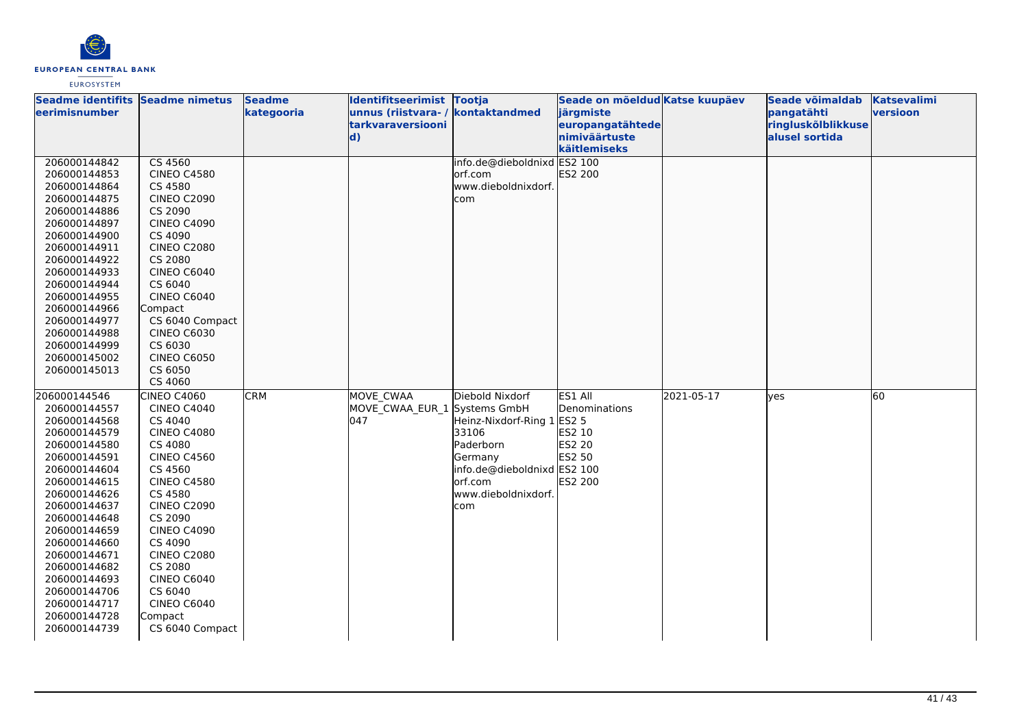

| Seadme identifits Seadme nimetus |                               | <b>Seadme</b> | Identifitseerimist Tootja    |                             | Seade on mõeldud Katse kuupäev |            | Seade võimaldab    | Katsevalimi |
|----------------------------------|-------------------------------|---------------|------------------------------|-----------------------------|--------------------------------|------------|--------------------|-------------|
| leerimisnumber                   |                               | kategooria    | unnus (riistvara-/           | kontaktandmed               | järgmiste                      |            | pangatähti         | versioon    |
|                                  |                               |               | <b>tarkvaraversiooni</b>     |                             | europangatähtede               |            | ringluskõlblikkuse |             |
|                                  |                               |               | $\mathbf{d}$                 |                             | nimiväärtuste                  |            | alusel sortida     |             |
|                                  |                               |               |                              |                             | käitlemiseks                   |            |                    |             |
| 206000144842                     | CS 4560                       |               |                              | info.de@dieboldnixd ES2 100 |                                |            |                    |             |
| 206000144853                     | <b>CINEO C4580</b>            |               |                              | orf.com                     | ES2 200                        |            |                    |             |
| 206000144864                     | CS 4580                       |               |                              | www.dieboldnixdorf.         |                                |            |                    |             |
| 206000144875                     | <b>CINEO C2090</b>            |               |                              | com                         |                                |            |                    |             |
| 206000144886                     | CS 2090                       |               |                              |                             |                                |            |                    |             |
| 206000144897                     | <b>CINEO C4090</b>            |               |                              |                             |                                |            |                    |             |
| 206000144900                     | CS 4090                       |               |                              |                             |                                |            |                    |             |
| 206000144911                     | <b>CINEO C2080</b>            |               |                              |                             |                                |            |                    |             |
| 206000144922<br>206000144933     | CS 2080<br><b>CINEO C6040</b> |               |                              |                             |                                |            |                    |             |
| 206000144944                     | CS 6040                       |               |                              |                             |                                |            |                    |             |
| 206000144955                     | CINEO C6040                   |               |                              |                             |                                |            |                    |             |
| 206000144966                     | Compact                       |               |                              |                             |                                |            |                    |             |
| 206000144977                     | CS 6040 Compact               |               |                              |                             |                                |            |                    |             |
| 206000144988                     | <b>CINEO C6030</b>            |               |                              |                             |                                |            |                    |             |
| 206000144999                     | CS 6030                       |               |                              |                             |                                |            |                    |             |
| 206000145002                     | <b>CINEO C6050</b>            |               |                              |                             |                                |            |                    |             |
| 206000145013                     | CS 6050                       |               |                              |                             |                                |            |                    |             |
|                                  | CS 4060                       |               |                              |                             |                                |            |                    |             |
| 206000144546                     | <b>CINEO C4060</b>            | <b>CRM</b>    | MOVE CWAA                    | Diebold Nixdorf             | ES1 All                        | 2021-05-17 | lves               | 60          |
| 206000144557                     | <b>CINEO C4040</b>            |               | MOVE CWAA EUR 1 Systems GmbH |                             | Denominations                  |            |                    |             |
| 206000144568                     | CS 4040                       |               | 047                          | Heinz-Nixdorf-Ring 1 ES2 5  |                                |            |                    |             |
| 206000144579                     | <b>CINEO C4080</b>            |               |                              | 33106                       | ES2 10                         |            |                    |             |
| 206000144580                     | CS 4080                       |               |                              | Paderborn                   | <b>ES2 20</b>                  |            |                    |             |
| 206000144591                     | <b>CINEO C4560</b>            |               |                              | Germany                     | ES2 50                         |            |                    |             |
| 206000144604                     | CS 4560                       |               |                              | info.de@dieboldnixd ES2 100 |                                |            |                    |             |
| 206000144615                     | <b>CINEO C4580</b>            |               |                              | orf.com                     | <b>ES2 200</b>                 |            |                    |             |
| 206000144626                     | CS 4580                       |               |                              | www.dieboldnixdorf.         |                                |            |                    |             |
| 206000144637                     | <b>CINEO C2090</b>            |               |                              | com                         |                                |            |                    |             |
| 206000144648                     | CS 2090                       |               |                              |                             |                                |            |                    |             |
| 206000144659                     | <b>CINEO C4090</b>            |               |                              |                             |                                |            |                    |             |
| 206000144660                     | CS 4090                       |               |                              |                             |                                |            |                    |             |
| 206000144671                     | <b>CINEO C2080</b>            |               |                              |                             |                                |            |                    |             |
| 206000144682                     | CS 2080                       |               |                              |                             |                                |            |                    |             |
| 206000144693                     | <b>CINEO C6040</b>            |               |                              |                             |                                |            |                    |             |
| 206000144706                     | CS 6040                       |               |                              |                             |                                |            |                    |             |
| 206000144717                     | CINEO C6040                   |               |                              |                             |                                |            |                    |             |
| 206000144728                     | Compact                       |               |                              |                             |                                |            |                    |             |
| 206000144739                     | CS 6040 Compact               |               |                              |                             |                                |            |                    |             |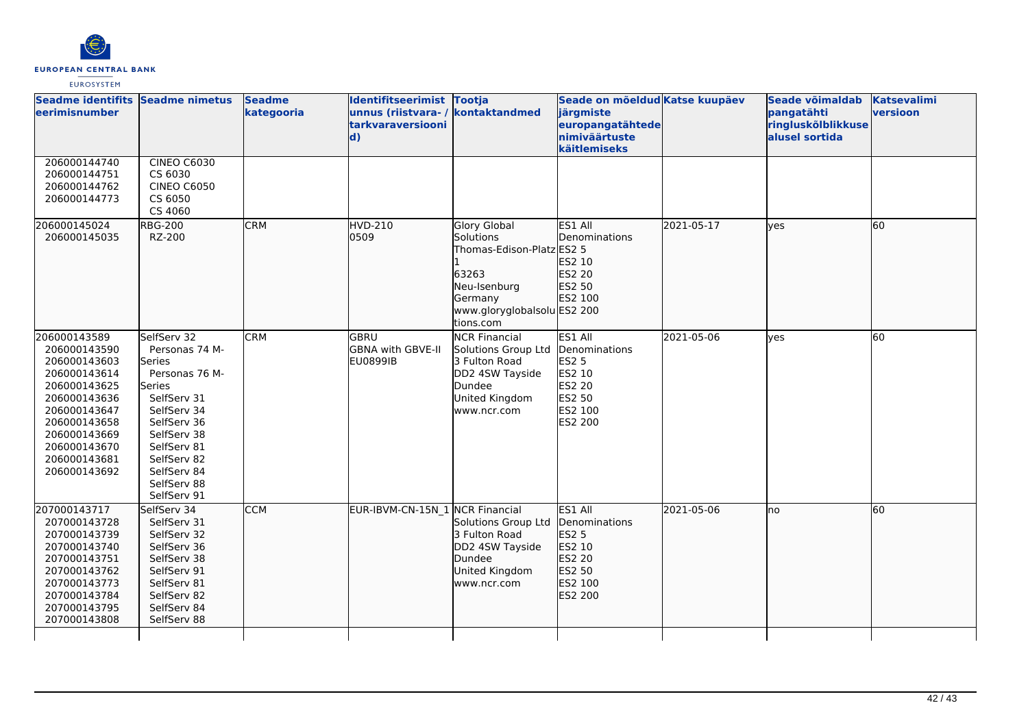

| Seadme identifits Seadme nimetus<br>eerimisnumber                                                                                                                                            |                                                                                                                                                                                                            | <b>Seadme</b><br>kategooria | Identifitseerimist Tootja<br>unnus (riistvara-/<br>tarkvaraversiooni<br>$\mathbf{d}$ | kontaktandmed                                                                                                                                        | Seade on mõeldud Katse kuupäev<br>järgmiste<br>europangatähtede<br>nimiväärtuste<br>käitlemiseks    |            | Seade võimaldab<br>pangatähti<br>ringluskõlblikkuse<br>alusel sortida | <b>Katsevalimi</b><br>versioon |
|----------------------------------------------------------------------------------------------------------------------------------------------------------------------------------------------|------------------------------------------------------------------------------------------------------------------------------------------------------------------------------------------------------------|-----------------------------|--------------------------------------------------------------------------------------|------------------------------------------------------------------------------------------------------------------------------------------------------|-----------------------------------------------------------------------------------------------------|------------|-----------------------------------------------------------------------|--------------------------------|
| 206000144740<br>206000144751<br>206000144762<br>206000144773                                                                                                                                 | <b>CINEO C6030</b><br>CS 6030<br><b>CINEO C6050</b><br>CS 6050<br>CS 4060                                                                                                                                  |                             |                                                                                      |                                                                                                                                                      |                                                                                                     |            |                                                                       |                                |
| 206000145024<br>206000145035                                                                                                                                                                 | <b>RBG-200</b><br>RZ-200                                                                                                                                                                                   | <b>CRM</b>                  | HVD-210<br>0509                                                                      | <b>Glory Global</b><br><b>Solutions</b><br>Thomas-Edison-Platz ES2 5<br>63263<br>Neu-Isenburg<br>Germany<br>www.gloryglobalsolu ES2 200<br>tions.com | ES1 All<br>Denominations<br>ES2 10<br>ES2 20<br>ES2 50<br>ES2 100                                   | 2021-05-17 | ves                                                                   | 60                             |
| 206000143589<br>206000143590<br>206000143603<br>206000143614<br>206000143625<br>206000143636<br>206000143647<br>206000143658<br>206000143669<br>206000143670<br>206000143681<br>206000143692 | SelfServ 32<br>Personas 74 M-<br>Series<br>Personas 76 M-<br>Series<br>SelfServ 31<br>SelfServ 34<br>SelfServ 36<br>SelfServ 38<br>SelfServ 81<br>SelfServ 82<br>SelfServ 84<br>SelfServ 88<br>SelfServ 91 | <b>CRM</b>                  | lgbru<br>GBNA with GBVE-II<br><b>EU0899IB</b>                                        | <b>NCR Financial</b><br>Solutions Group Ltd<br>3 Fulton Road<br>DD2 4SW Tayside<br>Dundee<br>United Kingdom<br>www.ncr.com                           | ES1 All<br>Denominations<br><b>ES2 5</b><br>ES2 10<br><b>ES2 20</b><br>ES2 50<br>ES2 100<br>ES2 200 | 2021-05-06 | ves                                                                   | 60                             |
| 207000143717<br>207000143728<br>207000143739<br>207000143740<br>207000143751<br>207000143762<br>207000143773<br>207000143784<br>207000143795<br>207000143808                                 | SelfServ 34<br>SelfServ 31<br>SelfServ 32<br>SelfServ 36<br>SelfServ 38<br>SelfServ 91<br>SelfServ 81<br>SelfServ 82<br>SelfServ 84<br>SelfServ 88                                                         | <b>CCM</b>                  | EUR-IBVM-CN-15N_1 NCR Financial                                                      | Solutions Group Ltd<br>3 Fulton Road<br>DD2 4SW Tayside<br>Dundee<br>United Kingdom<br>www.ncr.com                                                   | ES1 All<br>Denominations<br>ES2 5<br>ES2 10<br>ES2 20<br>ES2 50<br>ES2 100<br>ES2 200               | 2021-05-06 | lno                                                                   | 60                             |
|                                                                                                                                                                                              |                                                                                                                                                                                                            |                             |                                                                                      |                                                                                                                                                      |                                                                                                     |            |                                                                       |                                |